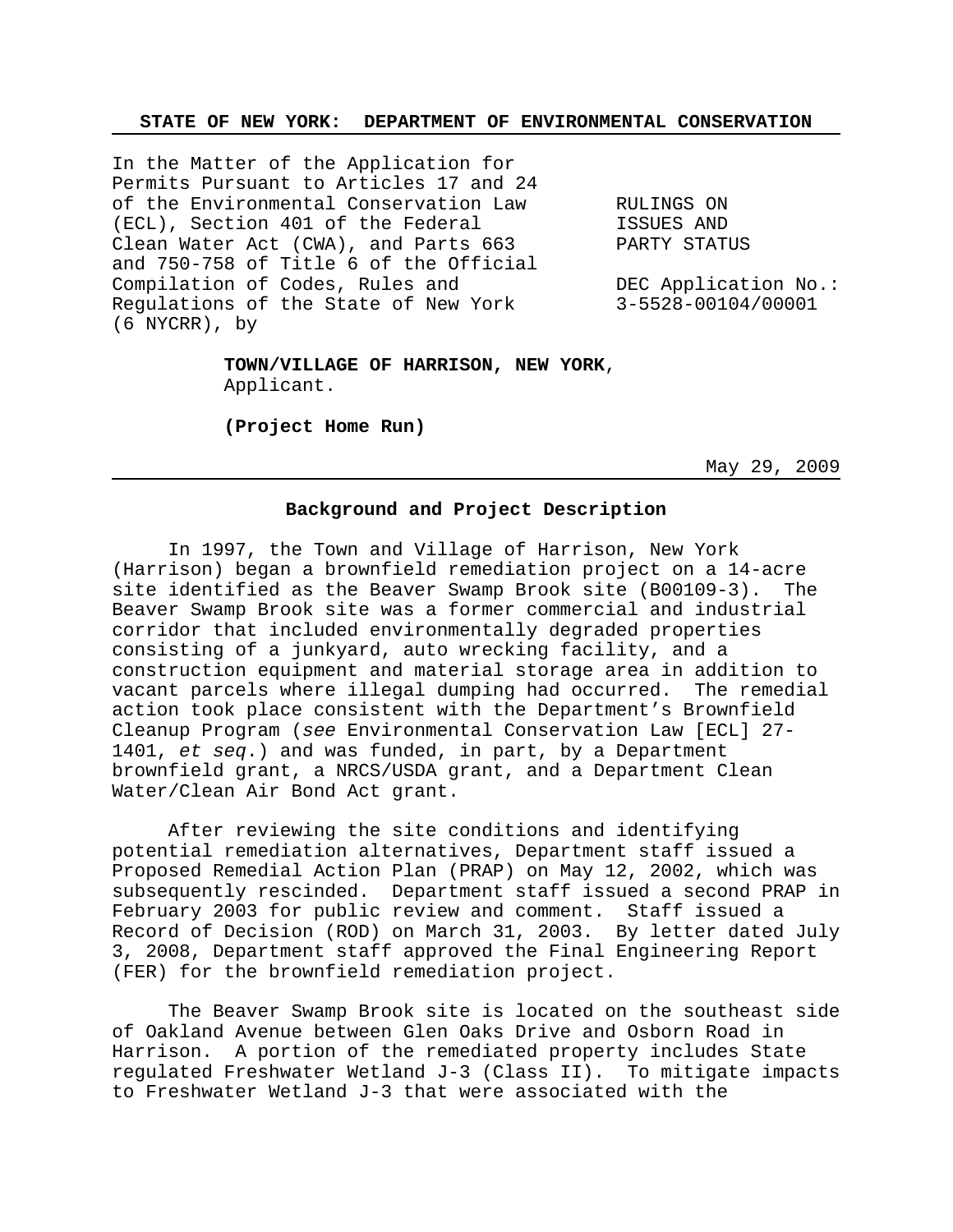## **STATE OF NEW YORK: DEPARTMENT OF ENVIRONMENTAL CONSERVATION**

In the Matter of the Application for Permits Pursuant to Articles 17 and 24 of the Environmental Conservation Law RULINGS ON (ECL), Section 401 of the Federal ISSUES AND Clean Water Act (CWA), and Parts 663 PARTY STATUS and 750-758 of Title 6 of the Official Compilation of Codes, Rules and TEC Application No.: Regulations of the State of New York 3-5528-00104/00001 (6 NYCRR), by

**TOWN/VILLAGE OF HARRISON, NEW YORK**, Applicant.

**(Project Home Run)**

May 29, 2009

# **Background and Project Description**

In 1997, the Town and Village of Harrison, New York (Harrison) began a brownfield remediation project on a 14-acre site identified as the Beaver Swamp Brook site (B00109-3). The Beaver Swamp Brook site was a former commercial and industrial corridor that included environmentally degraded properties consisting of a junkyard, auto wrecking facility, and a construction equipment and material storage area in addition to vacant parcels where illegal dumping had occurred. The remedial action took place consistent with the Department's Brownfield Cleanup Program (*see* Environmental Conservation Law [ECL] 27- 1401, *et seq*.) and was funded, in part, by a Department brownfield grant, a NRCS/USDA grant, and a Department Clean Water/Clean Air Bond Act grant.

After reviewing the site conditions and identifying potential remediation alternatives, Department staff issued a Proposed Remedial Action Plan (PRAP) on May 12, 2002, which was subsequently rescinded. Department staff issued a second PRAP in February 2003 for public review and comment. Staff issued a Record of Decision (ROD) on March 31, 2003. By letter dated July 3, 2008, Department staff approved the Final Engineering Report (FER) for the brownfield remediation project.

The Beaver Swamp Brook site is located on the southeast side of Oakland Avenue between Glen Oaks Drive and Osborn Road in Harrison. A portion of the remediated property includes State regulated Freshwater Wetland J-3 (Class II). To mitigate impacts to Freshwater Wetland J-3 that were associated with the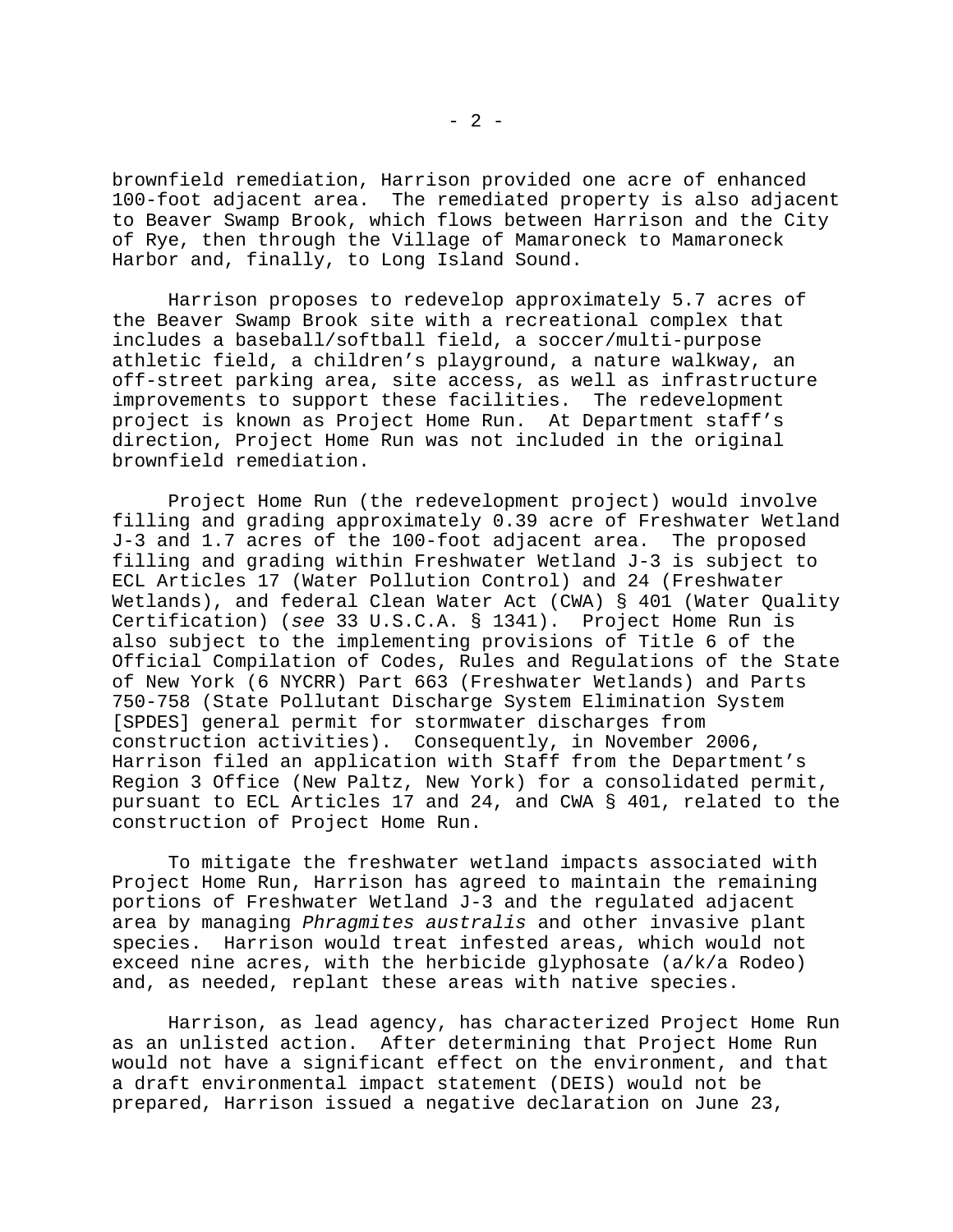brownfield remediation, Harrison provided one acre of enhanced 100-foot adjacent area. The remediated property is also adjacent to Beaver Swamp Brook, which flows between Harrison and the City of Rye, then through the Village of Mamaroneck to Mamaroneck Harbor and, finally, to Long Island Sound.

Harrison proposes to redevelop approximately 5.7 acres of the Beaver Swamp Brook site with a recreational complex that includes a baseball/softball field, a soccer/multi-purpose athletic field, a children's playground, a nature walkway, an off-street parking area, site access, as well as infrastructure improvements to support these facilities. The redevelopment project is known as Project Home Run. At Department staff's direction, Project Home Run was not included in the original brownfield remediation.

Project Home Run (the redevelopment project) would involve filling and grading approximately 0.39 acre of Freshwater Wetland J-3 and 1.7 acres of the 100-foot adjacent area. The proposed filling and grading within Freshwater Wetland J-3 is subject to ECL Articles 17 (Water Pollution Control) and 24 (Freshwater Wetlands), and federal Clean Water Act (CWA) § 401 (Water Quality Certification) (*see* 33 U.S.C.A. § 1341). Project Home Run is also subject to the implementing provisions of Title 6 of the Official Compilation of Codes, Rules and Regulations of the State of New York (6 NYCRR) Part 663 (Freshwater Wetlands) and Parts 750-758 (State Pollutant Discharge System Elimination System [SPDES] general permit for stormwater discharges from construction activities). Consequently, in November 2006, Harrison filed an application with Staff from the Department's Region 3 Office (New Paltz, New York) for a consolidated permit, pursuant to ECL Articles 17 and 24, and CWA § 401, related to the construction of Project Home Run.

To mitigate the freshwater wetland impacts associated with Project Home Run, Harrison has agreed to maintain the remaining portions of Freshwater Wetland J-3 and the regulated adjacent area by managing *Phragmites australis* and other invasive plant species. Harrison would treat infested areas, which would not exceed nine acres, with the herbicide glyphosate (a/k/a Rodeo) and, as needed, replant these areas with native species.

Harrison, as lead agency, has characterized Project Home Run as an unlisted action. After determining that Project Home Run would not have a significant effect on the environment, and that a draft environmental impact statement (DEIS) would not be prepared, Harrison issued a negative declaration on June 23,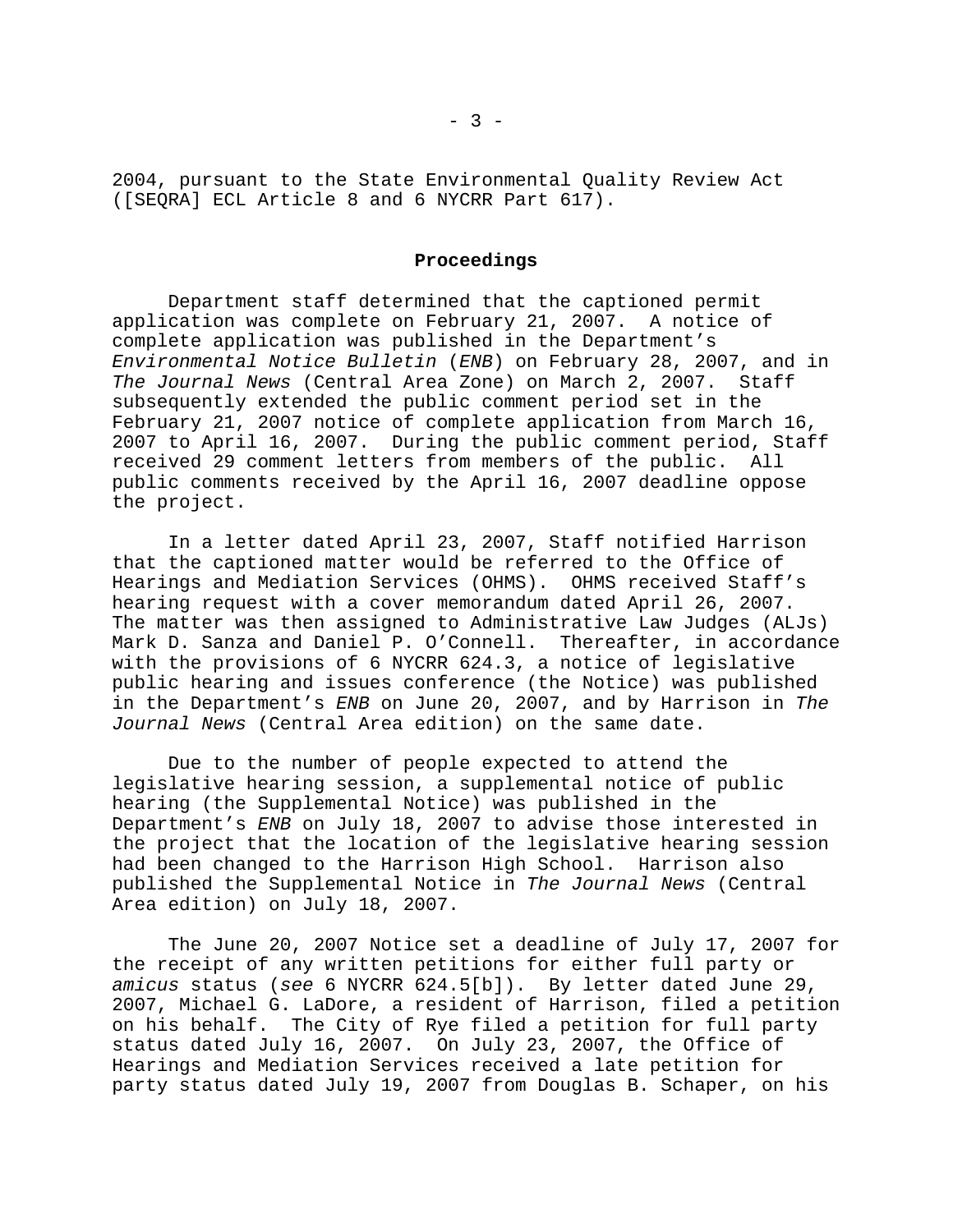2004, pursuant to the State Environmental Quality Review Act ([SEQRA] ECL Article 8 and 6 NYCRR Part 617).

## **Proceedings**

Department staff determined that the captioned permit application was complete on February 21, 2007. A notice of complete application was published in the Department's *Environmental Notice Bulletin* (*ENB*) on February 28, 2007, and in *The Journal News* (Central Area Zone) on March 2, 2007. Staff subsequently extended the public comment period set in the February 21, 2007 notice of complete application from March 16, 2007 to April 16, 2007. During the public comment period, Staff received 29 comment letters from members of the public. All public comments received by the April 16, 2007 deadline oppose the project.

In a letter dated April 23, 2007, Staff notified Harrison that the captioned matter would be referred to the Office of Hearings and Mediation Services (OHMS). OHMS received Staff's hearing request with a cover memorandum dated April 26, 2007. The matter was then assigned to Administrative Law Judges (ALJs) Mark D. Sanza and Daniel P. O'Connell. Thereafter, in accordance with the provisions of 6 NYCRR 624.3, a notice of legislative public hearing and issues conference (the Notice) was published in the Department's *ENB* on June 20, 2007, and by Harrison in *The Journal News* (Central Area edition) on the same date.

Due to the number of people expected to attend the legislative hearing session, a supplemental notice of public hearing (the Supplemental Notice) was published in the Department's *ENB* on July 18, 2007 to advise those interested in the project that the location of the legislative hearing session had been changed to the Harrison High School. Harrison also published the Supplemental Notice in *The Journal News* (Central Area edition) on July 18, 2007.

The June 20, 2007 Notice set a deadline of July 17, 2007 for the receipt of any written petitions for either full party or *amicus* status (*see* 6 NYCRR 624.5[b]). By letter dated June 29, 2007, Michael G. LaDore, a resident of Harrison, filed a petition on his behalf. The City of Rye filed a petition for full party status dated July 16, 2007. On July 23, 2007, the Office of Hearings and Mediation Services received a late petition for party status dated July 19, 2007 from Douglas B. Schaper, on his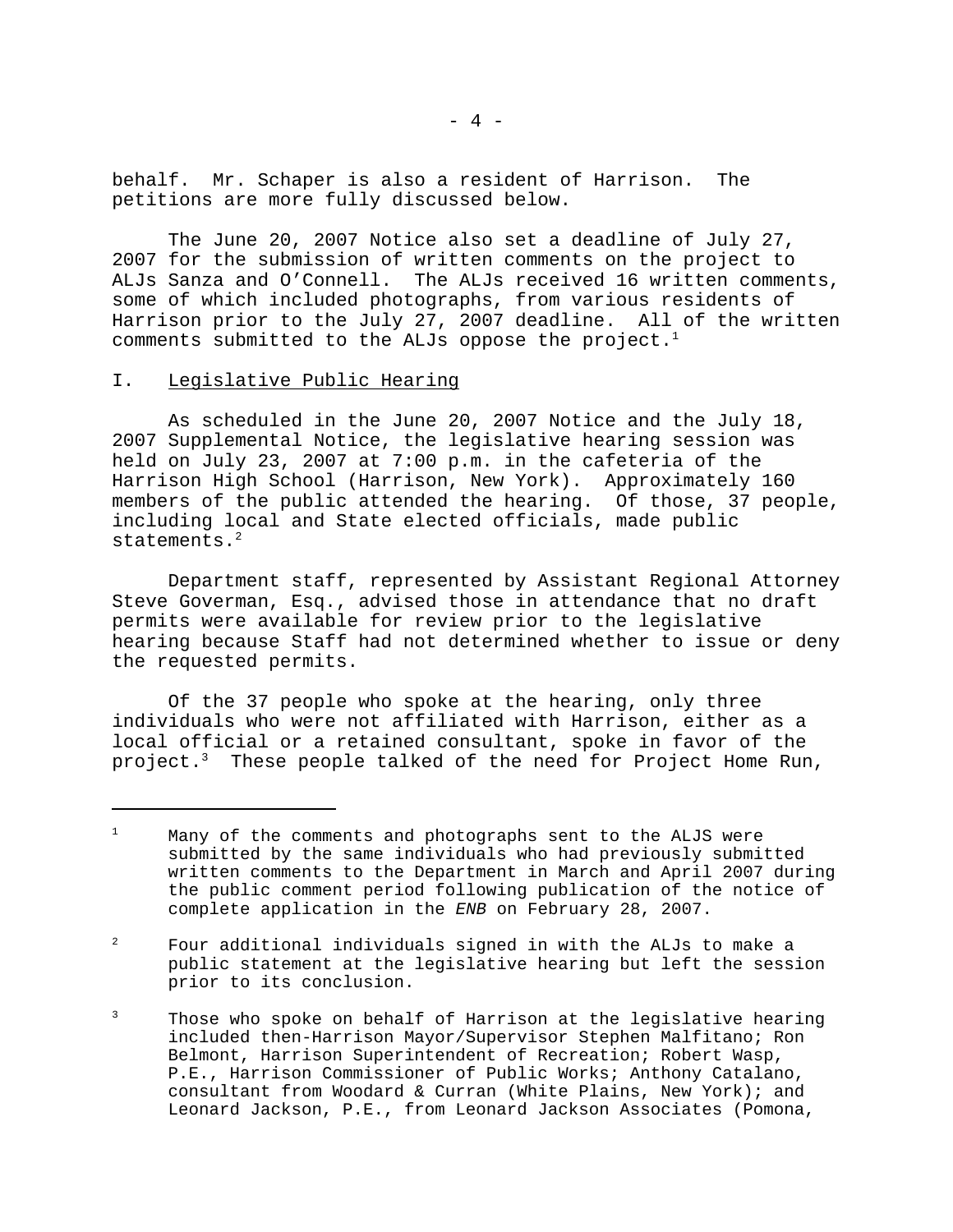behalf. Mr. Schaper is also a resident of Harrison. The petitions are more fully discussed below.

The June 20, 2007 Notice also set a deadline of July 27, 2007 for the submission of written comments on the project to ALJs Sanza and O'Connell. The ALJs received 16 written comments, some of which included photographs, from various residents of Harrison prior to the July 27, 2007 deadline. All of the written comments submitted to the ALJs oppose the project.<sup>1</sup>

## I. Legislative Public Hearing

As scheduled in the June 20, 2007 Notice and the July 18, 2007 Supplemental Notice, the legislative hearing session was held on July 23, 2007 at 7:00 p.m. in the cafeteria of the Harrison High School (Harrison, New York). Approximately 160 members of the public attended the hearing. Of those, 37 people, including local and State elected officials, made public statements.<sup>2</sup>

Department staff, represented by Assistant Regional Attorney Steve Goverman, Esq., advised those in attendance that no draft permits were available for review prior to the legislative hearing because Staff had not determined whether to issue or deny the requested permits.

Of the 37 people who spoke at the hearing, only three individuals who were not affiliated with Harrison, either as a local official or a retained consultant, spoke in favor of the project.<sup>3</sup> These people talked of the need for Project Home Run,

<sup>&</sup>lt;sup>1</sup> Many of the comments and photographs sent to the ALJS were submitted by the same individuals who had previously submitted written comments to the Department in March and April 2007 during the public comment period following publication of the notice of complete application in the *ENB* on February 28, 2007.

 $2^2$  Four additional individuals signed in with the ALJs to make a public statement at the legislative hearing but left the session prior to its conclusion.

<sup>&</sup>lt;sup>3</sup> Those who spoke on behalf of Harrison at the legislative hearing included then-Harrison Mayor/Supervisor Stephen Malfitano; Ron Belmont, Harrison Superintendent of Recreation; Robert Wasp, P.E., Harrison Commissioner of Public Works; Anthony Catalano, consultant from Woodard & Curran (White Plains, New York); and Leonard Jackson, P.E., from Leonard Jackson Associates (Pomona,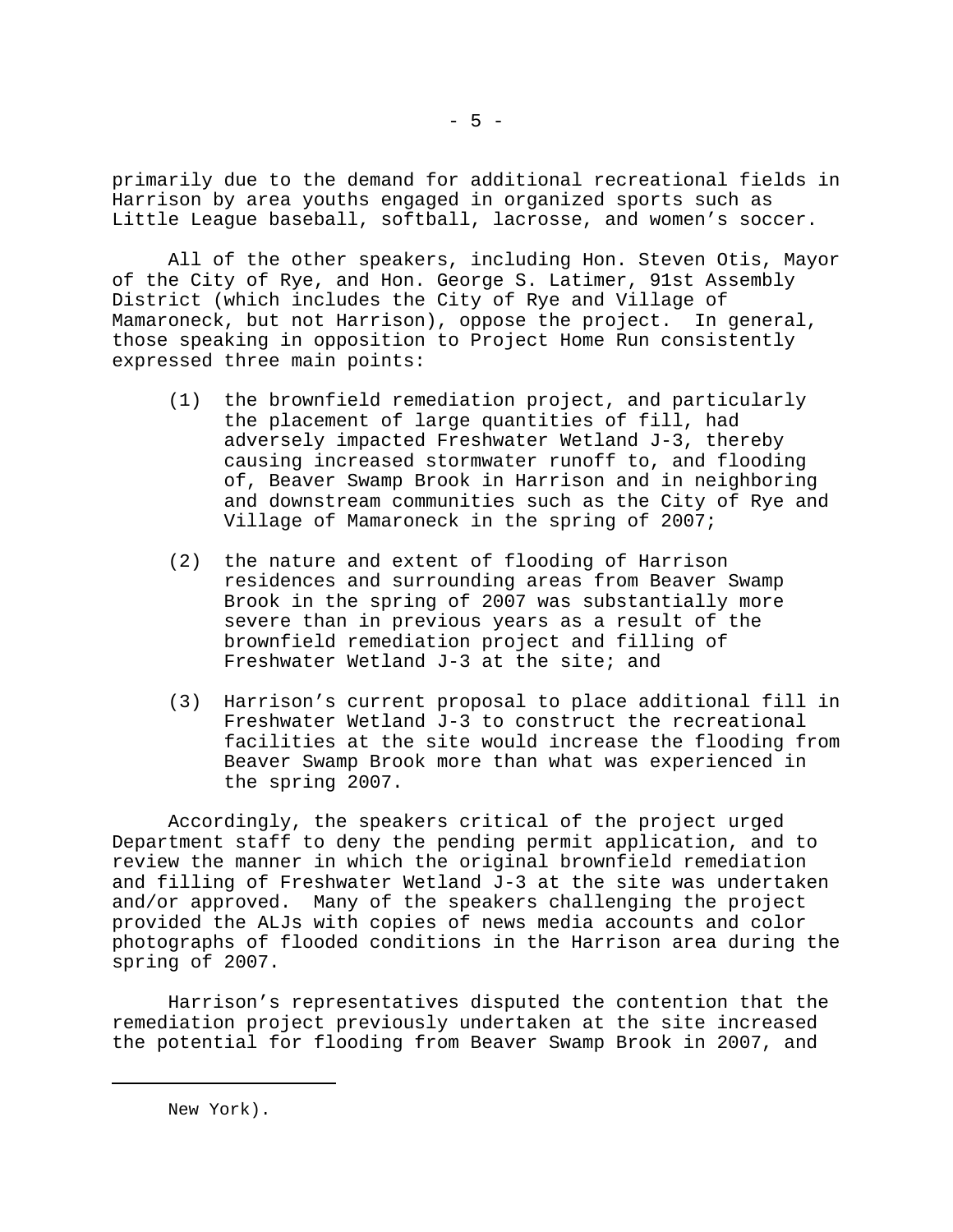primarily due to the demand for additional recreational fields in Harrison by area youths engaged in organized sports such as Little League baseball, softball, lacrosse, and women's soccer.

All of the other speakers, including Hon. Steven Otis, Mayor of the City of Rye, and Hon. George S. Latimer, 91st Assembly District (which includes the City of Rye and Village of Mamaroneck, but not Harrison), oppose the project. In general, those speaking in opposition to Project Home Run consistently expressed three main points:

- (1) the brownfield remediation project, and particularly the placement of large quantities of fill, had adversely impacted Freshwater Wetland J-3, thereby causing increased stormwater runoff to, and flooding of, Beaver Swamp Brook in Harrison and in neighboring and downstream communities such as the City of Rye and Village of Mamaroneck in the spring of 2007;
- (2) the nature and extent of flooding of Harrison residences and surrounding areas from Beaver Swamp Brook in the spring of 2007 was substantially more severe than in previous years as a result of the brownfield remediation project and filling of Freshwater Wetland J-3 at the site; and
- (3) Harrison's current proposal to place additional fill in Freshwater Wetland J-3 to construct the recreational facilities at the site would increase the flooding from Beaver Swamp Brook more than what was experienced in the spring 2007.

Accordingly, the speakers critical of the project urged Department staff to deny the pending permit application, and to review the manner in which the original brownfield remediation and filling of Freshwater Wetland J-3 at the site was undertaken and/or approved. Many of the speakers challenging the project provided the ALJs with copies of news media accounts and color photographs of flooded conditions in the Harrison area during the spring of 2007.

Harrison's representatives disputed the contention that the remediation project previously undertaken at the site increased the potential for flooding from Beaver Swamp Brook in 2007, and

New York).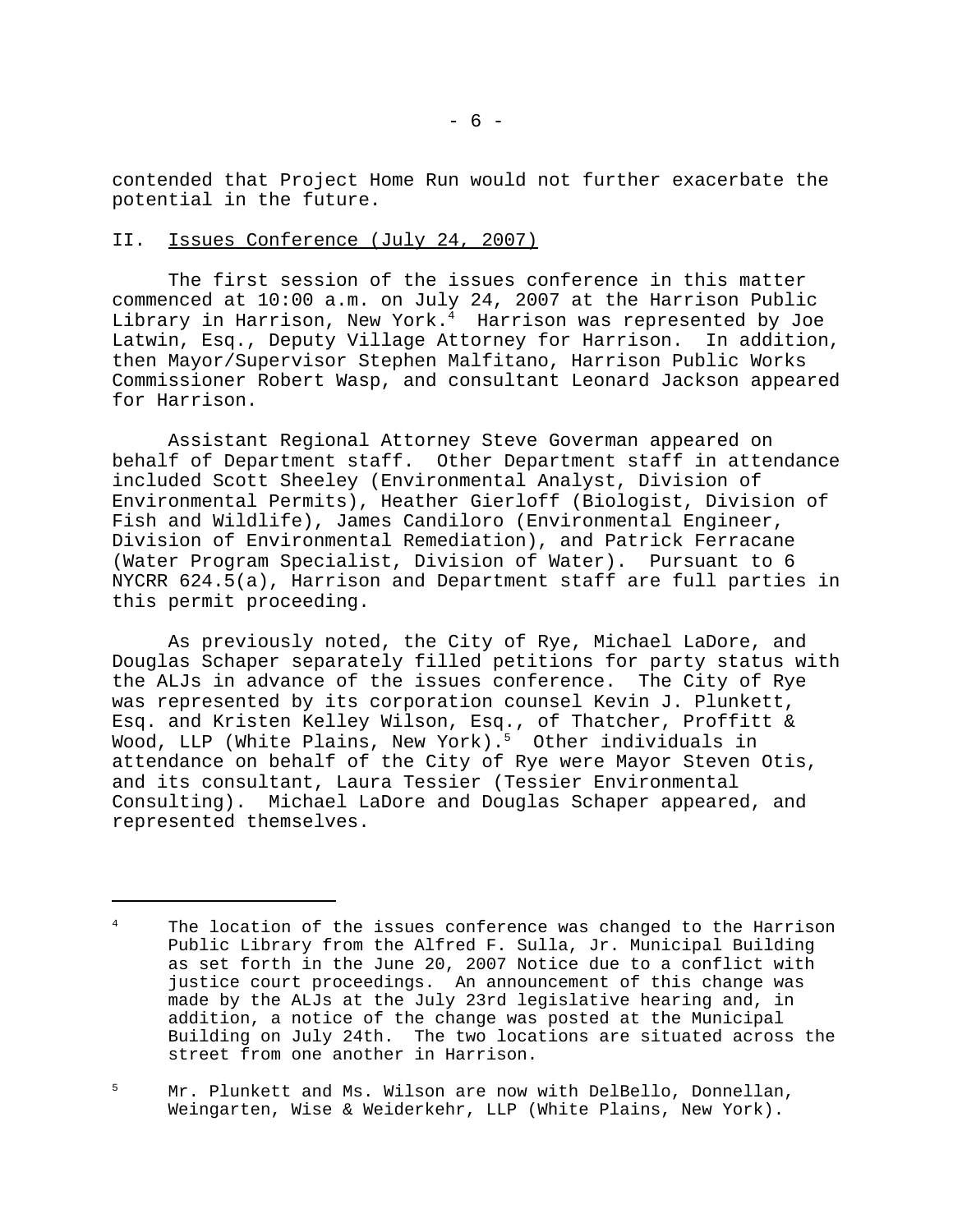contended that Project Home Run would not further exacerbate the potential in the future.

# II. Issues Conference (July 24, 2007)

The first session of the issues conference in this matter commenced at 10:00 a.m. on July 24, 2007 at the Harrison Public Library in Harrison, New York.4 Harrison was represented by Joe Latwin, Esq., Deputy Village Attorney for Harrison. In addition, then Mayor/Supervisor Stephen Malfitano, Harrison Public Works Commissioner Robert Wasp, and consultant Leonard Jackson appeared for Harrison.

Assistant Regional Attorney Steve Goverman appeared on behalf of Department staff. Other Department staff in attendance included Scott Sheeley (Environmental Analyst, Division of Environmental Permits), Heather Gierloff (Biologist, Division of Fish and Wildlife), James Candiloro (Environmental Engineer, Division of Environmental Remediation), and Patrick Ferracane (Water Program Specialist, Division of Water). Pursuant to 6 NYCRR 624.5(a), Harrison and Department staff are full parties in this permit proceeding.

As previously noted, the City of Rye, Michael LaDore, and Douglas Schaper separately filled petitions for party status with the ALJs in advance of the issues conference. The City of Rye was represented by its corporation counsel Kevin J. Plunkett, Esq. and Kristen Kelley Wilson, Esq., of Thatcher, Proffitt & Wood, LLP (White Plains, New York).<sup>5</sup> Other individuals in attendance on behalf of the City of Rye were Mayor Steven Otis, and its consultant, Laura Tessier (Tessier Environmental Consulting). Michael LaDore and Douglas Schaper appeared, and represented themselves.

<sup>&</sup>lt;sup>4</sup> The location of the issues conference was changed to the Harrison Public Library from the Alfred F. Sulla, Jr. Municipal Building as set forth in the June 20, 2007 Notice due to a conflict with justice court proceedings. An announcement of this change was made by the ALJs at the July 23rd legislative hearing and, in addition, a notice of the change was posted at the Municipal Building on July 24th. The two locations are situated across the street from one another in Harrison.

<sup>&</sup>lt;sup>5</sup> Mr. Plunkett and Ms. Wilson are now with DelBello, Donnellan, Weingarten, Wise & Weiderkehr, LLP (White Plains, New York).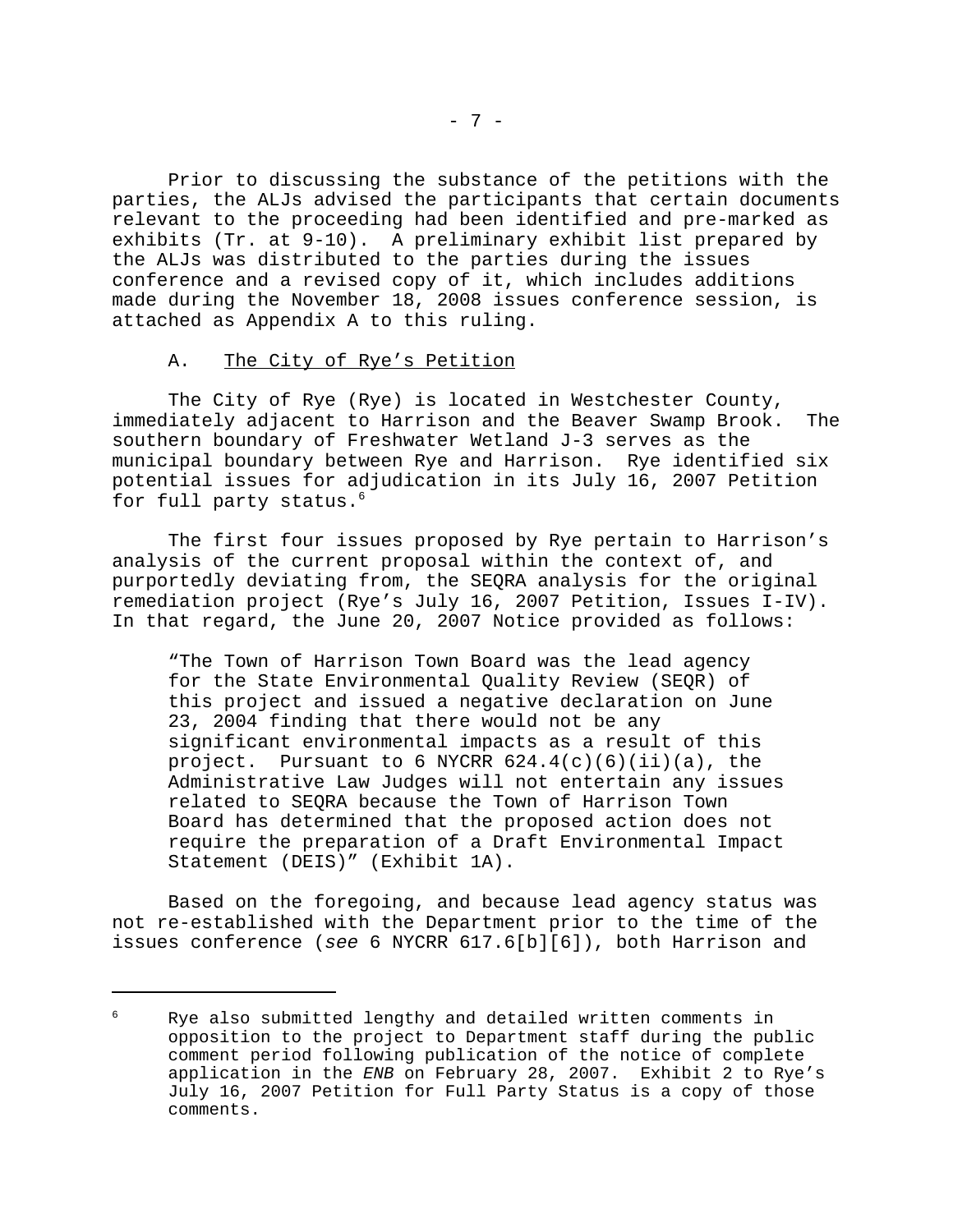Prior to discussing the substance of the petitions with the parties, the ALJs advised the participants that certain documents relevant to the proceeding had been identified and pre-marked as exhibits (Tr. at 9-10). A preliminary exhibit list prepared by the ALJs was distributed to the parties during the issues conference and a revised copy of it, which includes additions made during the November 18, 2008 issues conference session, is attached as Appendix A to this ruling.

## A. The City of Rye's Petition

The City of Rye (Rye) is located in Westchester County, immediately adjacent to Harrison and the Beaver Swamp Brook. The southern boundary of Freshwater Wetland J-3 serves as the municipal boundary between Rye and Harrison. Rye identified six potential issues for adjudication in its July 16, 2007 Petition for full party status.<sup>6</sup>

The first four issues proposed by Rye pertain to Harrison's analysis of the current proposal within the context of, and purportedly deviating from, the SEQRA analysis for the original remediation project (Rye's July 16, 2007 Petition, Issues I-IV). In that regard, the June 20, 2007 Notice provided as follows:

"The Town of Harrison Town Board was the lead agency for the State Environmental Quality Review (SEQR) of this project and issued a negative declaration on June 23, 2004 finding that there would not be any significant environmental impacts as a result of this project. Pursuant to 6 NYCRR  $624.4(c)(6)(ii)(a)$ , the Administrative Law Judges will not entertain any issues related to SEQRA because the Town of Harrison Town Board has determined that the proposed action does not require the preparation of a Draft Environmental Impact Statement (DEIS)" (Exhibit 1A).

Based on the foregoing, and because lead agency status was not re-established with the Department prior to the time of the issues conference (*see* 6 NYCRR 617.6[b][6]), both Harrison and

<sup>6</sup> Rye also submitted lengthy and detailed written comments in opposition to the project to Department staff during the public comment period following publication of the notice of complete application in the *ENB* on February 28, 2007. Exhibit 2 to Rye's July 16, 2007 Petition for Full Party Status is a copy of those comments.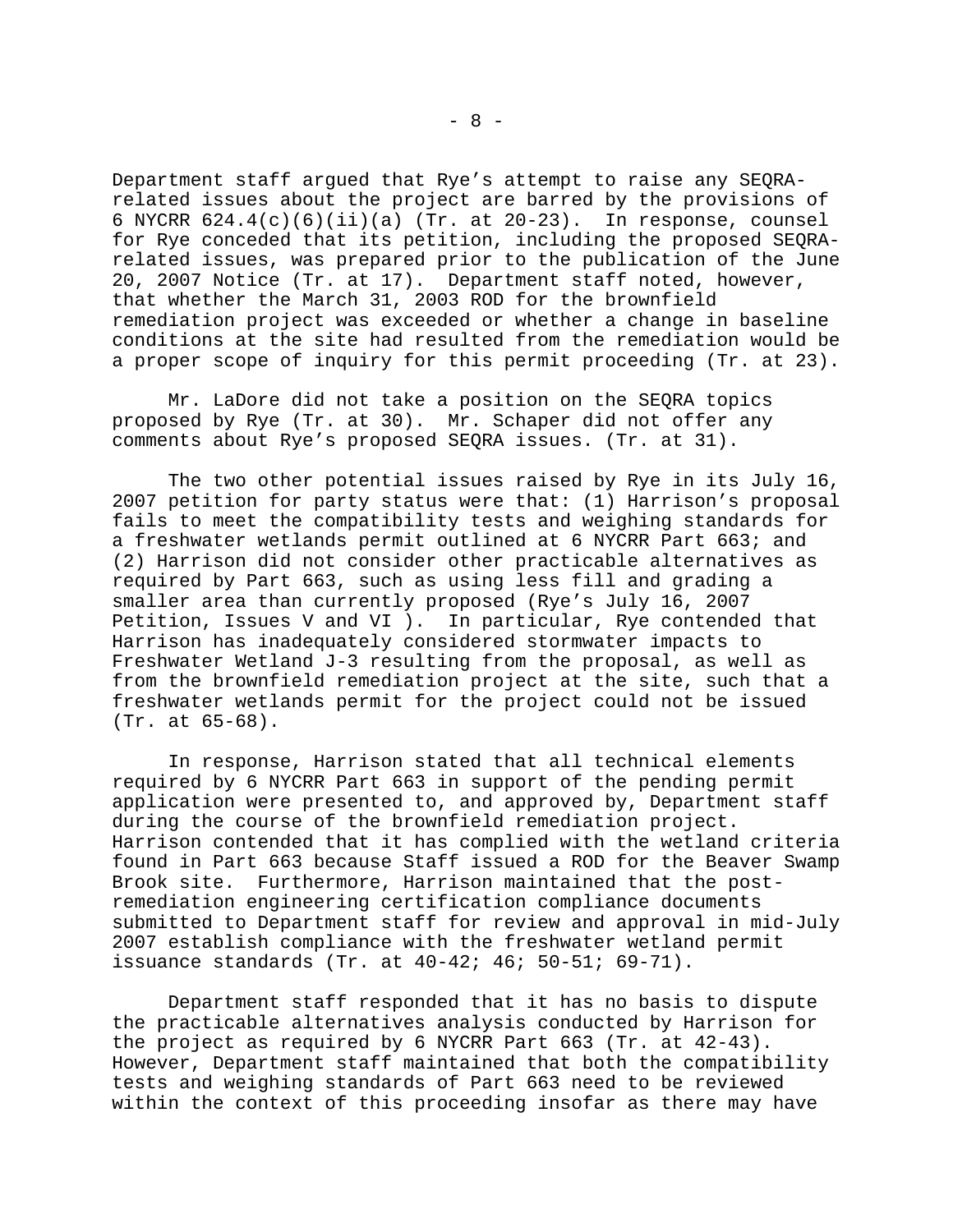Department staff argued that Rye's attempt to raise any SEQRArelated issues about the project are barred by the provisions of 6 NYCRR 624.4(c)(6)(ii)(a) (Tr. at 20-23). In response, counsel for Rye conceded that its petition, including the proposed SEQRArelated issues, was prepared prior to the publication of the June 20, 2007 Notice (Tr. at 17). Department staff noted, however, that whether the March 31, 2003 ROD for the brownfield remediation project was exceeded or whether a change in baseline conditions at the site had resulted from the remediation would be a proper scope of inquiry for this permit proceeding (Tr. at 23).

Mr. LaDore did not take a position on the SEQRA topics proposed by Rye (Tr. at 30). Mr. Schaper did not offer any comments about Rye's proposed SEQRA issues. (Tr. at 31).

The two other potential issues raised by Rye in its July 16, 2007 petition for party status were that: (1) Harrison's proposal fails to meet the compatibility tests and weighing standards for a freshwater wetlands permit outlined at 6 NYCRR Part 663; and (2) Harrison did not consider other practicable alternatives as required by Part 663, such as using less fill and grading a smaller area than currently proposed (Rye's July 16, 2007 Petition, Issues V and VI ). In particular, Rye contended that Harrison has inadequately considered stormwater impacts to Freshwater Wetland J-3 resulting from the proposal, as well as from the brownfield remediation project at the site, such that a freshwater wetlands permit for the project could not be issued (Tr. at 65-68).

In response, Harrison stated that all technical elements required by 6 NYCRR Part 663 in support of the pending permit application were presented to, and approved by, Department staff during the course of the brownfield remediation project. Harrison contended that it has complied with the wetland criteria found in Part 663 because Staff issued a ROD for the Beaver Swamp Brook site. Furthermore, Harrison maintained that the postremediation engineering certification compliance documents submitted to Department staff for review and approval in mid-July 2007 establish compliance with the freshwater wetland permit issuance standards (Tr. at 40-42; 46; 50-51; 69-71).

Department staff responded that it has no basis to dispute the practicable alternatives analysis conducted by Harrison for the project as required by 6 NYCRR Part 663 (Tr. at 42-43). However, Department staff maintained that both the compatibility tests and weighing standards of Part 663 need to be reviewed within the context of this proceeding insofar as there may have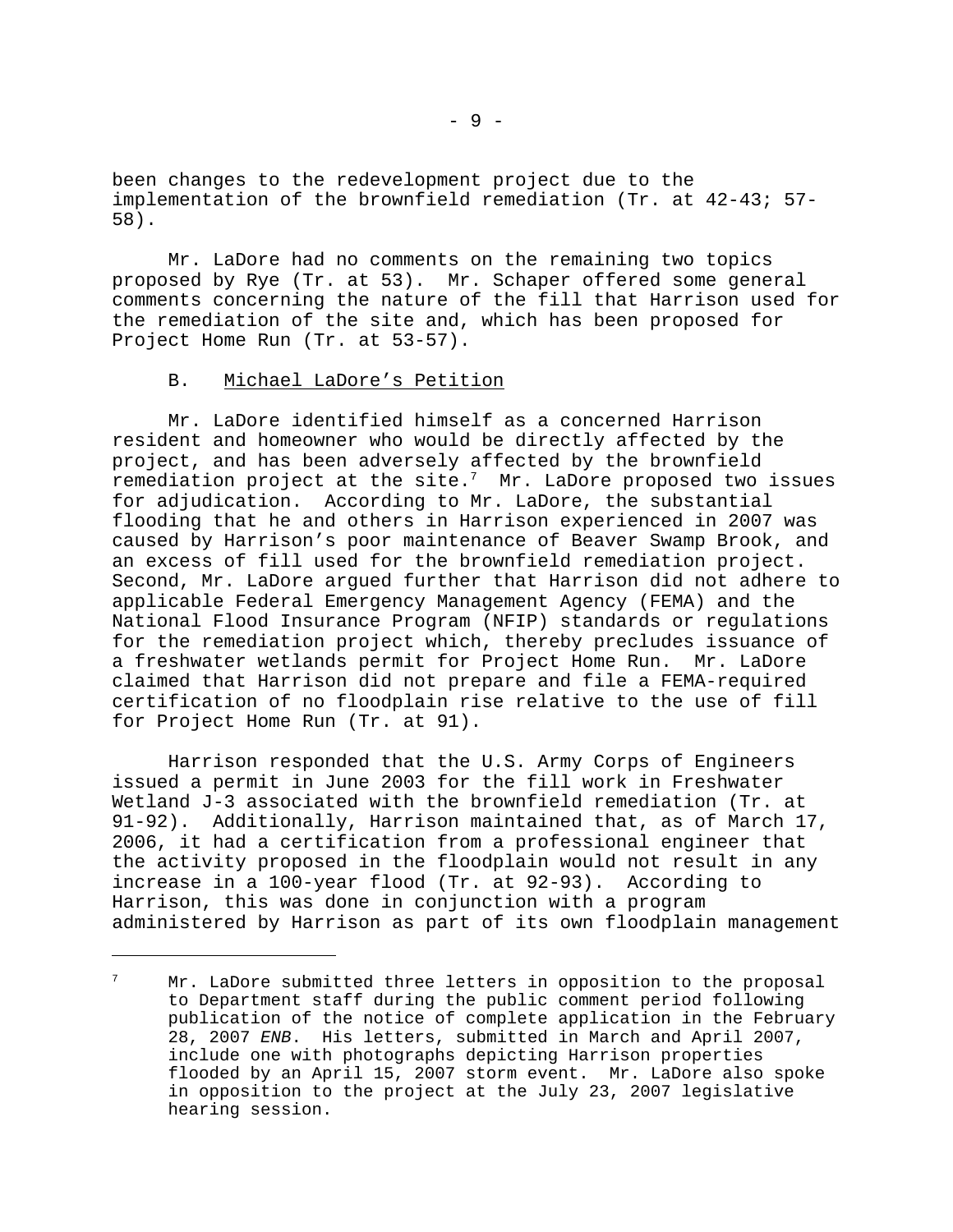been changes to the redevelopment project due to the implementation of the brownfield remediation (Tr. at 42-43; 57- 58).

Mr. LaDore had no comments on the remaining two topics proposed by Rye (Tr. at 53). Mr. Schaper offered some general comments concerning the nature of the fill that Harrison used for the remediation of the site and, which has been proposed for Project Home Run (Tr. at 53-57).

## B. Michael LaDore's Petition

Mr. LaDore identified himself as a concerned Harrison resident and homeowner who would be directly affected by the project, and has been adversely affected by the brownfield remediation project at the site. $7$  Mr. LaDore proposed two issues for adjudication. According to Mr. LaDore, the substantial flooding that he and others in Harrison experienced in 2007 was caused by Harrison's poor maintenance of Beaver Swamp Brook, and an excess of fill used for the brownfield remediation project. Second, Mr. LaDore argued further that Harrison did not adhere to applicable Federal Emergency Management Agency (FEMA) and the National Flood Insurance Program (NFIP) standards or regulations for the remediation project which, thereby precludes issuance of a freshwater wetlands permit for Project Home Run. Mr. LaDore claimed that Harrison did not prepare and file a FEMA-required certification of no floodplain rise relative to the use of fill for Project Home Run (Tr. at 91).

Harrison responded that the U.S. Army Corps of Engineers issued a permit in June 2003 for the fill work in Freshwater Wetland J-3 associated with the brownfield remediation (Tr. at 91-92). Additionally, Harrison maintained that, as of March 17, 2006, it had a certification from a professional engineer that the activity proposed in the floodplain would not result in any increase in a 100-year flood (Tr. at 92-93). According to Harrison, this was done in conjunction with a program administered by Harrison as part of its own floodplain management

Mr. LaDore submitted three letters in opposition to the proposal to Department staff during the public comment period following publication of the notice of complete application in the February 28, 2007 *ENB*. His letters, submitted in March and April 2007, include one with photographs depicting Harrison properties flooded by an April 15, 2007 storm event. Mr. LaDore also spoke in opposition to the project at the July 23, 2007 legislative hearing session.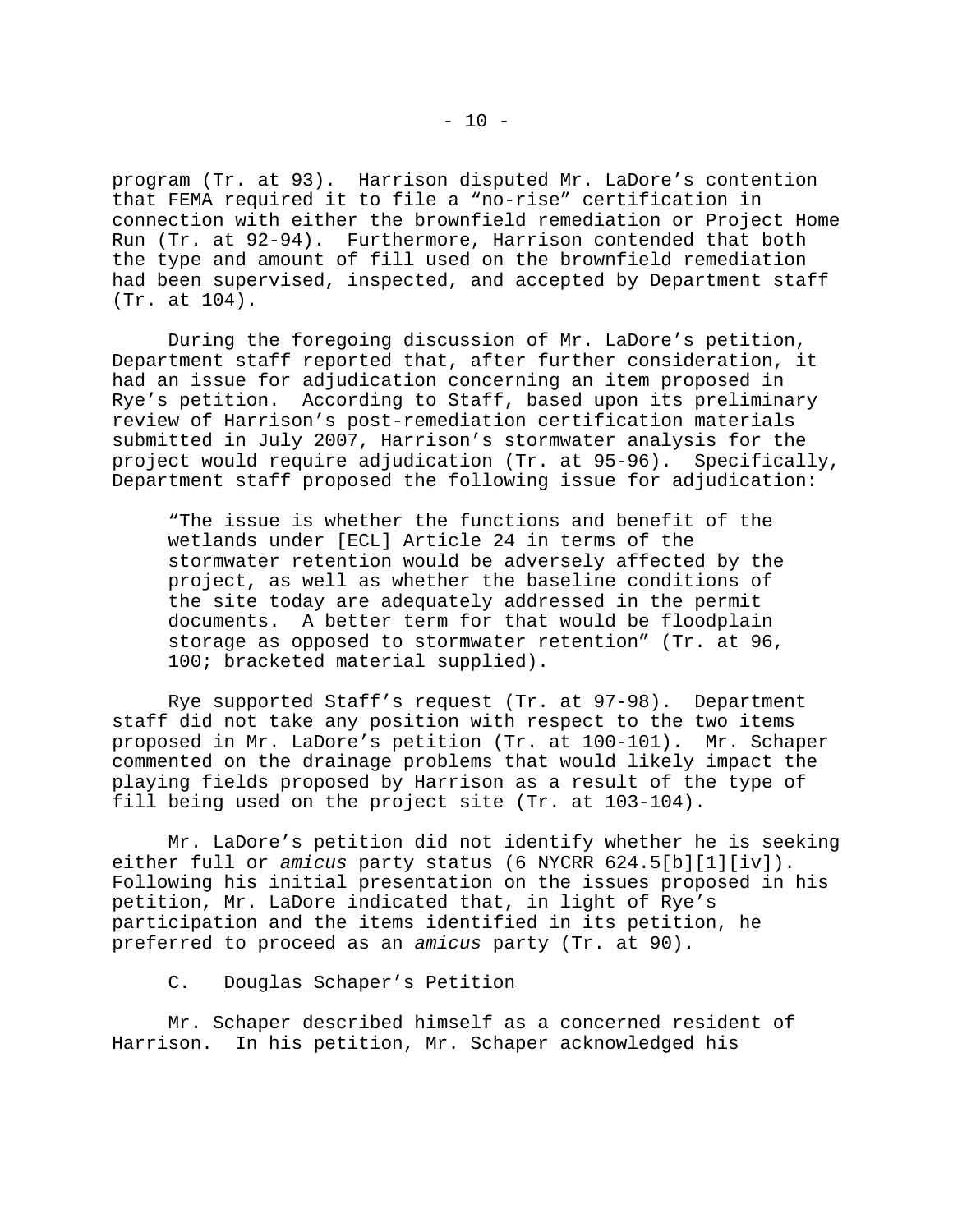program (Tr. at 93). Harrison disputed Mr. LaDore's contention that FEMA required it to file a "no-rise" certification in connection with either the brownfield remediation or Project Home Run (Tr. at 92-94). Furthermore, Harrison contended that both the type and amount of fill used on the brownfield remediation had been supervised, inspected, and accepted by Department staff (Tr. at 104).

During the foregoing discussion of Mr. LaDore's petition, Department staff reported that, after further consideration, it had an issue for adjudication concerning an item proposed in Rye's petition. According to Staff, based upon its preliminary review of Harrison's post-remediation certification materials submitted in July 2007, Harrison's stormwater analysis for the project would require adjudication (Tr. at 95-96). Specifically, Department staff proposed the following issue for adjudication:

"The issue is whether the functions and benefit of the wetlands under [ECL] Article 24 in terms of the stormwater retention would be adversely affected by the project, as well as whether the baseline conditions of the site today are adequately addressed in the permit documents. A better term for that would be floodplain storage as opposed to stormwater retention" (Tr. at 96, 100; bracketed material supplied).

Rye supported Staff's request (Tr. at 97-98). Department staff did not take any position with respect to the two items proposed in Mr. LaDore's petition (Tr. at 100-101). Mr. Schaper commented on the drainage problems that would likely impact the playing fields proposed by Harrison as a result of the type of fill being used on the project site (Tr. at 103-104).

Mr. LaDore's petition did not identify whether he is seeking either full or *amicus* party status (6 NYCRR 624.5[b][1][iv]). Following his initial presentation on the issues proposed in his petition, Mr. LaDore indicated that, in light of Rye's participation and the items identified in its petition, he preferred to proceed as an *amicus* party (Tr. at 90).

# C. Douglas Schaper's Petition

Mr. Schaper described himself as a concerned resident of Harrison. In his petition, Mr. Schaper acknowledged his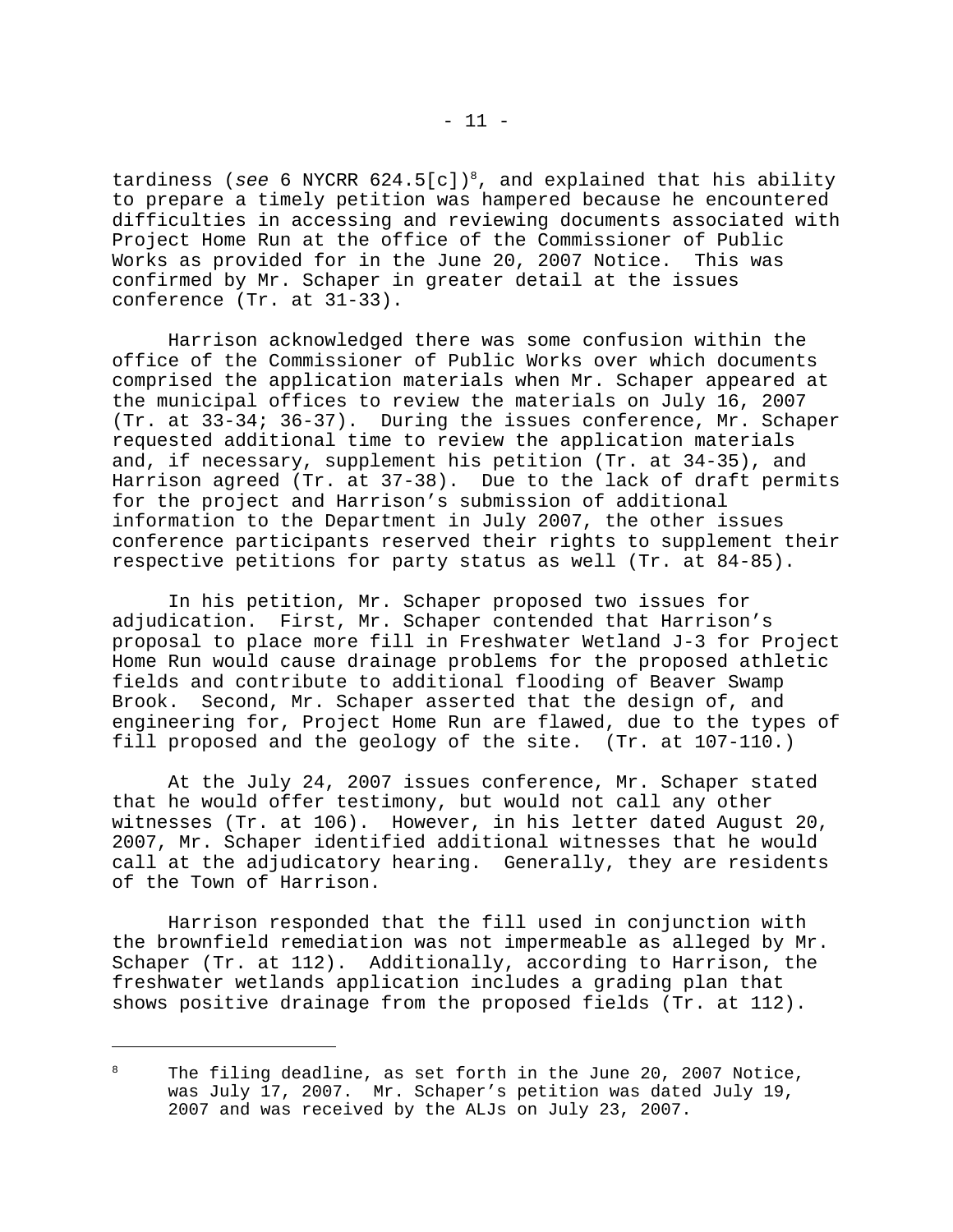tardiness (*see* 6 NYCRR 624.5[c])<sup>8</sup>, and explained that his ability to prepare a timely petition was hampered because he encountered difficulties in accessing and reviewing documents associated with Project Home Run at the office of the Commissioner of Public Works as provided for in the June 20, 2007 Notice. This was confirmed by Mr. Schaper in greater detail at the issues conference (Tr. at 31-33).

Harrison acknowledged there was some confusion within the office of the Commissioner of Public Works over which documents comprised the application materials when Mr. Schaper appeared at the municipal offices to review the materials on July 16, 2007 (Tr. at 33-34; 36-37). During the issues conference, Mr. Schaper requested additional time to review the application materials and, if necessary, supplement his petition (Tr. at 34-35), and Harrison agreed (Tr. at 37-38). Due to the lack of draft permits for the project and Harrison's submission of additional information to the Department in July 2007, the other issues conference participants reserved their rights to supplement their respective petitions for party status as well (Tr. at 84-85).

In his petition, Mr. Schaper proposed two issues for adjudication. First, Mr. Schaper contended that Harrison's proposal to place more fill in Freshwater Wetland J-3 for Project Home Run would cause drainage problems for the proposed athletic fields and contribute to additional flooding of Beaver Swamp Brook. Second, Mr. Schaper asserted that the design of, and engineering for, Project Home Run are flawed, due to the types of fill proposed and the geology of the site. (Tr. at 107-110.)

At the July 24, 2007 issues conference, Mr. Schaper stated that he would offer testimony, but would not call any other witnesses (Tr. at 106). However, in his letter dated August 20, 2007, Mr. Schaper identified additional witnesses that he would call at the adjudicatory hearing. Generally, they are residents of the Town of Harrison.

Harrison responded that the fill used in conjunction with the brownfield remediation was not impermeable as alleged by Mr. Schaper (Tr. at 112). Additionally, according to Harrison, the freshwater wetlands application includes a grading plan that shows positive drainage from the proposed fields (Tr. at 112).

<sup>&</sup>lt;sup>8</sup> The filing deadline, as set forth in the June 20, 2007 Notice, was July 17, 2007. Mr. Schaper's petition was dated July 19, 2007 and was received by the ALJs on July 23, 2007.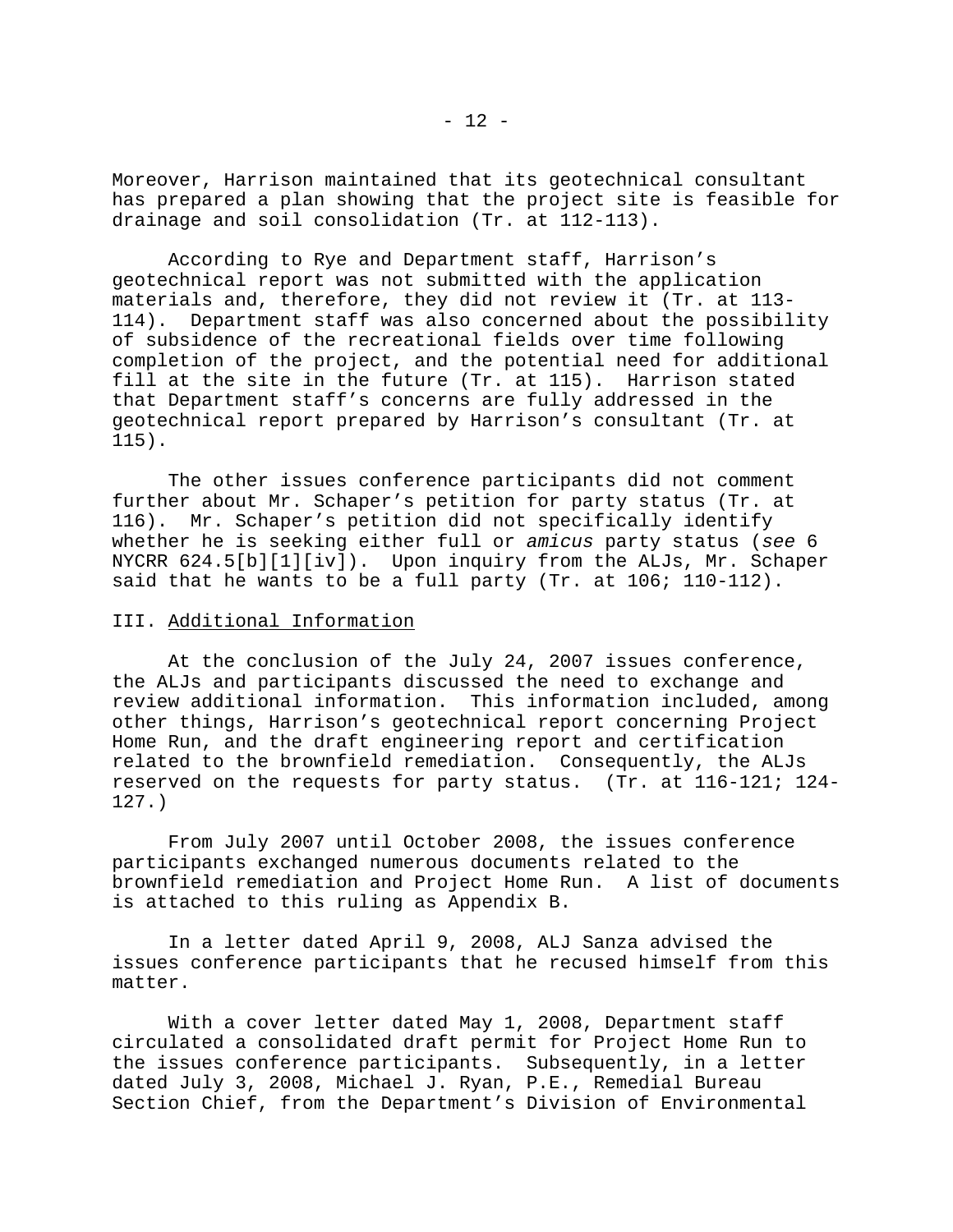Moreover, Harrison maintained that its geotechnical consultant has prepared a plan showing that the project site is feasible for drainage and soil consolidation (Tr. at 112-113).

According to Rye and Department staff, Harrison's geotechnical report was not submitted with the application materials and, therefore, they did not review it (Tr. at 113- 114). Department staff was also concerned about the possibility of subsidence of the recreational fields over time following completion of the project, and the potential need for additional fill at the site in the future (Tr. at 115). Harrison stated that Department staff's concerns are fully addressed in the geotechnical report prepared by Harrison's consultant (Tr. at 115).

The other issues conference participants did not comment further about Mr. Schaper's petition for party status (Tr. at 116). Mr. Schaper's petition did not specifically identify whether he is seeking either full or *amicus* party status (*see* 6 NYCRR 624.5[b][1][iv]). Upon inquiry from the ALJs, Mr. Schaper said that he wants to be a full party (Tr. at 106; 110-112).

## III. Additional Information

At the conclusion of the July 24, 2007 issues conference, the ALJs and participants discussed the need to exchange and review additional information. This information included, among other things, Harrison's geotechnical report concerning Project Home Run, and the draft engineering report and certification related to the brownfield remediation. Consequently, the ALJs reserved on the requests for party status. (Tr. at 116-121; 124- 127.)

From July 2007 until October 2008, the issues conference participants exchanged numerous documents related to the brownfield remediation and Project Home Run. A list of documents is attached to this ruling as Appendix B.

In a letter dated April 9, 2008, ALJ Sanza advised the issues conference participants that he recused himself from this matter.

With a cover letter dated May 1, 2008, Department staff circulated a consolidated draft permit for Project Home Run to the issues conference participants. Subsequently, in a letter dated July 3, 2008, Michael J. Ryan, P.E., Remedial Bureau Section Chief, from the Department's Division of Environmental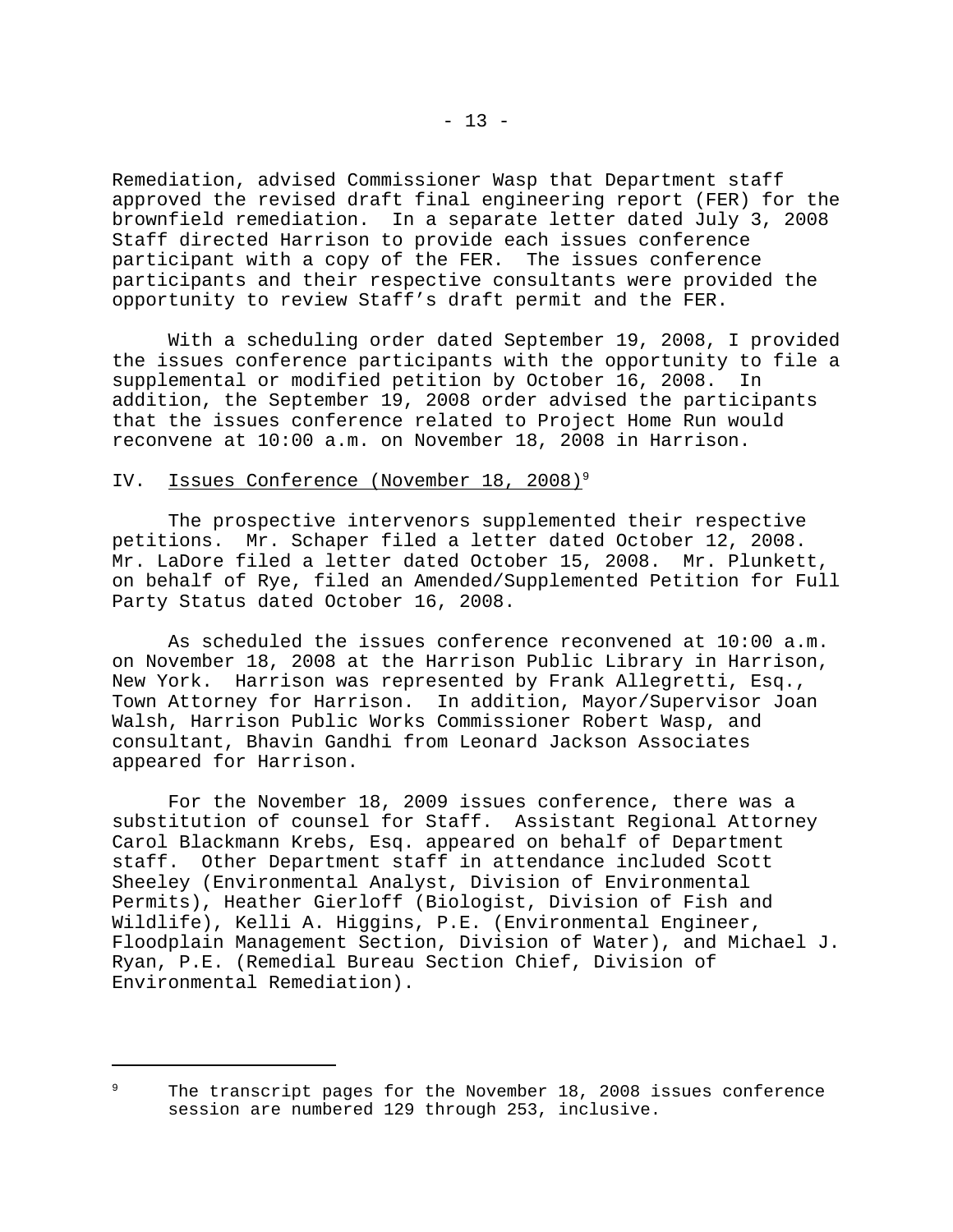Remediation, advised Commissioner Wasp that Department staff approved the revised draft final engineering report (FER) for the brownfield remediation. In a separate letter dated July 3, 2008 Staff directed Harrison to provide each issues conference participant with a copy of the FER. The issues conference participants and their respective consultants were provided the opportunity to review Staff's draft permit and the FER.

With a scheduling order dated September 19, 2008, I provided the issues conference participants with the opportunity to file a supplemental or modified petition by October 16, 2008. In addition, the September 19, 2008 order advised the participants that the issues conference related to Project Home Run would reconvene at 10:00 a.m. on November 18, 2008 in Harrison.

## IV. Issues Conference (November 18, 2008)<sup>9</sup>

The prospective intervenors supplemented their respective petitions. Mr. Schaper filed a letter dated October 12, 2008. Mr. LaDore filed a letter dated October 15, 2008. Mr. Plunkett, on behalf of Rye, filed an Amended/Supplemented Petition for Full Party Status dated October 16, 2008.

As scheduled the issues conference reconvened at 10:00 a.m. on November 18, 2008 at the Harrison Public Library in Harrison, New York. Harrison was represented by Frank Allegretti, Esq., Town Attorney for Harrison. In addition, Mayor/Supervisor Joan Walsh, Harrison Public Works Commissioner Robert Wasp, and consultant, Bhavin Gandhi from Leonard Jackson Associates appeared for Harrison.

For the November 18, 2009 issues conference, there was a substitution of counsel for Staff. Assistant Regional Attorney Carol Blackmann Krebs, Esq. appeared on behalf of Department staff. Other Department staff in attendance included Scott Sheeley (Environmental Analyst, Division of Environmental Permits), Heather Gierloff (Biologist, Division of Fish and Wildlife), Kelli A. Higgins, P.E. (Environmental Engineer, Floodplain Management Section, Division of Water), and Michael J. Ryan, P.E. (Remedial Bureau Section Chief, Division of Environmental Remediation).

 $9$  The transcript pages for the November 18, 2008 issues conference session are numbered 129 through 253, inclusive.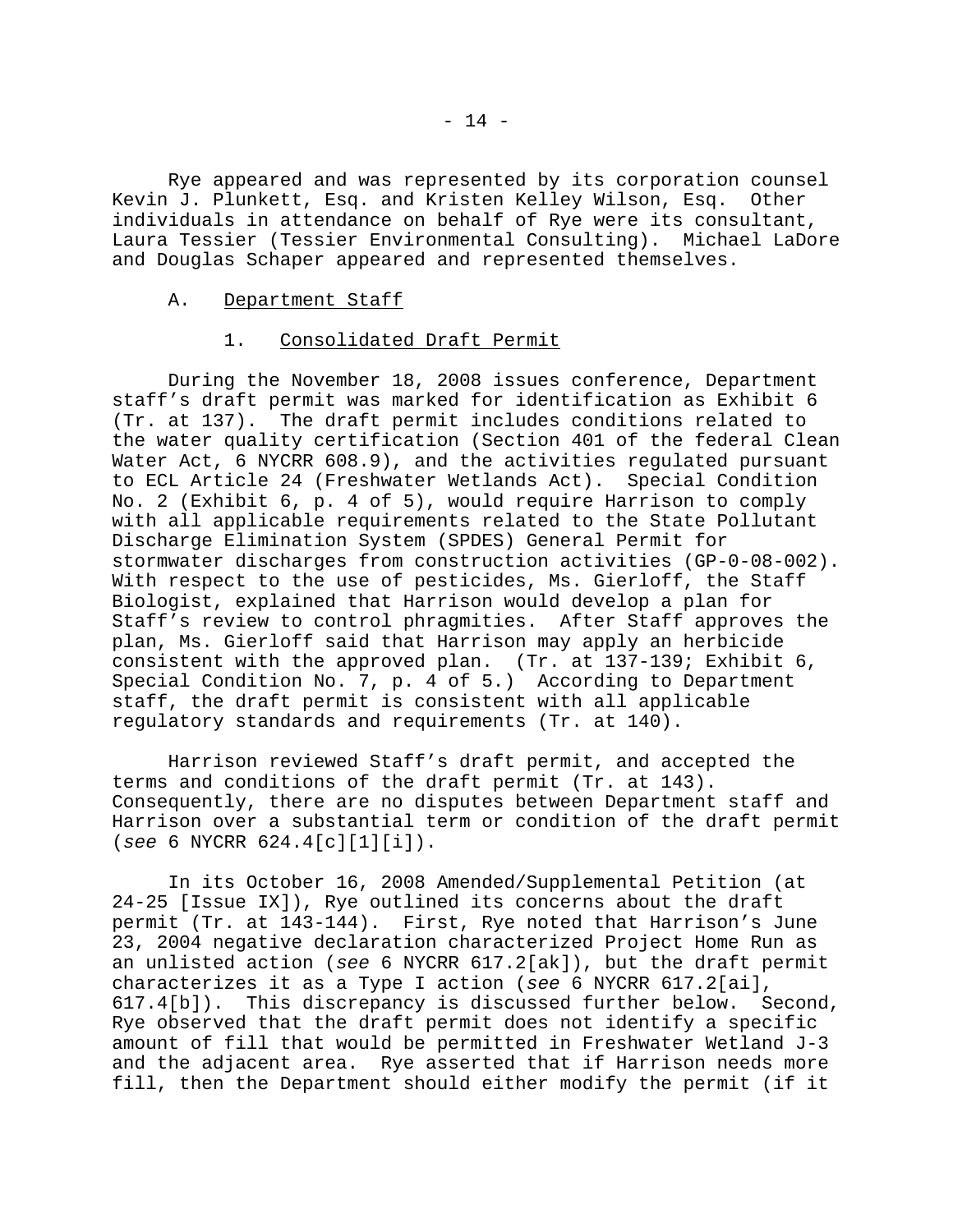Rye appeared and was represented by its corporation counsel Kevin J. Plunkett, Esq. and Kristen Kelley Wilson, Esq. Other individuals in attendance on behalf of Rye were its consultant, Laura Tessier (Tessier Environmental Consulting). Michael LaDore and Douglas Schaper appeared and represented themselves.

## A. Department Staff

# 1. Consolidated Draft Permit

During the November 18, 2008 issues conference, Department staff's draft permit was marked for identification as Exhibit 6 (Tr. at 137). The draft permit includes conditions related to the water quality certification (Section 401 of the federal Clean Water Act, 6 NYCRR 608.9), and the activities regulated pursuant to ECL Article 24 (Freshwater Wetlands Act). Special Condition No. 2 (Exhibit 6, p. 4 of 5), would require Harrison to comply with all applicable requirements related to the State Pollutant Discharge Elimination System (SPDES) General Permit for stormwater discharges from construction activities (GP-0-08-002). With respect to the use of pesticides, Ms. Gierloff, the Staff Biologist, explained that Harrison would develop a plan for Staff's review to control phragmities. After Staff approves the plan, Ms. Gierloff said that Harrison may apply an herbicide consistent with the approved plan. (Tr. at 137-139; Exhibit 6, Special Condition No. 7, p. 4 of 5.) According to Department staff, the draft permit is consistent with all applicable regulatory standards and requirements (Tr. at 140).

Harrison reviewed Staff's draft permit, and accepted the terms and conditions of the draft permit (Tr. at 143). Consequently, there are no disputes between Department staff and Harrison over a substantial term or condition of the draft permit (*see* 6 NYCRR 624.4[c][1][i]).

In its October 16, 2008 Amended/Supplemental Petition (at 24-25 [Issue IX]), Rye outlined its concerns about the draft permit (Tr. at 143-144). First, Rye noted that Harrison's June 23, 2004 negative declaration characterized Project Home Run as an unlisted action (*see* 6 NYCRR 617.2[ak]), but the draft permit characterizes it as a Type I action (*see* 6 NYCRR 617.2[ai], 617.4[b]). This discrepancy is discussed further below. Second, Rye observed that the draft permit does not identify a specific amount of fill that would be permitted in Freshwater Wetland J-3 and the adjacent area. Rye asserted that if Harrison needs more fill, then the Department should either modify the permit (if it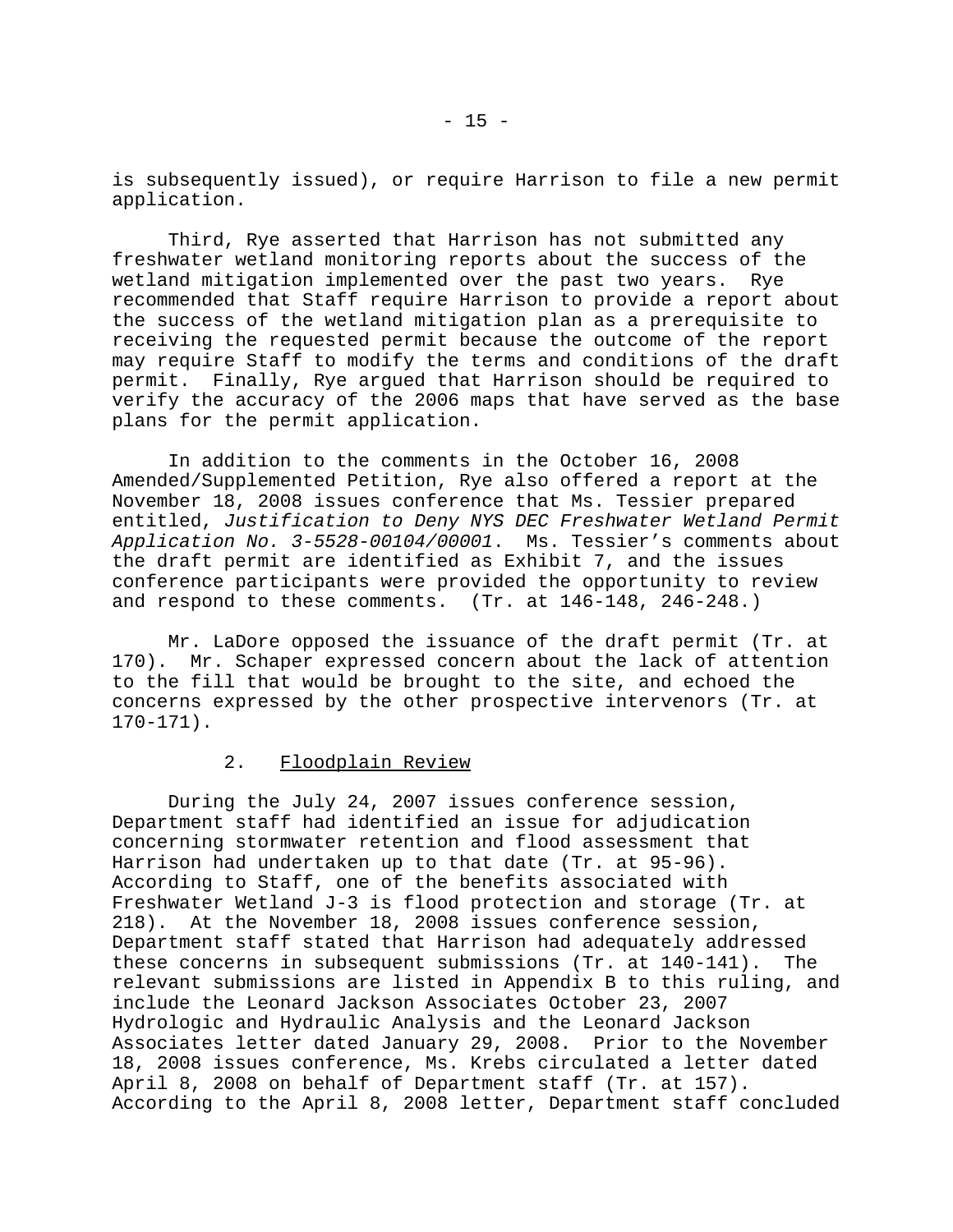is subsequently issued), or require Harrison to file a new permit application.

Third, Rye asserted that Harrison has not submitted any freshwater wetland monitoring reports about the success of the wetland mitigation implemented over the past two years. Rye recommended that Staff require Harrison to provide a report about the success of the wetland mitigation plan as a prerequisite to receiving the requested permit because the outcome of the report may require Staff to modify the terms and conditions of the draft permit. Finally, Rye argued that Harrison should be required to verify the accuracy of the 2006 maps that have served as the base plans for the permit application.

In addition to the comments in the October 16, 2008 Amended/Supplemented Petition, Rye also offered a report at the November 18, 2008 issues conference that Ms. Tessier prepared entitled, *Justification to Deny NYS DEC Freshwater Wetland Permit Application No. 3-5528-00104/00001*. Ms. Tessier's comments about the draft permit are identified as Exhibit 7, and the issues conference participants were provided the opportunity to review and respond to these comments. (Tr. at 146-148, 246-248.)

Mr. LaDore opposed the issuance of the draft permit (Tr. at 170). Mr. Schaper expressed concern about the lack of attention to the fill that would be brought to the site, and echoed the concerns expressed by the other prospective intervenors (Tr. at 170-171).

# 2. Floodplain Review

During the July 24, 2007 issues conference session, Department staff had identified an issue for adjudication concerning stormwater retention and flood assessment that Harrison had undertaken up to that date (Tr. at 95-96). According to Staff, one of the benefits associated with Freshwater Wetland J-3 is flood protection and storage (Tr. at 218). At the November 18, 2008 issues conference session, Department staff stated that Harrison had adequately addressed these concerns in subsequent submissions (Tr. at 140-141). The relevant submissions are listed in Appendix B to this ruling, and include the Leonard Jackson Associates October 23, 2007 Hydrologic and Hydraulic Analysis and the Leonard Jackson Associates letter dated January 29, 2008. Prior to the November 18, 2008 issues conference, Ms. Krebs circulated a letter dated April 8, 2008 on behalf of Department staff (Tr. at 157). According to the April 8, 2008 letter, Department staff concluded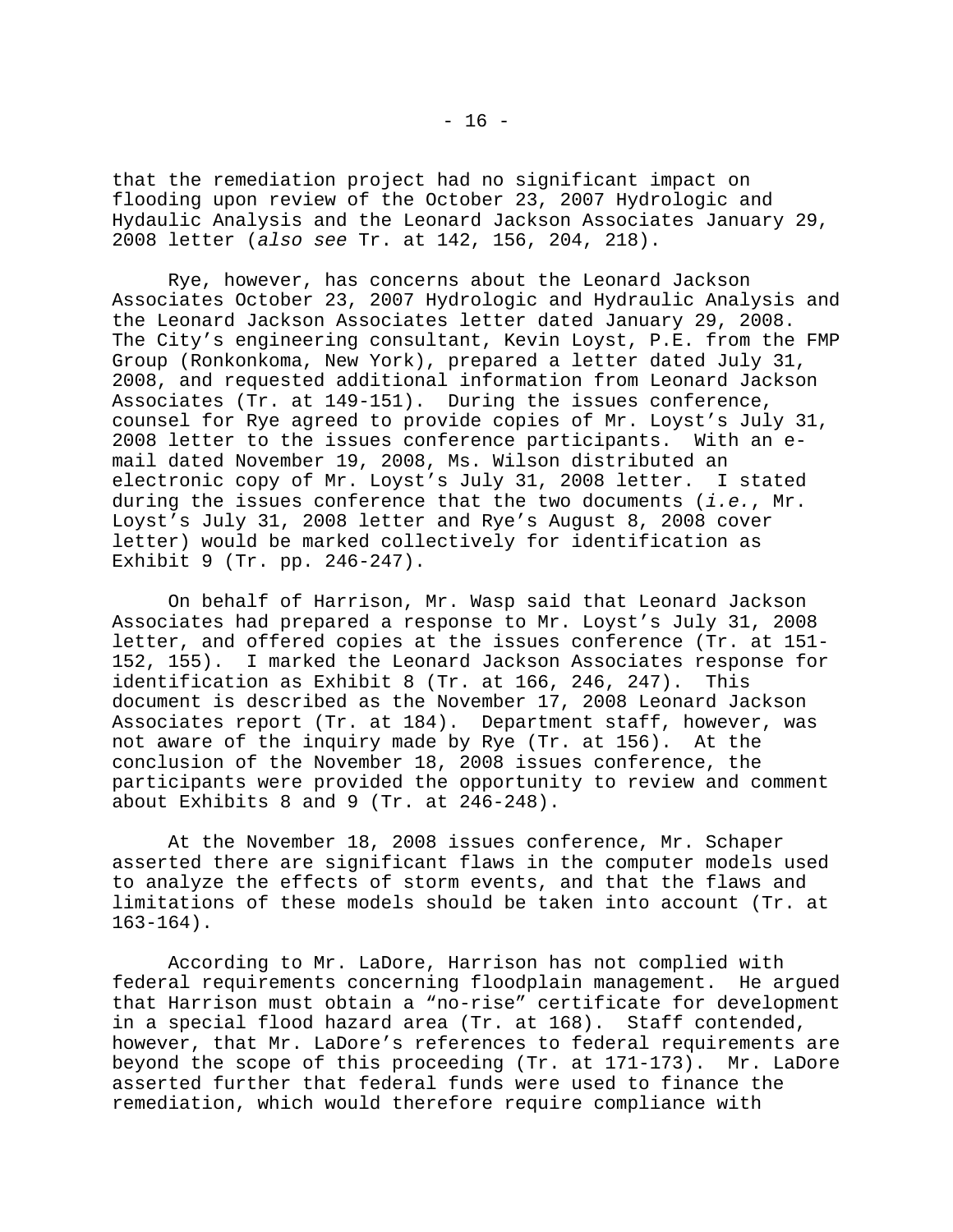that the remediation project had no significant impact on flooding upon review of the October 23, 2007 Hydrologic and Hydaulic Analysis and the Leonard Jackson Associates January 29, 2008 letter (*also see* Tr. at 142, 156, 204, 218).

Rye, however, has concerns about the Leonard Jackson Associates October 23, 2007 Hydrologic and Hydraulic Analysis and the Leonard Jackson Associates letter dated January 29, 2008. The City's engineering consultant, Kevin Loyst, P.E. from the FMP Group (Ronkonkoma, New York), prepared a letter dated July 31, 2008, and requested additional information from Leonard Jackson Associates (Tr. at 149-151). During the issues conference, counsel for Rye agreed to provide copies of Mr. Loyst's July 31, 2008 letter to the issues conference participants. With an email dated November 19, 2008, Ms. Wilson distributed an electronic copy of Mr. Loyst's July 31, 2008 letter. I stated during the issues conference that the two documents (*i.e.*, Mr. Loyst's July 31, 2008 letter and Rye's August 8, 2008 cover letter) would be marked collectively for identification as Exhibit 9 (Tr. pp. 246-247).

On behalf of Harrison, Mr. Wasp said that Leonard Jackson Associates had prepared a response to Mr. Loyst's July 31, 2008 letter, and offered copies at the issues conference (Tr. at 151- 152, 155). I marked the Leonard Jackson Associates response for identification as Exhibit 8 (Tr. at 166, 246, 247). This document is described as the November 17, 2008 Leonard Jackson Associates report (Tr. at 184). Department staff, however, was not aware of the inquiry made by Rye (Tr. at 156). At the conclusion of the November 18, 2008 issues conference, the participants were provided the opportunity to review and comment about Exhibits 8 and 9 (Tr. at 246-248).

At the November 18, 2008 issues conference, Mr. Schaper asserted there are significant flaws in the computer models used to analyze the effects of storm events, and that the flaws and limitations of these models should be taken into account (Tr. at 163-164).

According to Mr. LaDore, Harrison has not complied with federal requirements concerning floodplain management. He argued that Harrison must obtain a "no-rise" certificate for development in a special flood hazard area (Tr. at 168). Staff contended, however, that Mr. LaDore's references to federal requirements are beyond the scope of this proceeding (Tr. at 171-173). Mr. LaDore asserted further that federal funds were used to finance the remediation, which would therefore require compliance with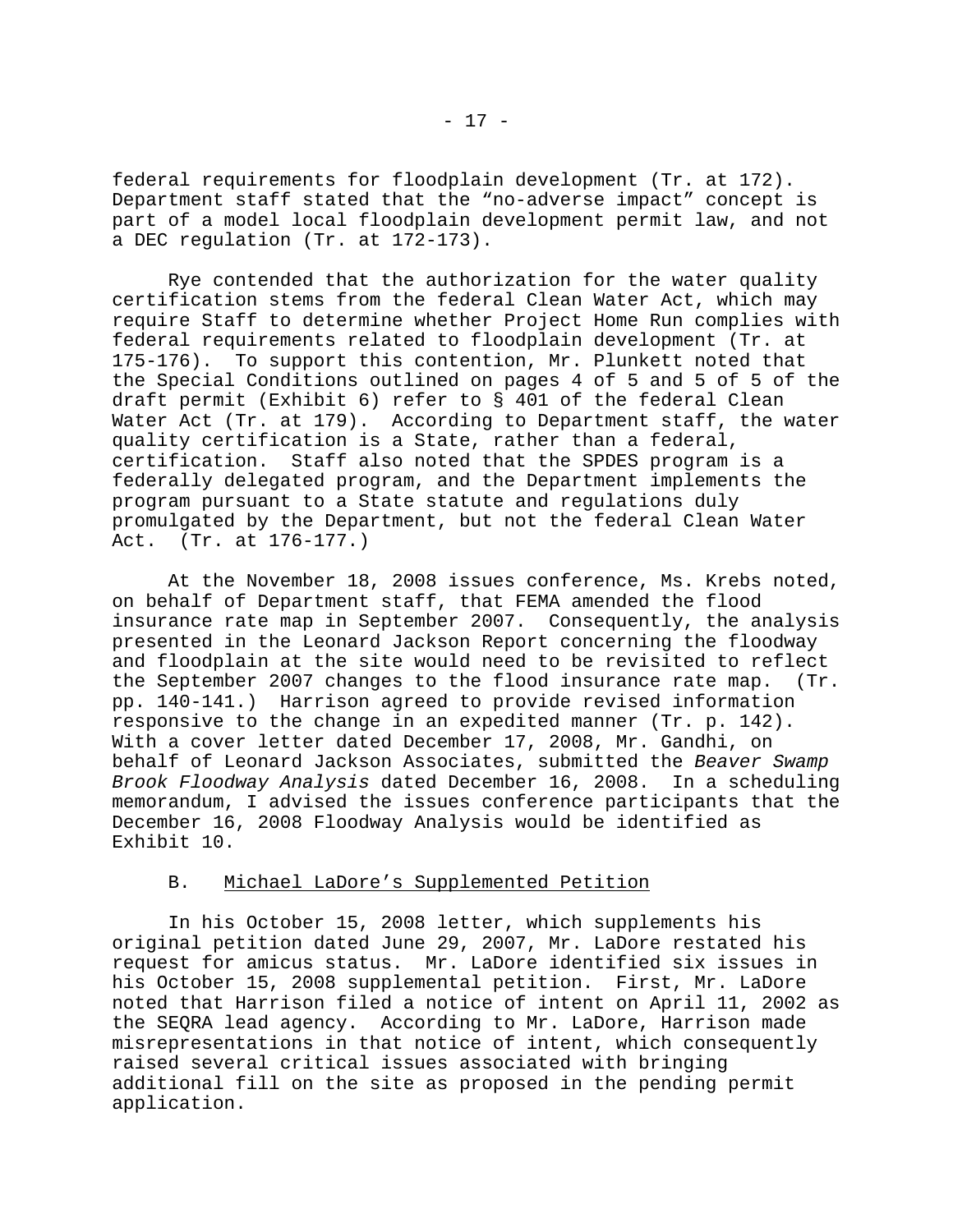federal requirements for floodplain development (Tr. at 172). Department staff stated that the "no-adverse impact" concept is part of a model local floodplain development permit law, and not a DEC regulation (Tr. at 172-173).

Rye contended that the authorization for the water quality certification stems from the federal Clean Water Act, which may require Staff to determine whether Project Home Run complies with federal requirements related to floodplain development (Tr. at 175-176). To support this contention, Mr. Plunkett noted that the Special Conditions outlined on pages 4 of 5 and 5 of 5 of the draft permit (Exhibit 6) refer to § 401 of the federal Clean Water Act (Tr. at 179). According to Department staff, the water quality certification is a State, rather than a federal, certification. Staff also noted that the SPDES program is a federally delegated program, and the Department implements the program pursuant to a State statute and regulations duly promulgated by the Department, but not the federal Clean Water Act. (Tr. at 176-177.)

At the November 18, 2008 issues conference, Ms. Krebs noted, on behalf of Department staff, that FEMA amended the flood insurance rate map in September 2007. Consequently, the analysis presented in the Leonard Jackson Report concerning the floodway and floodplain at the site would need to be revisited to reflect the September 2007 changes to the flood insurance rate map. (Tr. pp. 140-141.) Harrison agreed to provide revised information responsive to the change in an expedited manner (Tr. p. 142). With a cover letter dated December 17, 2008, Mr. Gandhi, on behalf of Leonard Jackson Associates, submitted the *Beaver Swamp Brook Floodway Analysis* dated December 16, 2008. In a scheduling memorandum, I advised the issues conference participants that the December 16, 2008 Floodway Analysis would be identified as Exhibit 10.

# B. Michael LaDore's Supplemented Petition

In his October 15, 2008 letter, which supplements his original petition dated June 29, 2007, Mr. LaDore restated his request for amicus status. Mr. LaDore identified six issues in his October 15, 2008 supplemental petition. First, Mr. LaDore noted that Harrison filed a notice of intent on April 11, 2002 as the SEQRA lead agency. According to Mr. LaDore, Harrison made misrepresentations in that notice of intent, which consequently raised several critical issues associated with bringing additional fill on the site as proposed in the pending permit application.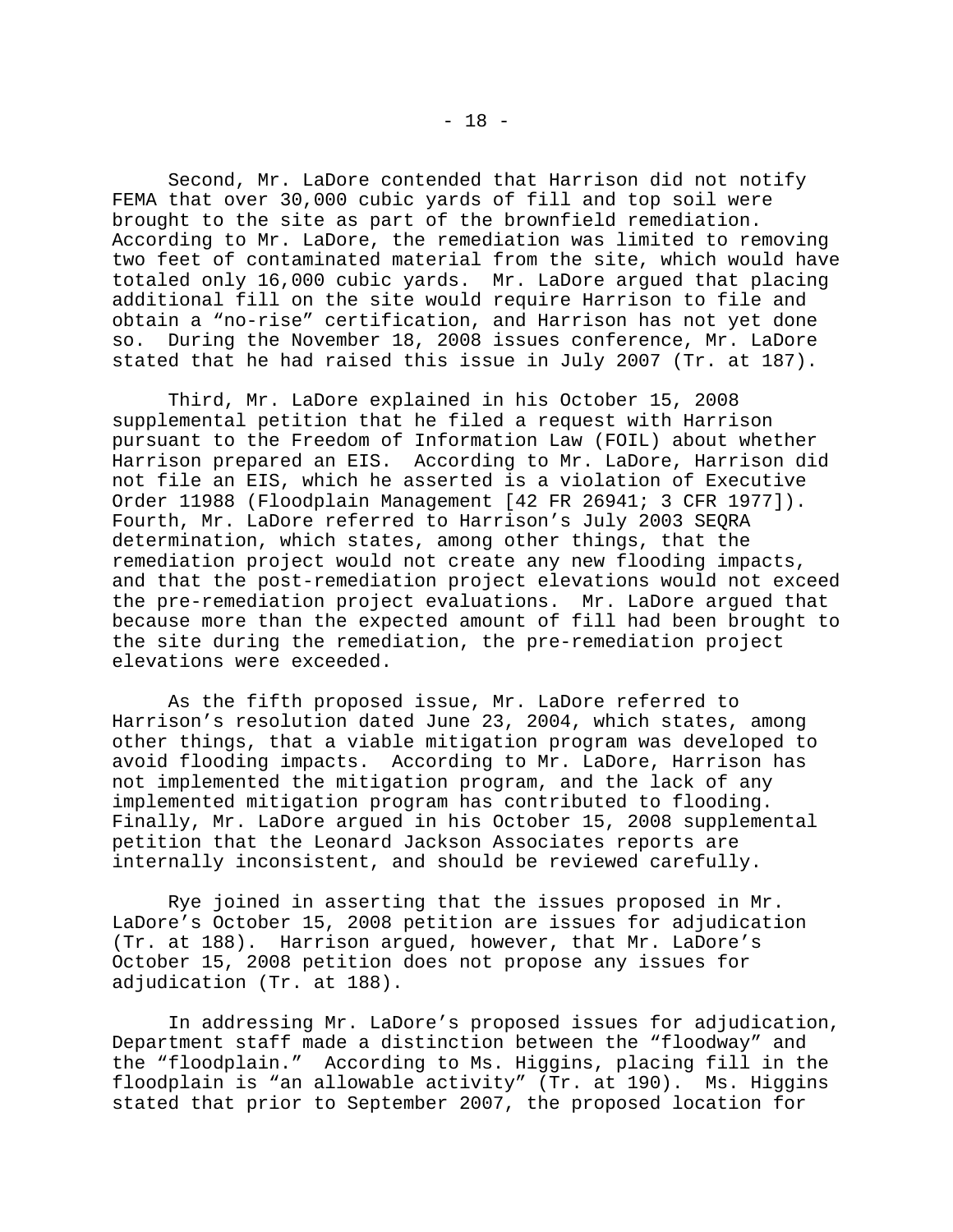Second, Mr. LaDore contended that Harrison did not notify FEMA that over 30,000 cubic yards of fill and top soil were brought to the site as part of the brownfield remediation. According to Mr. LaDore, the remediation was limited to removing two feet of contaminated material from the site, which would have totaled only 16,000 cubic yards. Mr. LaDore argued that placing additional fill on the site would require Harrison to file and obtain a "no-rise" certification, and Harrison has not yet done so. During the November 18, 2008 issues conference, Mr. LaDore stated that he had raised this issue in July 2007 (Tr. at 187).

Third, Mr. LaDore explained in his October 15, 2008 supplemental petition that he filed a request with Harrison pursuant to the Freedom of Information Law (FOIL) about whether Harrison prepared an EIS. According to Mr. LaDore, Harrison did not file an EIS, which he asserted is a violation of Executive Order 11988 (Floodplain Management [42 FR 26941; 3 CFR 1977]). Fourth, Mr. LaDore referred to Harrison's July 2003 SEQRA determination, which states, among other things, that the remediation project would not create any new flooding impacts, and that the post-remediation project elevations would not exceed the pre-remediation project evaluations. Mr. LaDore argued that because more than the expected amount of fill had been brought to the site during the remediation, the pre-remediation project elevations were exceeded.

As the fifth proposed issue, Mr. LaDore referred to Harrison's resolution dated June 23, 2004, which states, among other things, that a viable mitigation program was developed to avoid flooding impacts. According to Mr. LaDore, Harrison has not implemented the mitigation program, and the lack of any implemented mitigation program has contributed to flooding. Finally, Mr. LaDore argued in his October 15, 2008 supplemental petition that the Leonard Jackson Associates reports are internally inconsistent, and should be reviewed carefully.

Rye joined in asserting that the issues proposed in Mr. LaDore's October 15, 2008 petition are issues for adjudication (Tr. at 188). Harrison argued, however, that Mr. LaDore's October 15, 2008 petition does not propose any issues for adjudication (Tr. at 188).

In addressing Mr. LaDore's proposed issues for adjudication, Department staff made a distinction between the "floodway" and the "floodplain." According to Ms. Higgins, placing fill in the floodplain is "an allowable activity" (Tr. at 190). Ms. Higgins stated that prior to September 2007, the proposed location for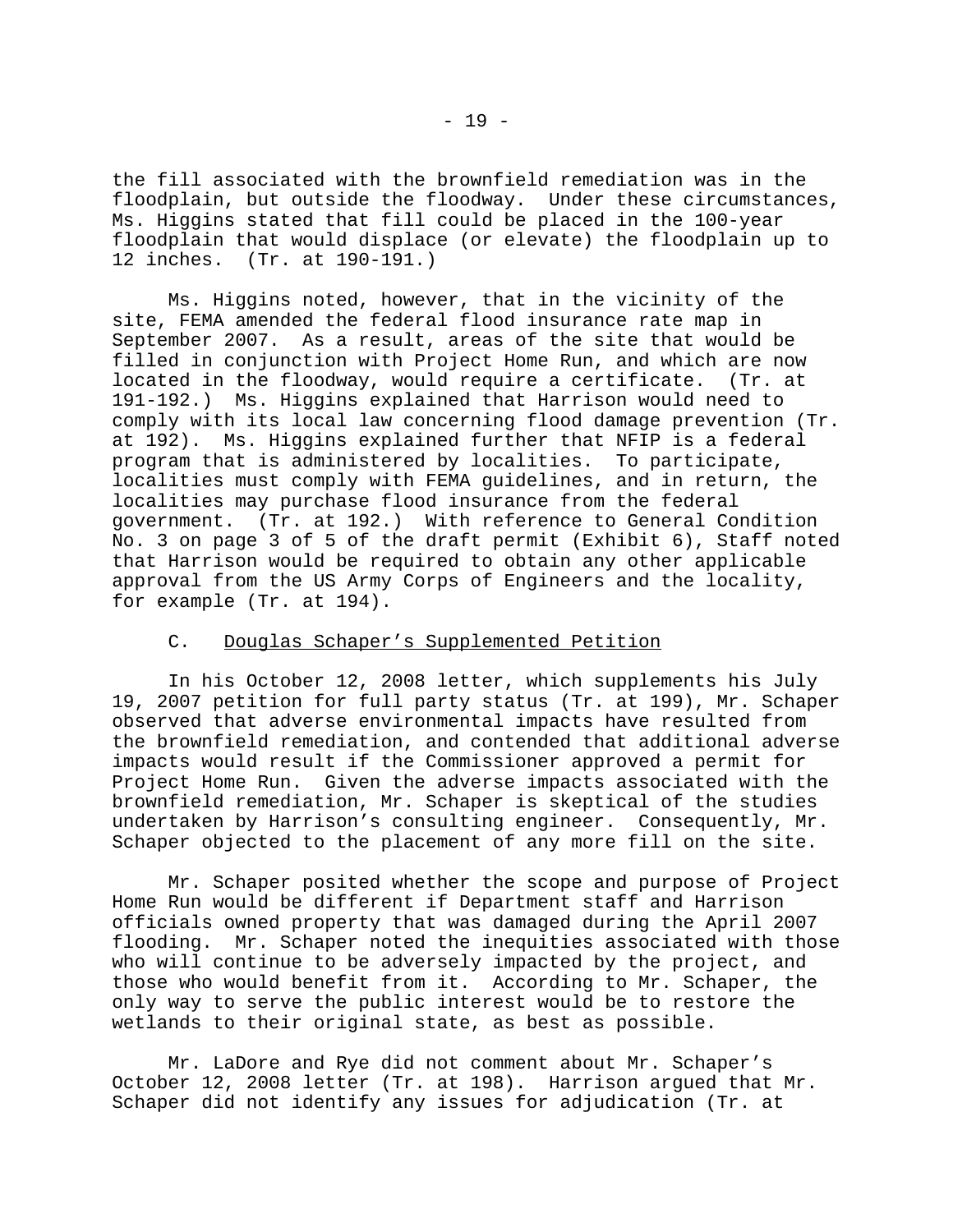the fill associated with the brownfield remediation was in the floodplain, but outside the floodway. Under these circumstances, Ms. Higgins stated that fill could be placed in the 100-year floodplain that would displace (or elevate) the floodplain up to 12 inches. (Tr. at 190-191.)

Ms. Higgins noted, however, that in the vicinity of the site, FEMA amended the federal flood insurance rate map in September 2007. As a result, areas of the site that would be filled in conjunction with Project Home Run, and which are now located in the floodway, would require a certificate. (Tr. at 191-192.) Ms. Higgins explained that Harrison would need to comply with its local law concerning flood damage prevention (Tr. at 192). Ms. Higgins explained further that NFIP is a federal program that is administered by localities. To participate, localities must comply with FEMA guidelines, and in return, the localities may purchase flood insurance from the federal government. (Tr. at 192.) With reference to General Condition No. 3 on page 3 of 5 of the draft permit (Exhibit 6), Staff noted that Harrison would be required to obtain any other applicable approval from the US Army Corps of Engineers and the locality, for example (Tr. at 194).

# C. Douglas Schaper's Supplemented Petition

In his October 12, 2008 letter, which supplements his July 19, 2007 petition for full party status (Tr. at 199), Mr. Schaper observed that adverse environmental impacts have resulted from the brownfield remediation, and contended that additional adverse impacts would result if the Commissioner approved a permit for Project Home Run. Given the adverse impacts associated with the brownfield remediation, Mr. Schaper is skeptical of the studies undertaken by Harrison's consulting engineer. Consequently, Mr. Schaper objected to the placement of any more fill on the site.

Mr. Schaper posited whether the scope and purpose of Project Home Run would be different if Department staff and Harrison officials owned property that was damaged during the April 2007 flooding. Mr. Schaper noted the inequities associated with those who will continue to be adversely impacted by the project, and those who would benefit from it. According to Mr. Schaper, the only way to serve the public interest would be to restore the wetlands to their original state, as best as possible.

Mr. LaDore and Rye did not comment about Mr. Schaper's October 12, 2008 letter (Tr. at 198). Harrison argued that Mr. Schaper did not identify any issues for adjudication (Tr. at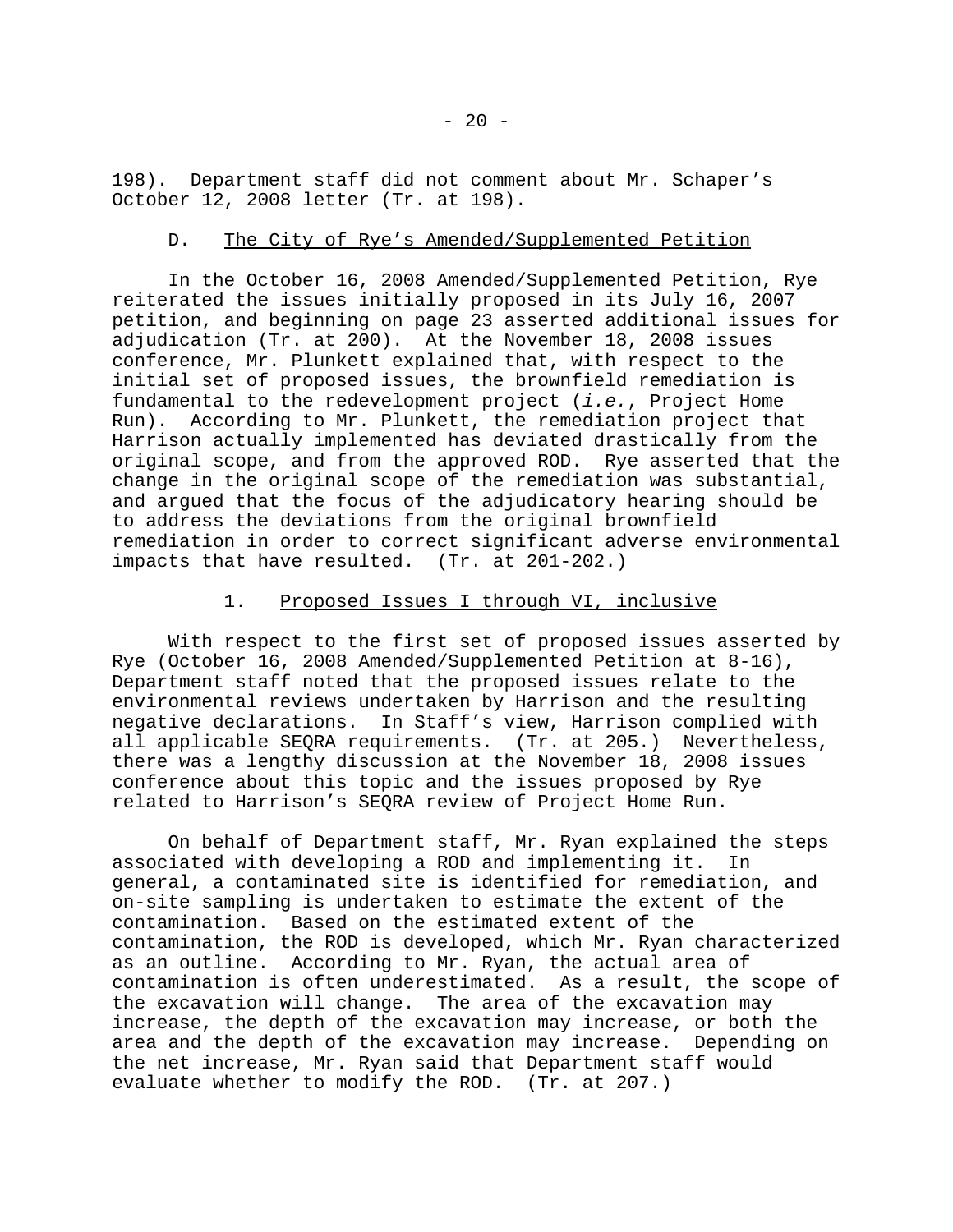198). Department staff did not comment about Mr. Schaper's October 12, 2008 letter (Tr. at 198).

# D. The City of Rye's Amended/Supplemented Petition

In the October 16, 2008 Amended/Supplemented Petition, Rye reiterated the issues initially proposed in its July 16, 2007 petition, and beginning on page 23 asserted additional issues for adjudication (Tr. at 200). At the November 18, 2008 issues conference, Mr. Plunkett explained that, with respect to the initial set of proposed issues, the brownfield remediation is fundamental to the redevelopment project (*i.e.*, Project Home Run). According to Mr. Plunkett, the remediation project that Harrison actually implemented has deviated drastically from the original scope, and from the approved ROD. Rye asserted that the change in the original scope of the remediation was substantial, and argued that the focus of the adjudicatory hearing should be to address the deviations from the original brownfield remediation in order to correct significant adverse environmental impacts that have resulted. (Tr. at 201-202.)

# 1. Proposed Issues I through VI, inclusive

With respect to the first set of proposed issues asserted by Rye (October 16, 2008 Amended/Supplemented Petition at 8-16), Department staff noted that the proposed issues relate to the environmental reviews undertaken by Harrison and the resulting negative declarations. In Staff's view, Harrison complied with all applicable SEQRA requirements. (Tr. at 205.) Nevertheless, there was a lengthy discussion at the November 18, 2008 issues conference about this topic and the issues proposed by Rye related to Harrison's SEQRA review of Project Home Run.

On behalf of Department staff, Mr. Ryan explained the steps associated with developing a ROD and implementing it. In general, a contaminated site is identified for remediation, and on-site sampling is undertaken to estimate the extent of the contamination. Based on the estimated extent of the contamination, the ROD is developed, which Mr. Ryan characterized as an outline. According to Mr. Ryan, the actual area of contamination is often underestimated. As a result, the scope of the excavation will change. The area of the excavation may increase, the depth of the excavation may increase, or both the area and the depth of the excavation may increase. Depending on the net increase, Mr. Ryan said that Department staff would evaluate whether to modify the ROD. (Tr. at 207.)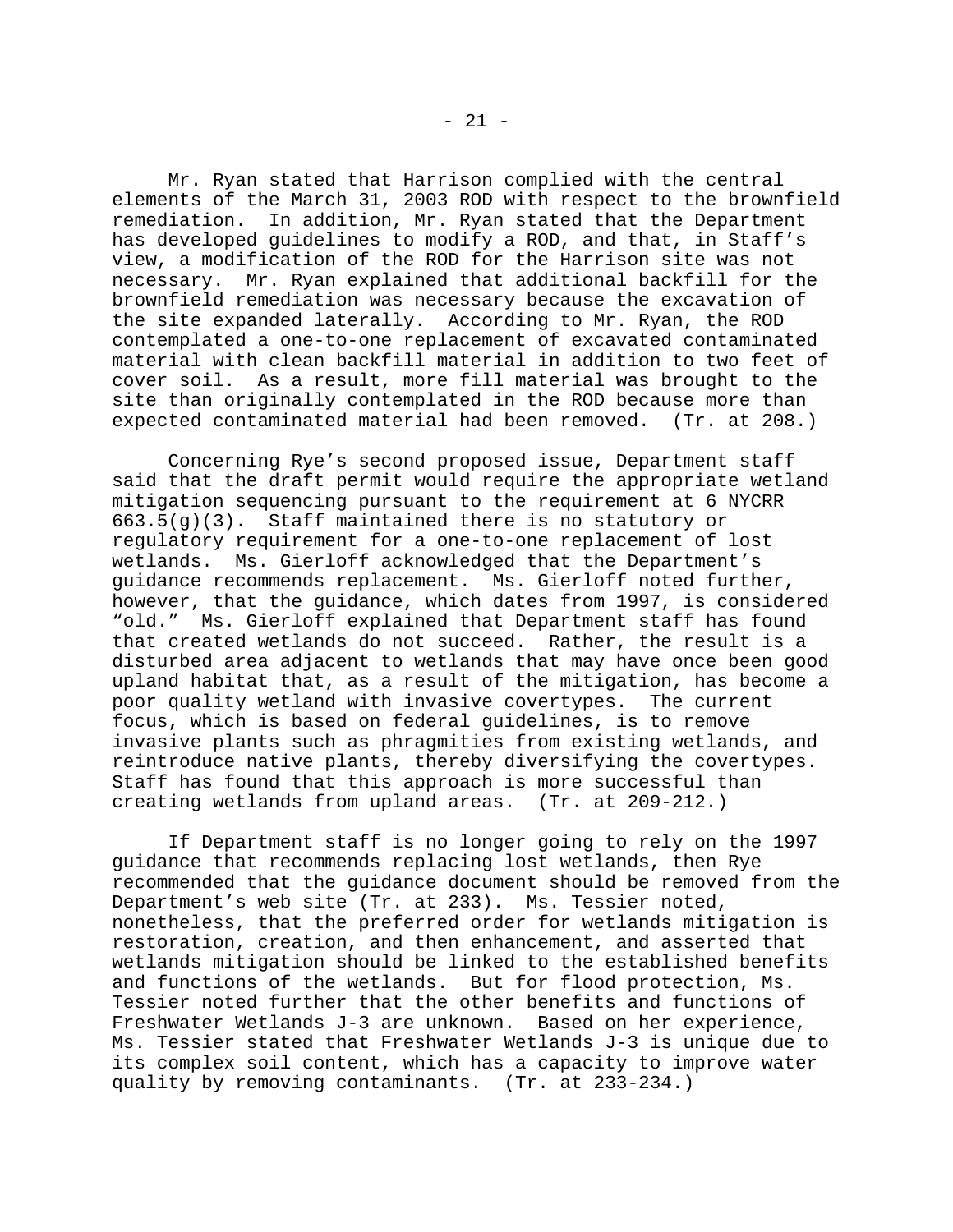Mr. Ryan stated that Harrison complied with the central elements of the March 31, 2003 ROD with respect to the brownfield remediation. In addition, Mr. Ryan stated that the Department has developed guidelines to modify a ROD, and that, in Staff's view, a modification of the ROD for the Harrison site was not necessary. Mr. Ryan explained that additional backfill for the brownfield remediation was necessary because the excavation of the site expanded laterally. According to Mr. Ryan, the ROD contemplated a one-to-one replacement of excavated contaminated material with clean backfill material in addition to two feet of cover soil. As a result, more fill material was brought to the site than originally contemplated in the ROD because more than expected contaminated material had been removed. (Tr. at 208.)

Concerning Rye's second proposed issue, Department staff said that the draft permit would require the appropriate wetland mitigation sequencing pursuant to the requirement at 6 NYCRR 663.5(g)(3). Staff maintained there is no statutory or regulatory requirement for a one-to-one replacement of lost wetlands. Ms. Gierloff acknowledged that the Department's guidance recommends replacement. Ms. Gierloff noted further, however, that the guidance, which dates from 1997, is considered "old." Ms. Gierloff explained that Department staff has found that created wetlands do not succeed. Rather, the result is a disturbed area adjacent to wetlands that may have once been good upland habitat that, as a result of the mitigation, has become a poor quality wetland with invasive covertypes. The current focus, which is based on federal guidelines, is to remove invasive plants such as phragmities from existing wetlands, and reintroduce native plants, thereby diversifying the covertypes. Staff has found that this approach is more successful than creating wetlands from upland areas. (Tr. at 209-212.)

If Department staff is no longer going to rely on the 1997 guidance that recommends replacing lost wetlands, then Rye recommended that the guidance document should be removed from the Department's web site (Tr. at 233). Ms. Tessier noted, nonetheless, that the preferred order for wetlands mitigation is restoration, creation, and then enhancement, and asserted that wetlands mitigation should be linked to the established benefits and functions of the wetlands. But for flood protection, Ms. Tessier noted further that the other benefits and functions of Freshwater Wetlands J-3 are unknown. Based on her experience, Ms. Tessier stated that Freshwater Wetlands J-3 is unique due to its complex soil content, which has a capacity to improve water quality by removing contaminants. (Tr. at 233-234.)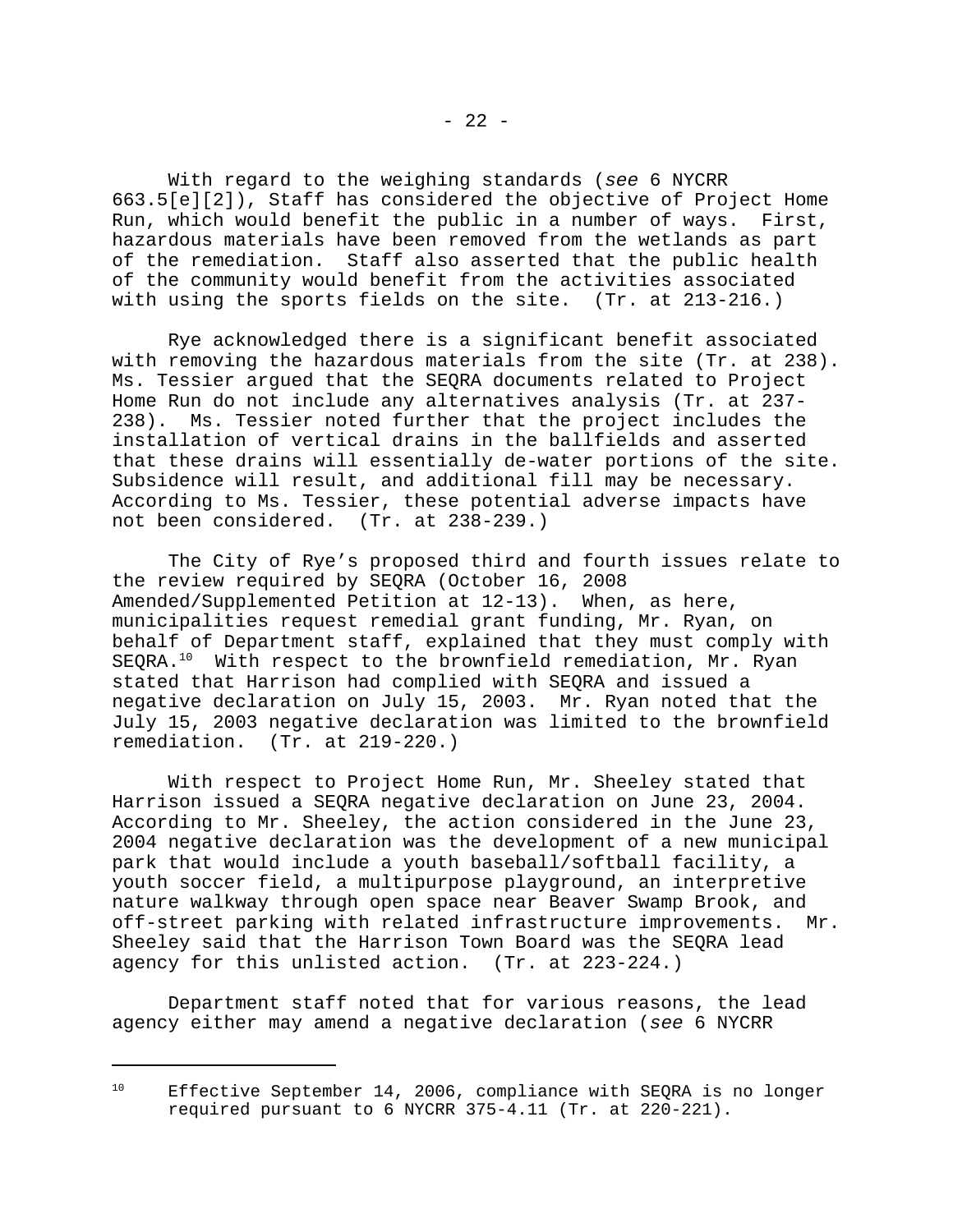With regard to the weighing standards (*see* 6 NYCRR 663.5[e][2]), Staff has considered the objective of Project Home Run, which would benefit the public in a number of ways. First, hazardous materials have been removed from the wetlands as part of the remediation. Staff also asserted that the public health of the community would benefit from the activities associated with using the sports fields on the site. (Tr. at 213-216.)

Rye acknowledged there is a significant benefit associated with removing the hazardous materials from the site (Tr. at 238). Ms. Tessier argued that the SEQRA documents related to Project Home Run do not include any alternatives analysis (Tr. at 237- 238). Ms. Tessier noted further that the project includes the installation of vertical drains in the ballfields and asserted that these drains will essentially de-water portions of the site. Subsidence will result, and additional fill may be necessary. According to Ms. Tessier, these potential adverse impacts have not been considered. (Tr. at 238-239.)

The City of Rye's proposed third and fourth issues relate to the review required by SEQRA (October 16, 2008 Amended/Supplemented Petition at 12-13). When, as here, municipalities request remedial grant funding, Mr. Ryan, on behalf of Department staff, explained that they must comply with SEQRA.<sup>10</sup> With respect to the brownfield remediation, Mr. Ryan stated that Harrison had complied with SEQRA and issued a negative declaration on July 15, 2003. Mr. Ryan noted that the July 15, 2003 negative declaration was limited to the brownfield remediation. (Tr. at 219-220.)

With respect to Project Home Run, Mr. Sheeley stated that Harrison issued a SEQRA negative declaration on June 23, 2004. According to Mr. Sheeley, the action considered in the June 23, 2004 negative declaration was the development of a new municipal park that would include a youth baseball/softball facility, a youth soccer field, a multipurpose playground, an interpretive nature walkway through open space near Beaver Swamp Brook, and off-street parking with related infrastructure improvements. Mr. Sheeley said that the Harrison Town Board was the SEQRA lead agency for this unlisted action. (Tr. at 223-224.)

Department staff noted that for various reasons, the lead agency either may amend a negative declaration (*see* 6 NYCRR

<sup>&</sup>lt;sup>10</sup> Effective September 14, 2006, compliance with SEQRA is no longer required pursuant to 6 NYCRR 375-4.11 (Tr. at 220-221).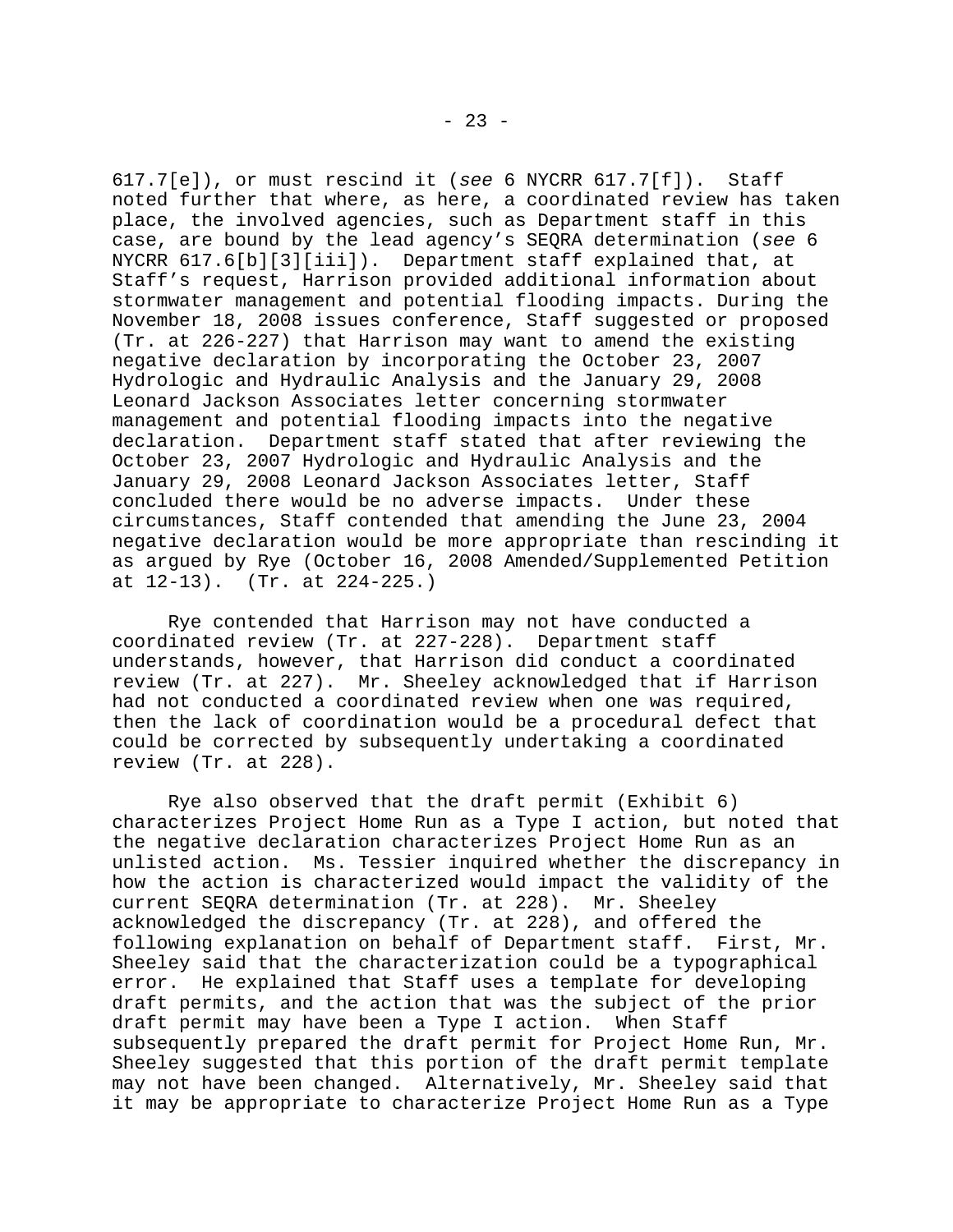617.7[e]), or must rescind it (*see* 6 NYCRR 617.7[f]). Staff noted further that where, as here, a coordinated review has taken place, the involved agencies, such as Department staff in this case, are bound by the lead agency's SEQRA determination (*see* 6 NYCRR 617.6[b][3][iii]). Department staff explained that, at Staff's request, Harrison provided additional information about stormwater management and potential flooding impacts. During the November 18, 2008 issues conference, Staff suggested or proposed (Tr. at 226-227) that Harrison may want to amend the existing negative declaration by incorporating the October 23, 2007 Hydrologic and Hydraulic Analysis and the January 29, 2008 Leonard Jackson Associates letter concerning stormwater management and potential flooding impacts into the negative declaration. Department staff stated that after reviewing the October 23, 2007 Hydrologic and Hydraulic Analysis and the January 29, 2008 Leonard Jackson Associates letter, Staff concluded there would be no adverse impacts. Under these circumstances, Staff contended that amending the June 23, 2004 negative declaration would be more appropriate than rescinding it as argued by Rye (October 16, 2008 Amended/Supplemented Petition at 12-13). (Tr. at 224-225.)

Rye contended that Harrison may not have conducted a coordinated review (Tr. at 227-228). Department staff understands, however, that Harrison did conduct a coordinated review (Tr. at 227). Mr. Sheeley acknowledged that if Harrison had not conducted a coordinated review when one was required, then the lack of coordination would be a procedural defect that could be corrected by subsequently undertaking a coordinated review (Tr. at 228).

Rye also observed that the draft permit (Exhibit 6) characterizes Project Home Run as a Type I action, but noted that the negative declaration characterizes Project Home Run as an unlisted action. Ms. Tessier inquired whether the discrepancy in how the action is characterized would impact the validity of the current SEQRA determination (Tr. at 228). Mr. Sheeley acknowledged the discrepancy (Tr. at 228), and offered the following explanation on behalf of Department staff. First, Mr. Sheeley said that the characterization could be a typographical error. He explained that Staff uses a template for developing draft permits, and the action that was the subject of the prior draft permit may have been a Type I action. When Staff subsequently prepared the draft permit for Project Home Run, Mr. Sheeley suggested that this portion of the draft permit template may not have been changed. Alternatively, Mr. Sheeley said that it may be appropriate to characterize Project Home Run as a Type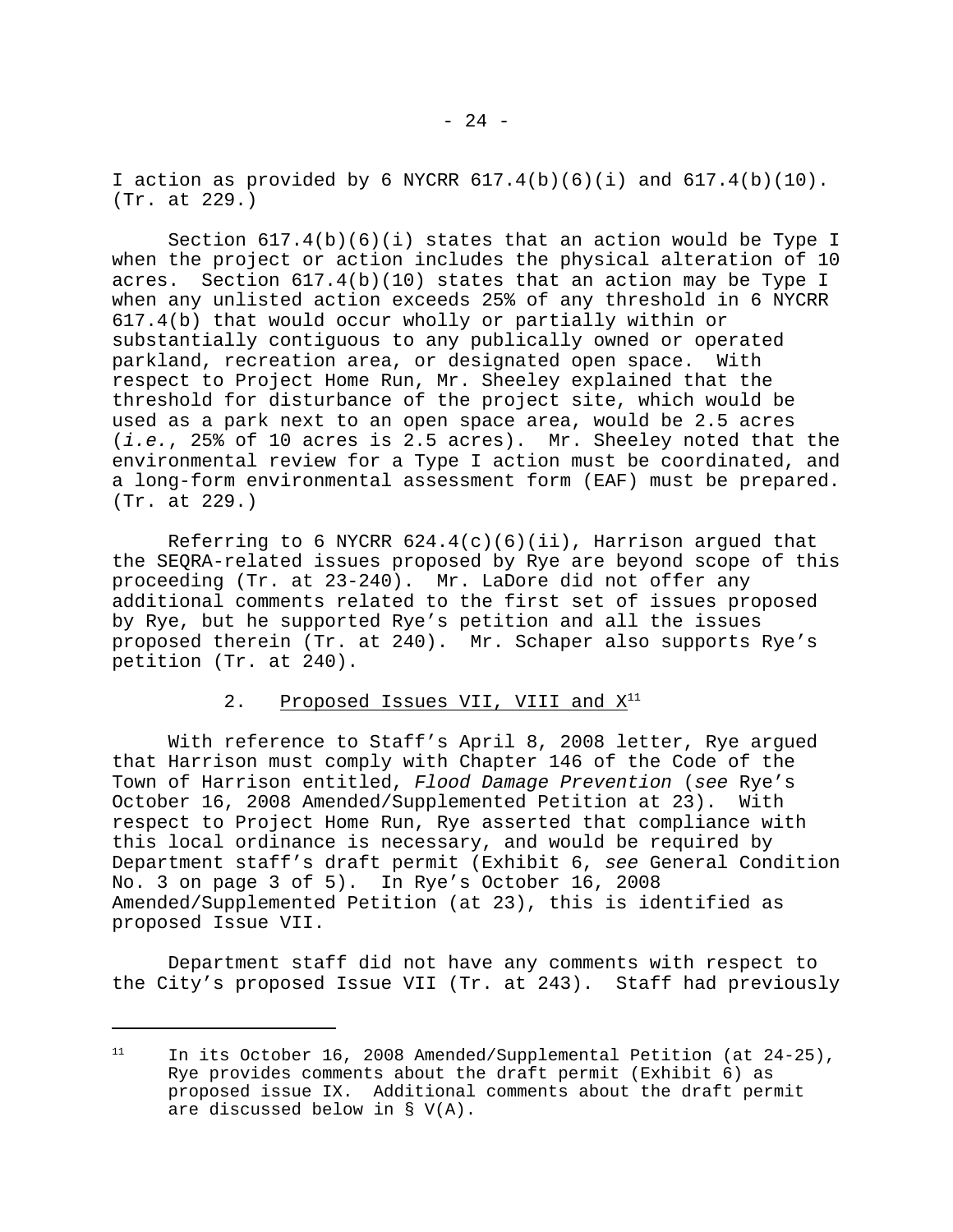I action as provided by 6 NYCRR  $617.4(b)(6)(i)$  and  $617.4(b)(10)$ . (Tr. at 229.)

Section  $617.4(b)(6)(i)$  states that an action would be Type I when the project or action includes the physical alteration of 10 acres. Section  $617.4(b)(10)$  states that an action may be Type I when any unlisted action exceeds 25% of any threshold in 6 NYCRR 617.4(b) that would occur wholly or partially within or substantially contiguous to any publically owned or operated parkland, recreation area, or designated open space. With respect to Project Home Run, Mr. Sheeley explained that the threshold for disturbance of the project site, which would be used as a park next to an open space area, would be 2.5 acres (*i.e.*, 25% of 10 acres is 2.5 acres). Mr. Sheeley noted that the environmental review for a Type I action must be coordinated, and a long-form environmental assessment form (EAF) must be prepared. (Tr. at 229.)

Referring to 6 NYCRR  $624.4(c)(6)(ii)$ , Harrison arqued that the SEQRA-related issues proposed by Rye are beyond scope of this proceeding (Tr. at 23-240). Mr. LaDore did not offer any additional comments related to the first set of issues proposed by Rye, but he supported Rye's petition and all the issues proposed therein (Tr. at 240). Mr. Schaper also supports Rye's petition (Tr. at 240).

# 2. Proposed Issues VII, VIII and  $X^{11}$

With reference to Staff's April 8, 2008 letter, Rye argued that Harrison must comply with Chapter 146 of the Code of the Town of Harrison entitled, *Flood Damage Prevention* (*see* Rye's October 16, 2008 Amended/Supplemented Petition at 23). With respect to Project Home Run, Rye asserted that compliance with this local ordinance is necessary, and would be required by Department staff's draft permit (Exhibit 6, *see* General Condition No. 3 on page 3 of 5). In Rye's October 16, 2008 Amended/Supplemented Petition (at 23), this is identified as proposed Issue VII.

Department staff did not have any comments with respect to the City's proposed Issue VII (Tr. at 243). Staff had previously

<sup>&</sup>lt;sup>11</sup> In its October 16, 2008 Amended/Supplemental Petition (at  $24-25$ ), Rye provides comments about the draft permit (Exhibit 6) as proposed issue IX. Additional comments about the draft permit are discussed below in § V(A).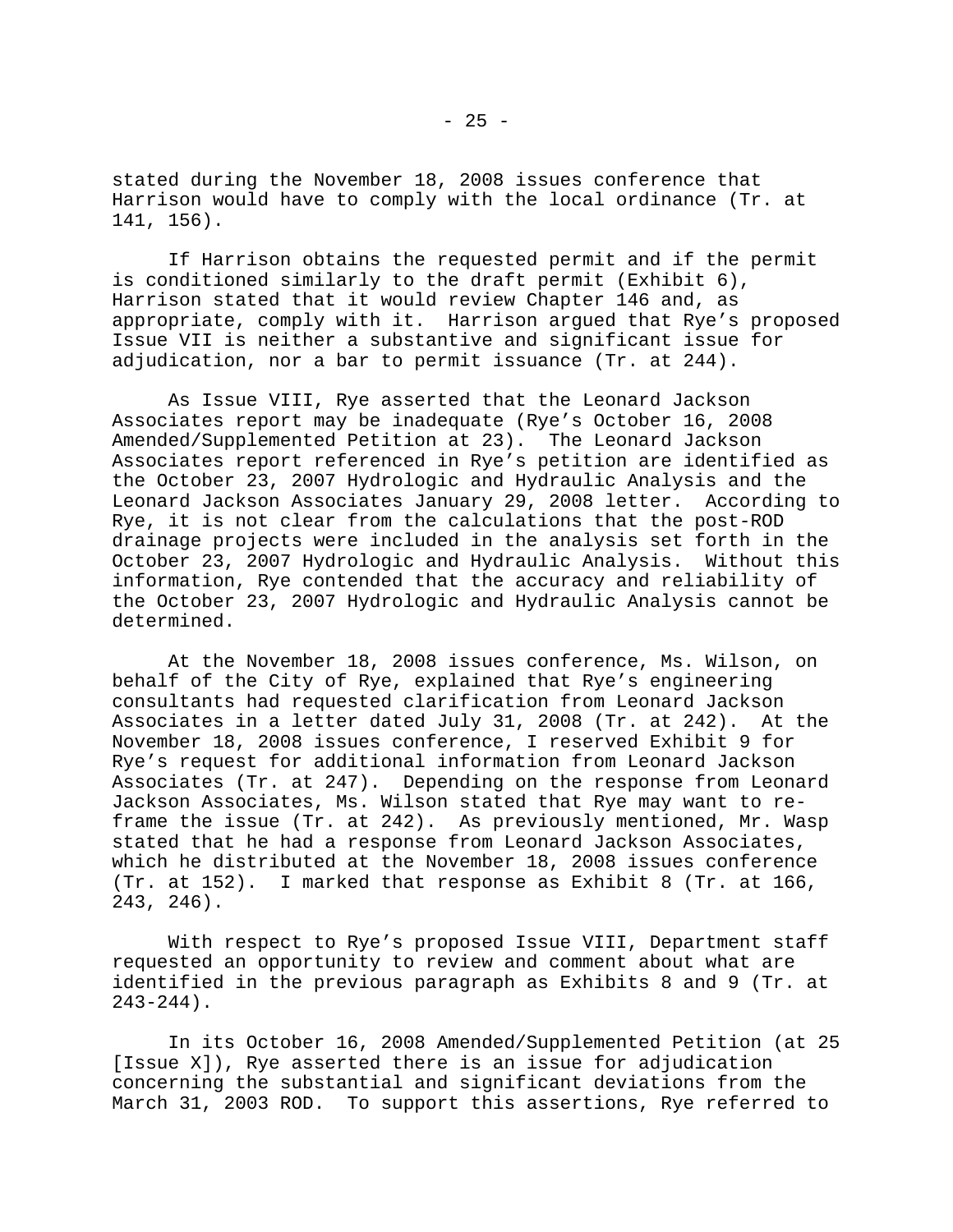stated during the November 18, 2008 issues conference that Harrison would have to comply with the local ordinance (Tr. at 141, 156).

If Harrison obtains the requested permit and if the permit is conditioned similarly to the draft permit (Exhibit 6), Harrison stated that it would review Chapter 146 and, as appropriate, comply with it. Harrison argued that Rye's proposed Issue VII is neither a substantive and significant issue for adjudication, nor a bar to permit issuance (Tr. at 244).

As Issue VIII, Rye asserted that the Leonard Jackson Associates report may be inadequate (Rye's October 16, 2008 Amended/Supplemented Petition at 23). The Leonard Jackson Associates report referenced in Rye's petition are identified as the October 23, 2007 Hydrologic and Hydraulic Analysis and the Leonard Jackson Associates January 29, 2008 letter. According to Rye, it is not clear from the calculations that the post-ROD drainage projects were included in the analysis set forth in the October 23, 2007 Hydrologic and Hydraulic Analysis. Without this information, Rye contended that the accuracy and reliability of the October 23, 2007 Hydrologic and Hydraulic Analysis cannot be determined.

At the November 18, 2008 issues conference, Ms. Wilson, on behalf of the City of Rye, explained that Rye's engineering consultants had requested clarification from Leonard Jackson Associates in a letter dated July 31, 2008 (Tr. at 242). At the November 18, 2008 issues conference, I reserved Exhibit 9 for Rye's request for additional information from Leonard Jackson Associates (Tr. at 247). Depending on the response from Leonard Jackson Associates, Ms. Wilson stated that Rye may want to reframe the issue (Tr. at 242). As previously mentioned, Mr. Wasp stated that he had a response from Leonard Jackson Associates, which he distributed at the November 18, 2008 issues conference (Tr. at 152). I marked that response as Exhibit 8 (Tr. at 166, 243, 246).

With respect to Rye's proposed Issue VIII, Department staff requested an opportunity to review and comment about what are identified in the previous paragraph as Exhibits 8 and 9 (Tr. at 243-244).

In its October 16, 2008 Amended/Supplemented Petition (at 25 [Issue X]), Rye asserted there is an issue for adjudication concerning the substantial and significant deviations from the March 31, 2003 ROD. To support this assertions, Rye referred to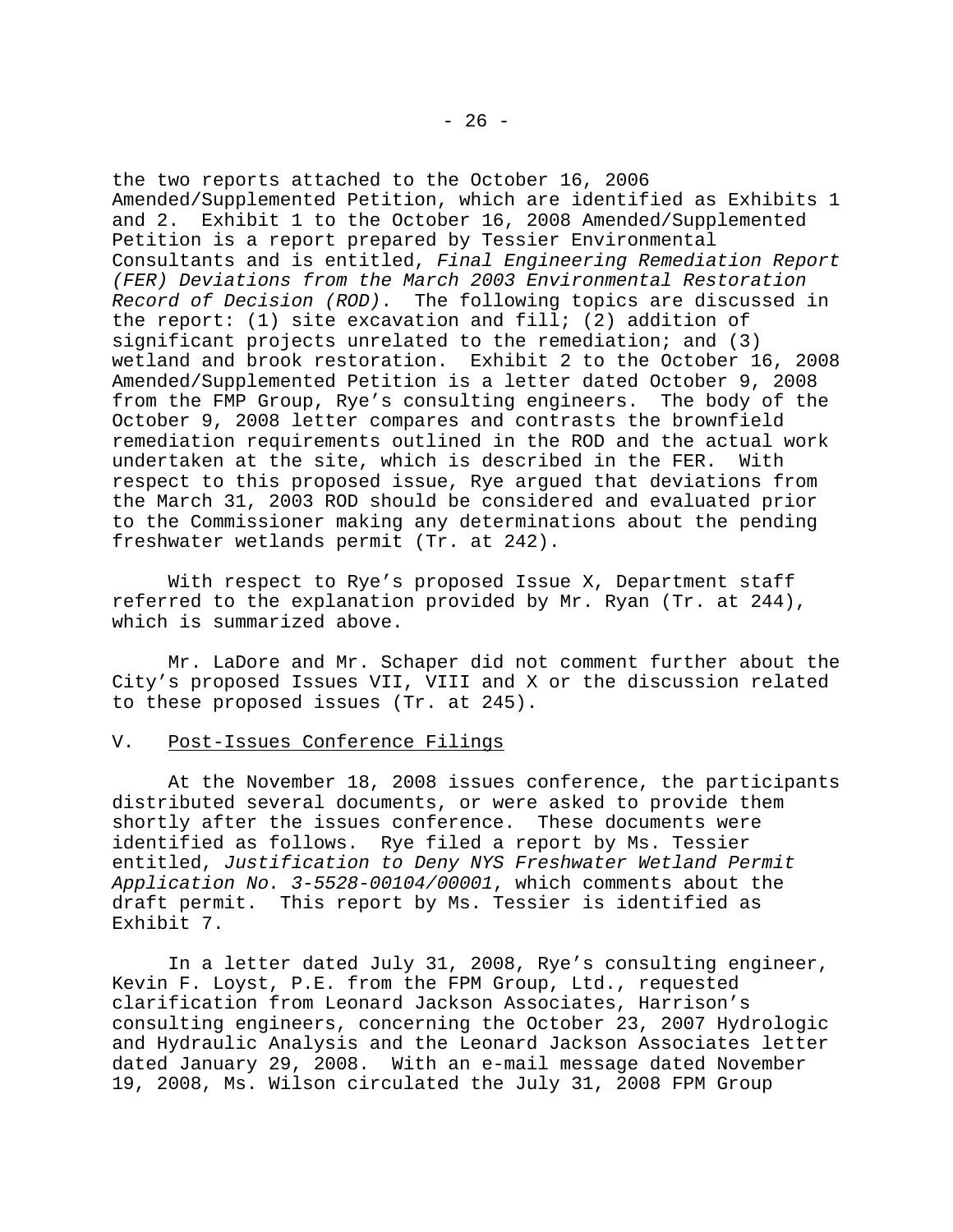the two reports attached to the October 16, 2006 Amended/Supplemented Petition, which are identified as Exhibits 1 and 2. Exhibit 1 to the October 16, 2008 Amended/Supplemented Petition is a report prepared by Tessier Environmental Consultants and is entitled, *Final Engineering Remediation Report (FER) Deviations from the March 2003 Environmental Restoration Record of Decision (ROD)*. The following topics are discussed in the report: (1) site excavation and fill; (2) addition of significant projects unrelated to the remediation; and (3) wetland and brook restoration. Exhibit 2 to the October 16, 2008 Amended/Supplemented Petition is a letter dated October 9, 2008 from the FMP Group, Rye's consulting engineers. The body of the October 9, 2008 letter compares and contrasts the brownfield remediation requirements outlined in the ROD and the actual work undertaken at the site, which is described in the FER. With respect to this proposed issue, Rye argued that deviations from the March 31, 2003 ROD should be considered and evaluated prior to the Commissioner making any determinations about the pending freshwater wetlands permit (Tr. at 242).

With respect to Rye's proposed Issue X, Department staff referred to the explanation provided by Mr. Ryan (Tr. at 244), which is summarized above.

Mr. LaDore and Mr. Schaper did not comment further about the City's proposed Issues VII, VIII and X or the discussion related to these proposed issues (Tr. at 245).

## V. Post-Issues Conference Filings

At the November 18, 2008 issues conference, the participants distributed several documents, or were asked to provide them shortly after the issues conference. These documents were identified as follows. Rye filed a report by Ms. Tessier entitled, *Justification to Deny NYS Freshwater Wetland Permit Application No. 3-5528-00104/00001*, which comments about the draft permit. This report by Ms. Tessier is identified as Exhibit 7.

In a letter dated July 31, 2008, Rye's consulting engineer, Kevin F. Loyst, P.E. from the FPM Group, Ltd., requested clarification from Leonard Jackson Associates, Harrison's consulting engineers, concerning the October 23, 2007 Hydrologic and Hydraulic Analysis and the Leonard Jackson Associates letter dated January 29, 2008. With an e-mail message dated November 19, 2008, Ms. Wilson circulated the July 31, 2008 FPM Group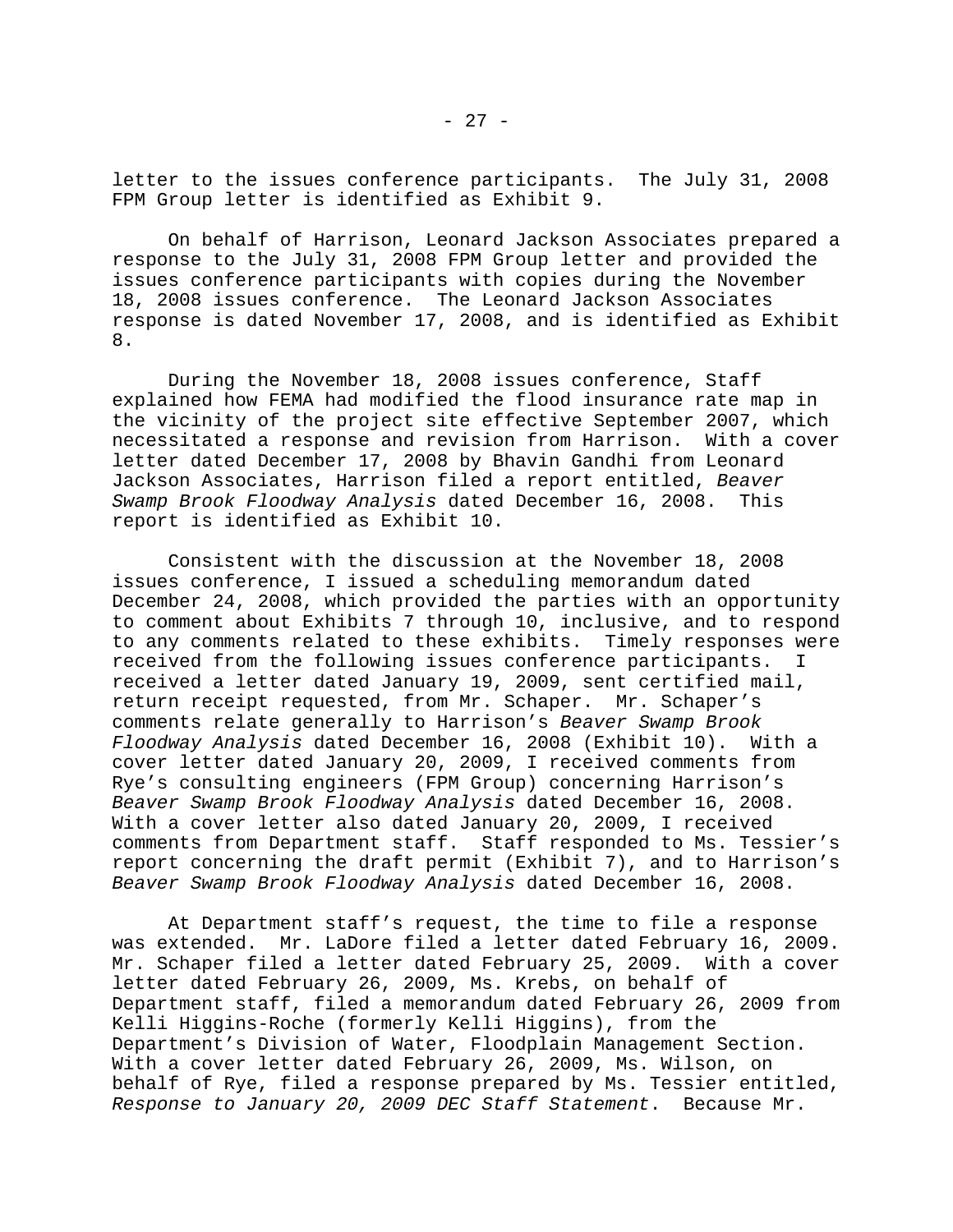letter to the issues conference participants. The July 31, 2008 FPM Group letter is identified as Exhibit 9.

On behalf of Harrison, Leonard Jackson Associates prepared a response to the July 31, 2008 FPM Group letter and provided the issues conference participants with copies during the November 18, 2008 issues conference. The Leonard Jackson Associates response is dated November 17, 2008, and is identified as Exhibit 8.

During the November 18, 2008 issues conference, Staff explained how FEMA had modified the flood insurance rate map in the vicinity of the project site effective September 2007, which necessitated a response and revision from Harrison. With a cover letter dated December 17, 2008 by Bhavin Gandhi from Leonard Jackson Associates, Harrison filed a report entitled, *Beaver Swamp Brook Floodway Analysis* dated December 16, 2008. This report is identified as Exhibit 10.

Consistent with the discussion at the November 18, 2008 issues conference, I issued a scheduling memorandum dated December 24, 2008, which provided the parties with an opportunity to comment about Exhibits 7 through 10, inclusive, and to respond to any comments related to these exhibits. Timely responses were received from the following issues conference participants. I received a letter dated January 19, 2009, sent certified mail, return receipt requested, from Mr. Schaper. Mr. Schaper's comments relate generally to Harrison's *Beaver Swamp Brook Floodway Analysis* dated December 16, 2008 (Exhibit 10). With a cover letter dated January 20, 2009, I received comments from Rye's consulting engineers (FPM Group) concerning Harrison's *Beaver Swamp Brook Floodway Analysis* dated December 16, 2008. With a cover letter also dated January 20, 2009, I received comments from Department staff. Staff responded to Ms. Tessier's report concerning the draft permit (Exhibit 7), and to Harrison's *Beaver Swamp Brook Floodway Analysis* dated December 16, 2008.

At Department staff's request, the time to file a response was extended. Mr. LaDore filed a letter dated February 16, 2009. Mr. Schaper filed a letter dated February 25, 2009. With a cover letter dated February 26, 2009, Ms. Krebs, on behalf of Department staff, filed a memorandum dated February 26, 2009 from Kelli Higgins-Roche (formerly Kelli Higgins), from the Department's Division of Water, Floodplain Management Section. With a cover letter dated February 26, 2009, Ms. Wilson, on behalf of Rye, filed a response prepared by Ms. Tessier entitled, *Response to January 20, 2009 DEC Staff Statement*. Because Mr.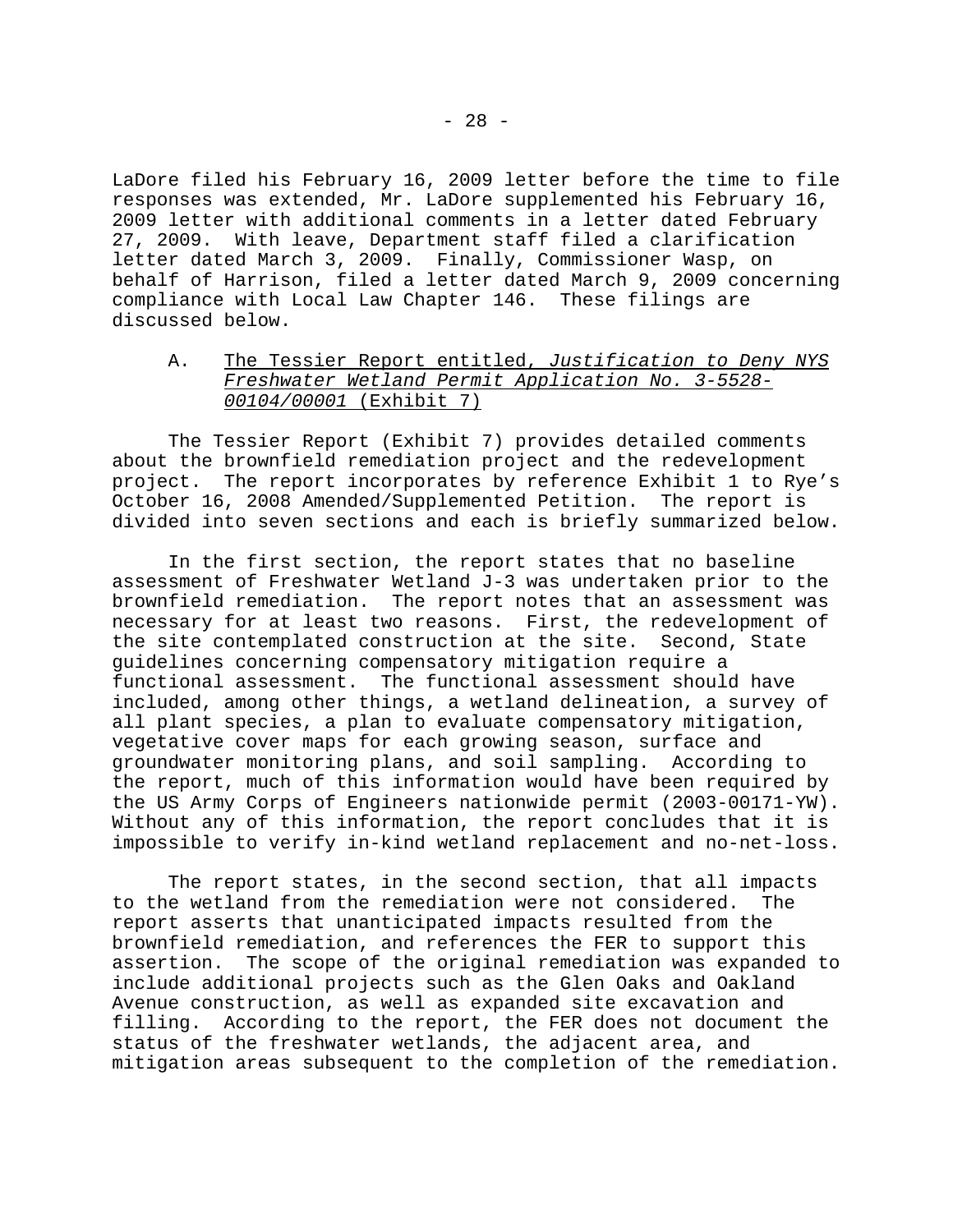LaDore filed his February 16, 2009 letter before the time to file responses was extended, Mr. LaDore supplemented his February 16, 2009 letter with additional comments in a letter dated February 27, 2009. With leave, Department staff filed a clarification letter dated March 3, 2009. Finally, Commissioner Wasp, on behalf of Harrison, filed a letter dated March 9, 2009 concerning compliance with Local Law Chapter 146. These filings are discussed below.

# A. The Tessier Report entitled, *Justification to Deny NYS Freshwater Wetland Permit Application No. 3-5528- 00104/00001* (Exhibit 7)

The Tessier Report (Exhibit 7) provides detailed comments about the brownfield remediation project and the redevelopment project. The report incorporates by reference Exhibit 1 to Rye's October 16, 2008 Amended/Supplemented Petition. The report is divided into seven sections and each is briefly summarized below.

In the first section, the report states that no baseline assessment of Freshwater Wetland J-3 was undertaken prior to the brownfield remediation. The report notes that an assessment was necessary for at least two reasons. First, the redevelopment of the site contemplated construction at the site. Second, State guidelines concerning compensatory mitigation require a functional assessment. The functional assessment should have included, among other things, a wetland delineation, a survey of all plant species, a plan to evaluate compensatory mitigation, vegetative cover maps for each growing season, surface and groundwater monitoring plans, and soil sampling. According to the report, much of this information would have been required by the US Army Corps of Engineers nationwide permit (2003-00171-YW). Without any of this information, the report concludes that it is impossible to verify in-kind wetland replacement and no-net-loss.

The report states, in the second section, that all impacts to the wetland from the remediation were not considered. The report asserts that unanticipated impacts resulted from the brownfield remediation, and references the FER to support this assertion. The scope of the original remediation was expanded to include additional projects such as the Glen Oaks and Oakland Avenue construction, as well as expanded site excavation and filling. According to the report, the FER does not document the status of the freshwater wetlands, the adjacent area, and mitigation areas subsequent to the completion of the remediation.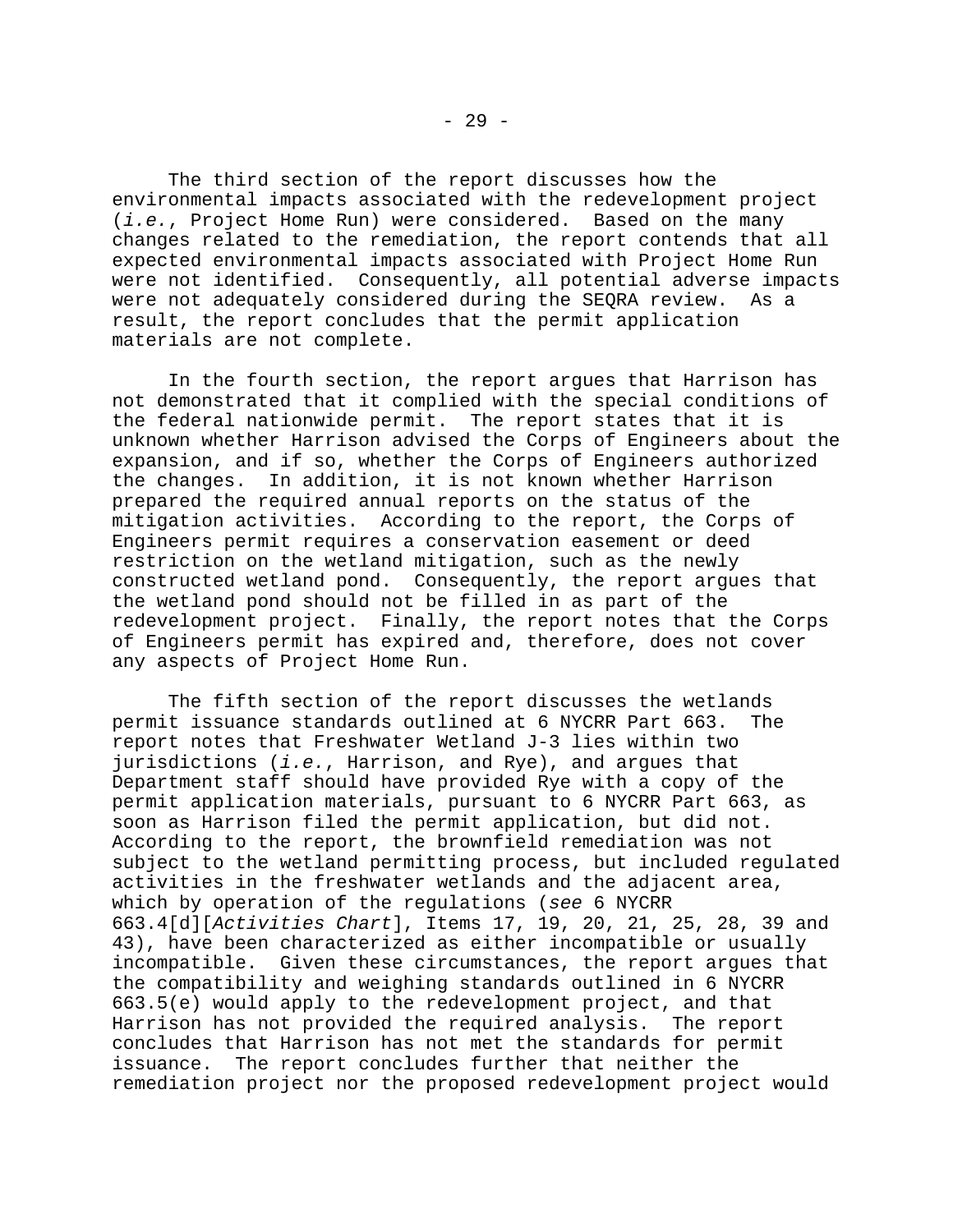The third section of the report discusses how the environmental impacts associated with the redevelopment project (*i.e.*, Project Home Run) were considered. Based on the many changes related to the remediation, the report contends that all expected environmental impacts associated with Project Home Run were not identified. Consequently, all potential adverse impacts were not adequately considered during the SEQRA review. As a result, the report concludes that the permit application materials are not complete.

In the fourth section, the report argues that Harrison has not demonstrated that it complied with the special conditions of the federal nationwide permit. The report states that it is unknown whether Harrison advised the Corps of Engineers about the expansion, and if so, whether the Corps of Engineers authorized the changes. In addition, it is not known whether Harrison prepared the required annual reports on the status of the mitigation activities. According to the report, the Corps of Engineers permit requires a conservation easement or deed restriction on the wetland mitigation, such as the newly constructed wetland pond. Consequently, the report argues that the wetland pond should not be filled in as part of the redevelopment project. Finally, the report notes that the Corps of Engineers permit has expired and, therefore, does not cover any aspects of Project Home Run.

The fifth section of the report discusses the wetlands permit issuance standards outlined at 6 NYCRR Part 663. The report notes that Freshwater Wetland J-3 lies within two jurisdictions (*i.e.*, Harrison, and Rye), and argues that Department staff should have provided Rye with a copy of the permit application materials, pursuant to 6 NYCRR Part 663, as soon as Harrison filed the permit application, but did not. According to the report, the brownfield remediation was not subject to the wetland permitting process, but included regulated activities in the freshwater wetlands and the adjacent area, which by operation of the regulations (*see* 6 NYCRR 663.4[d][*Activities Chart*], Items 17, 19, 20, 21, 25, 28, 39 and 43), have been characterized as either incompatible or usually incompatible. Given these circumstances, the report argues that the compatibility and weighing standards outlined in 6 NYCRR 663.5(e) would apply to the redevelopment project, and that Harrison has not provided the required analysis. The report concludes that Harrison has not met the standards for permit issuance. The report concludes further that neither the remediation project nor the proposed redevelopment project would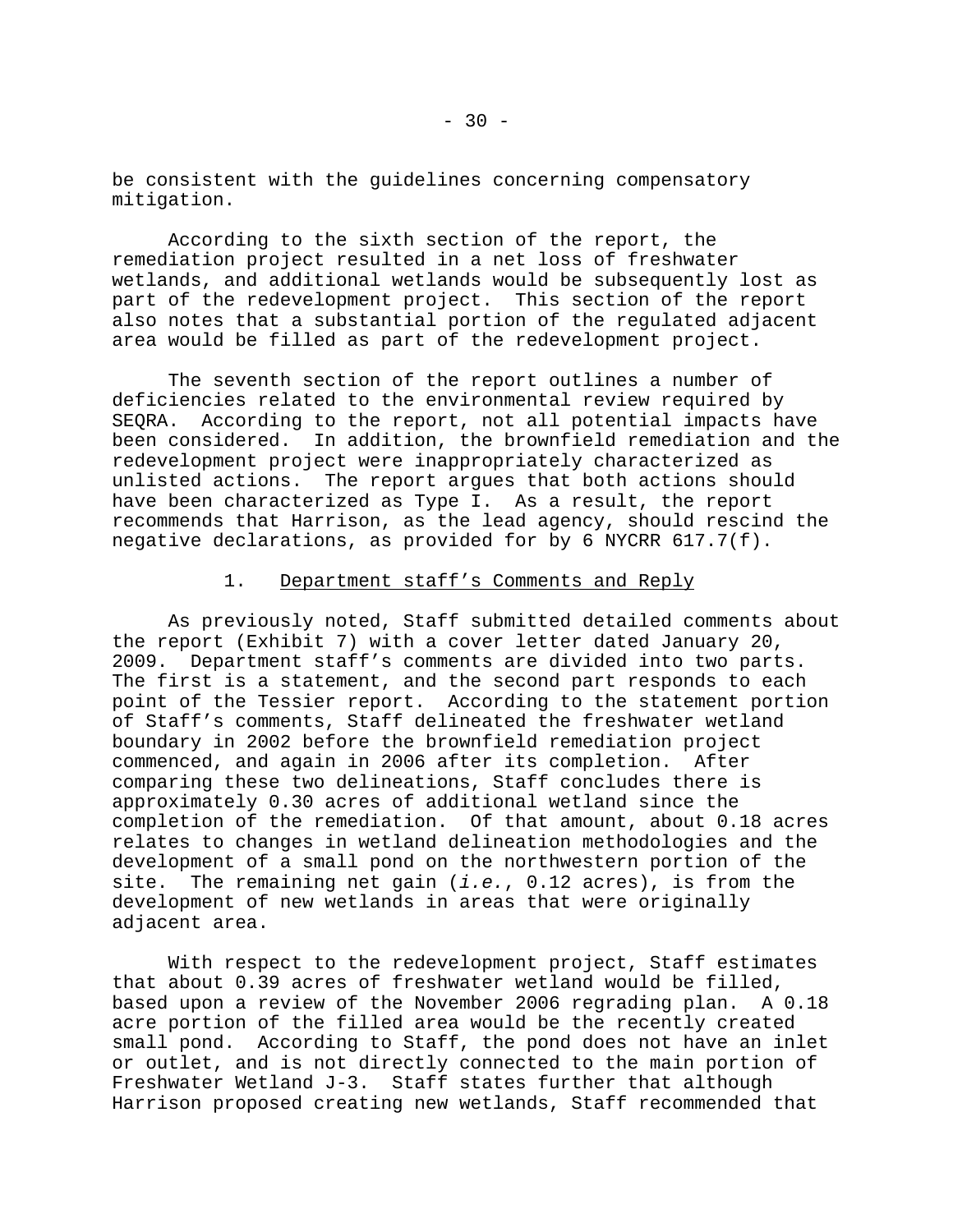be consistent with the guidelines concerning compensatory mitigation.

According to the sixth section of the report, the remediation project resulted in a net loss of freshwater wetlands, and additional wetlands would be subsequently lost as part of the redevelopment project. This section of the report also notes that a substantial portion of the regulated adjacent area would be filled as part of the redevelopment project.

The seventh section of the report outlines a number of deficiencies related to the environmental review required by SEQRA. According to the report, not all potential impacts have been considered. In addition, the brownfield remediation and the redevelopment project were inappropriately characterized as unlisted actions. The report argues that both actions should have been characterized as Type I. As a result, the report recommends that Harrison, as the lead agency, should rescind the negative declarations, as provided for by 6 NYCRR 617.7(f).

# 1. Department staff's Comments and Reply

As previously noted, Staff submitted detailed comments about the report (Exhibit 7) with a cover letter dated January 20, 2009. Department staff's comments are divided into two parts. The first is a statement, and the second part responds to each point of the Tessier report. According to the statement portion of Staff's comments, Staff delineated the freshwater wetland boundary in 2002 before the brownfield remediation project commenced, and again in 2006 after its completion. After comparing these two delineations, Staff concludes there is approximately 0.30 acres of additional wetland since the completion of the remediation. Of that amount, about 0.18 acres relates to changes in wetland delineation methodologies and the development of a small pond on the northwestern portion of the site. The remaining net gain (*i.e.*, 0.12 acres), is from the development of new wetlands in areas that were originally adjacent area.

With respect to the redevelopment project, Staff estimates that about 0.39 acres of freshwater wetland would be filled, based upon a review of the November 2006 regrading plan. A 0.18 acre portion of the filled area would be the recently created small pond. According to Staff, the pond does not have an inlet or outlet, and is not directly connected to the main portion of Freshwater Wetland J-3. Staff states further that although Harrison proposed creating new wetlands, Staff recommended that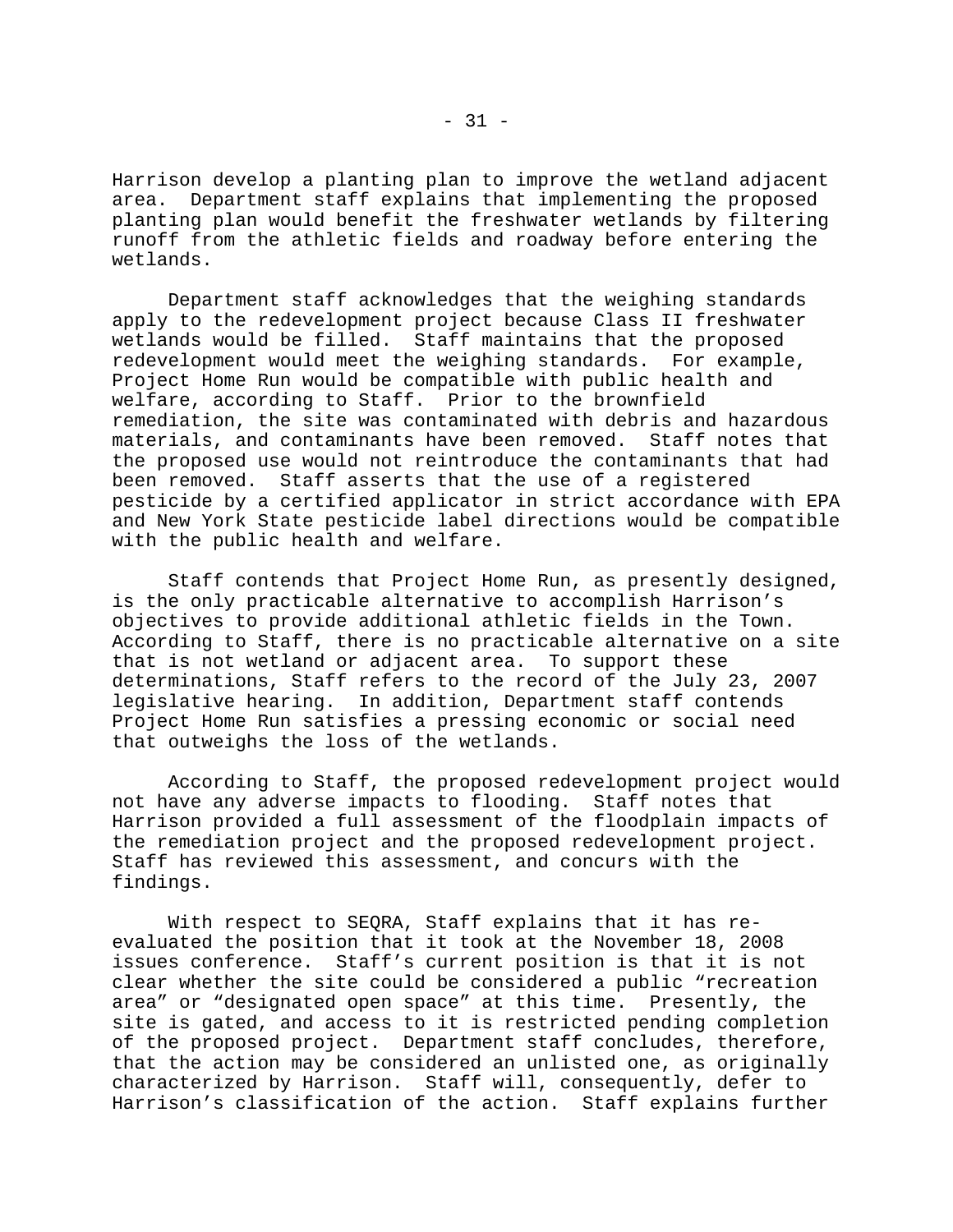Harrison develop a planting plan to improve the wetland adjacent area. Department staff explains that implementing the proposed planting plan would benefit the freshwater wetlands by filtering runoff from the athletic fields and roadway before entering the wetlands.

Department staff acknowledges that the weighing standards apply to the redevelopment project because Class II freshwater wetlands would be filled. Staff maintains that the proposed redevelopment would meet the weighing standards. For example, Project Home Run would be compatible with public health and welfare, according to Staff. Prior to the brownfield remediation, the site was contaminated with debris and hazardous materials, and contaminants have been removed. Staff notes that the proposed use would not reintroduce the contaminants that had been removed. Staff asserts that the use of a registered pesticide by a certified applicator in strict accordance with EPA and New York State pesticide label directions would be compatible with the public health and welfare.

Staff contends that Project Home Run, as presently designed, is the only practicable alternative to accomplish Harrison's objectives to provide additional athletic fields in the Town. According to Staff, there is no practicable alternative on a site that is not wetland or adjacent area. To support these determinations, Staff refers to the record of the July 23, 2007 legislative hearing. In addition, Department staff contends Project Home Run satisfies a pressing economic or social need that outweighs the loss of the wetlands.

According to Staff, the proposed redevelopment project would not have any adverse impacts to flooding. Staff notes that Harrison provided a full assessment of the floodplain impacts of the remediation project and the proposed redevelopment project. Staff has reviewed this assessment, and concurs with the findings.

With respect to SEQRA, Staff explains that it has reevaluated the position that it took at the November 18, 2008 issues conference. Staff's current position is that it is not clear whether the site could be considered a public "recreation area" or "designated open space" at this time. Presently, the site is gated, and access to it is restricted pending completion of the proposed project. Department staff concludes, therefore, that the action may be considered an unlisted one, as originally characterized by Harrison. Staff will, consequently, defer to Harrison's classification of the action. Staff explains further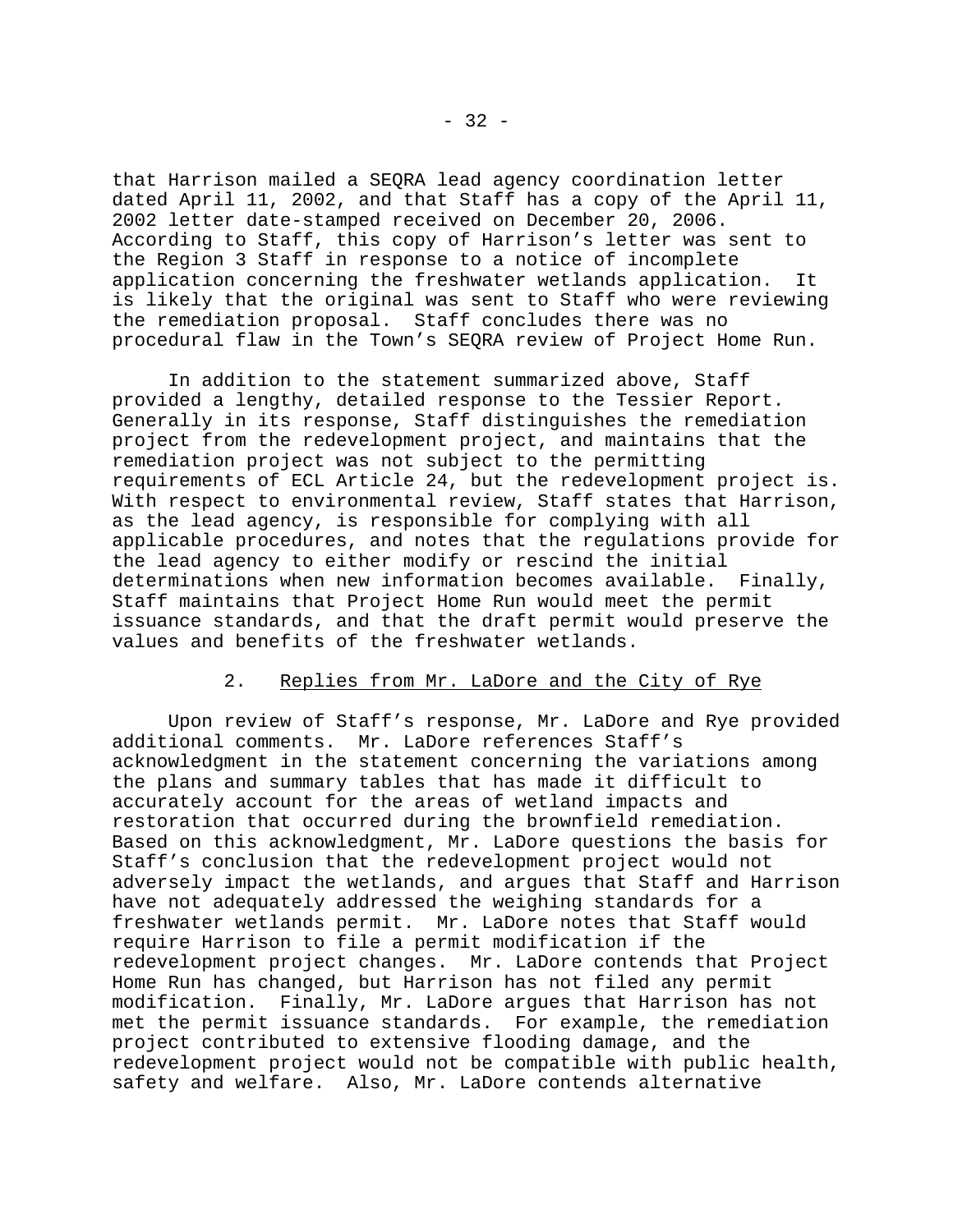that Harrison mailed a SEQRA lead agency coordination letter dated April 11, 2002, and that Staff has a copy of the April 11, 2002 letter date-stamped received on December 20, 2006. According to Staff, this copy of Harrison's letter was sent to the Region 3 Staff in response to a notice of incomplete application concerning the freshwater wetlands application. It is likely that the original was sent to Staff who were reviewing the remediation proposal. Staff concludes there was no procedural flaw in the Town's SEQRA review of Project Home Run.

In addition to the statement summarized above, Staff provided a lengthy, detailed response to the Tessier Report. Generally in its response, Staff distinguishes the remediation project from the redevelopment project, and maintains that the remediation project was not subject to the permitting requirements of ECL Article 24, but the redevelopment project is. With respect to environmental review, Staff states that Harrison, as the lead agency, is responsible for complying with all applicable procedures, and notes that the regulations provide for the lead agency to either modify or rescind the initial determinations when new information becomes available. Finally, Staff maintains that Project Home Run would meet the permit issuance standards, and that the draft permit would preserve the values and benefits of the freshwater wetlands.

## 2. Replies from Mr. LaDore and the City of Rye

Upon review of Staff's response, Mr. LaDore and Rye provided additional comments. Mr. LaDore references Staff's acknowledgment in the statement concerning the variations among the plans and summary tables that has made it difficult to accurately account for the areas of wetland impacts and restoration that occurred during the brownfield remediation. Based on this acknowledgment, Mr. LaDore questions the basis for Staff's conclusion that the redevelopment project would not adversely impact the wetlands, and argues that Staff and Harrison have not adequately addressed the weighing standards for a freshwater wetlands permit. Mr. LaDore notes that Staff would require Harrison to file a permit modification if the redevelopment project changes. Mr. LaDore contends that Project Home Run has changed, but Harrison has not filed any permit modification. Finally, Mr. LaDore argues that Harrison has not met the permit issuance standards. For example, the remediation project contributed to extensive flooding damage, and the redevelopment project would not be compatible with public health, safety and welfare. Also, Mr. LaDore contends alternative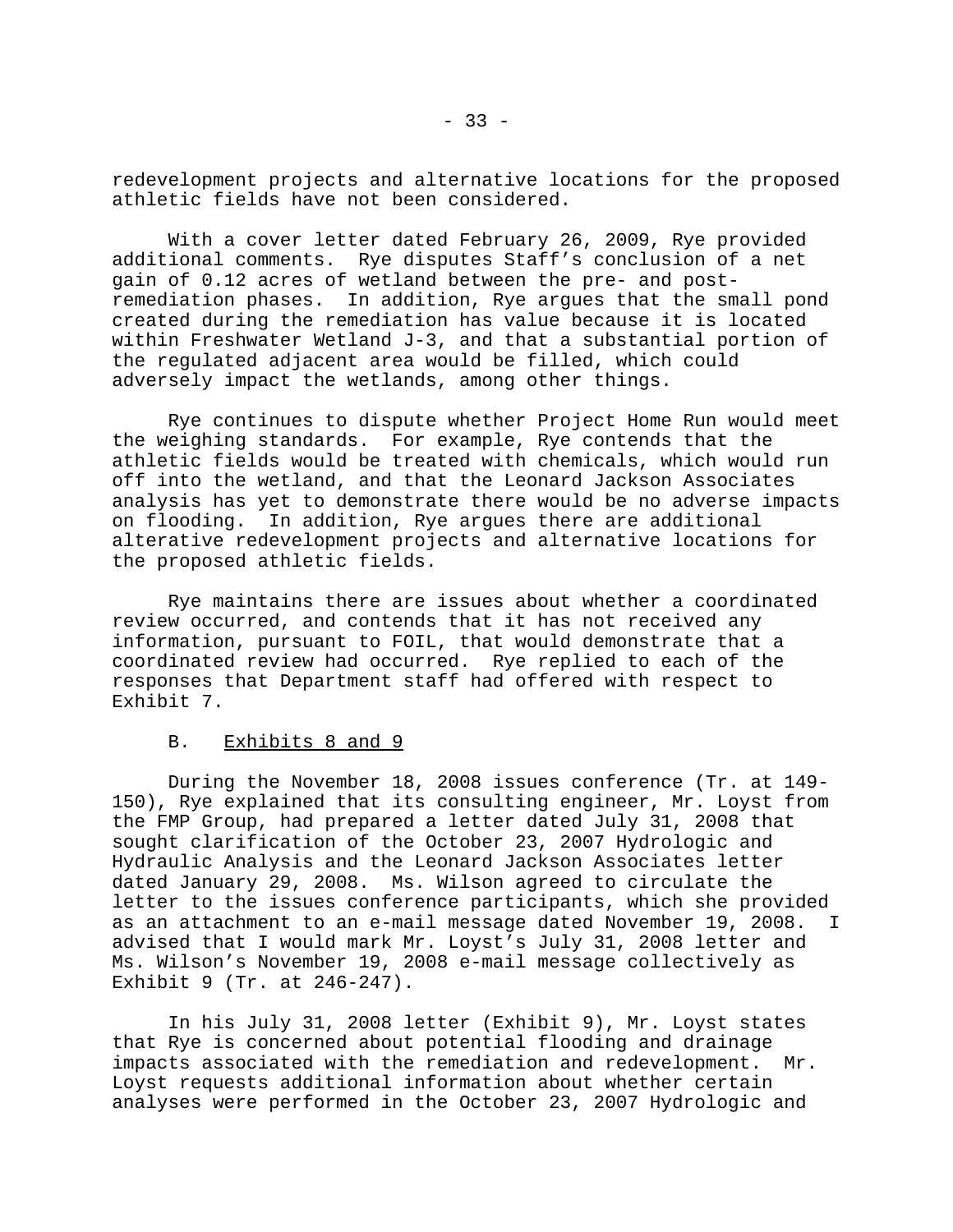redevelopment projects and alternative locations for the proposed athletic fields have not been considered.

With a cover letter dated February 26, 2009, Rye provided additional comments. Rye disputes Staff's conclusion of a net gain of 0.12 acres of wetland between the pre- and postremediation phases. In addition, Rye argues that the small pond created during the remediation has value because it is located within Freshwater Wetland J-3, and that a substantial portion of the regulated adjacent area would be filled, which could adversely impact the wetlands, among other things.

Rye continues to dispute whether Project Home Run would meet the weighing standards. For example, Rye contends that the athletic fields would be treated with chemicals, which would run off into the wetland, and that the Leonard Jackson Associates analysis has yet to demonstrate there would be no adverse impacts on flooding. In addition, Rye argues there are additional alterative redevelopment projects and alternative locations for the proposed athletic fields.

Rye maintains there are issues about whether a coordinated review occurred, and contends that it has not received any information, pursuant to FOIL, that would demonstrate that a coordinated review had occurred. Rye replied to each of the responses that Department staff had offered with respect to Exhibit 7.

## B. Exhibits 8 and 9

During the November 18, 2008 issues conference (Tr. at 149- 150), Rye explained that its consulting engineer, Mr. Loyst from the FMP Group, had prepared a letter dated July 31, 2008 that sought clarification of the October 23, 2007 Hydrologic and Hydraulic Analysis and the Leonard Jackson Associates letter dated January 29, 2008. Ms. Wilson agreed to circulate the letter to the issues conference participants, which she provided as an attachment to an e-mail message dated November 19, 2008. I advised that I would mark Mr. Loyst's July 31, 2008 letter and Ms. Wilson's November 19, 2008 e-mail message collectively as Exhibit 9 (Tr. at 246-247).

In his July 31, 2008 letter (Exhibit 9), Mr. Loyst states that Rye is concerned about potential flooding and drainage impacts associated with the remediation and redevelopment. Mr. Loyst requests additional information about whether certain analyses were performed in the October 23, 2007 Hydrologic and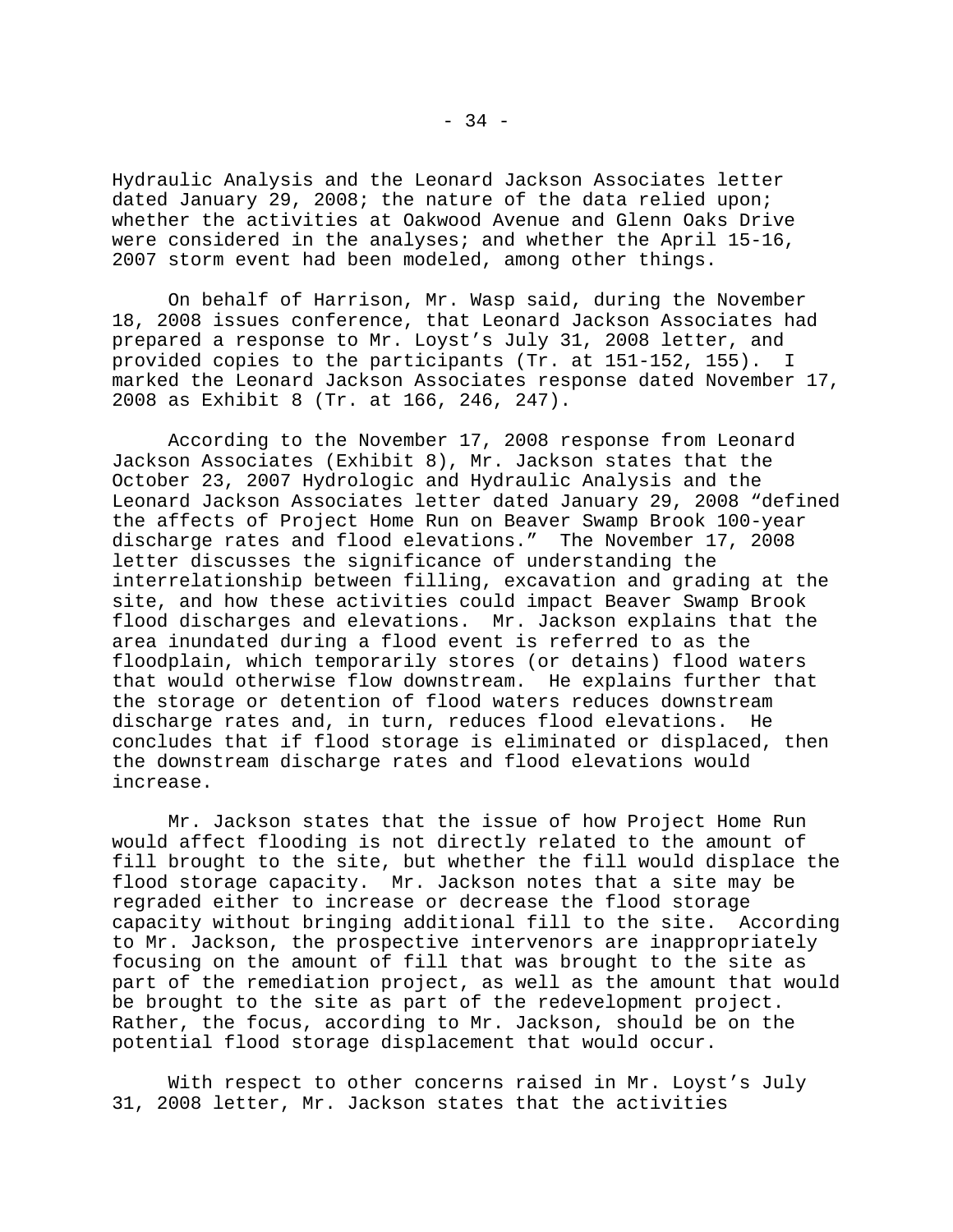Hydraulic Analysis and the Leonard Jackson Associates letter dated January 29, 2008; the nature of the data relied upon; whether the activities at Oakwood Avenue and Glenn Oaks Drive were considered in the analyses; and whether the April 15-16, 2007 storm event had been modeled, among other things.

On behalf of Harrison, Mr. Wasp said, during the November 18, 2008 issues conference, that Leonard Jackson Associates had prepared a response to Mr. Loyst's July 31, 2008 letter, and provided copies to the participants (Tr. at 151-152, 155). I marked the Leonard Jackson Associates response dated November 17, 2008 as Exhibit 8 (Tr. at 166, 246, 247).

According to the November 17, 2008 response from Leonard Jackson Associates (Exhibit 8), Mr. Jackson states that the October 23, 2007 Hydrologic and Hydraulic Analysis and the Leonard Jackson Associates letter dated January 29, 2008 "defined the affects of Project Home Run on Beaver Swamp Brook 100-year discharge rates and flood elevations." The November 17, 2008 letter discusses the significance of understanding the interrelationship between filling, excavation and grading at the site, and how these activities could impact Beaver Swamp Brook flood discharges and elevations. Mr. Jackson explains that the area inundated during a flood event is referred to as the floodplain, which temporarily stores (or detains) flood waters that would otherwise flow downstream. He explains further that the storage or detention of flood waters reduces downstream discharge rates and, in turn, reduces flood elevations. He concludes that if flood storage is eliminated or displaced, then the downstream discharge rates and flood elevations would increase.

Mr. Jackson states that the issue of how Project Home Run would affect flooding is not directly related to the amount of fill brought to the site, but whether the fill would displace the flood storage capacity. Mr. Jackson notes that a site may be regraded either to increase or decrease the flood storage capacity without bringing additional fill to the site. According to Mr. Jackson, the prospective intervenors are inappropriately focusing on the amount of fill that was brought to the site as part of the remediation project, as well as the amount that would be brought to the site as part of the redevelopment project. Rather, the focus, according to Mr. Jackson, should be on the potential flood storage displacement that would occur.

With respect to other concerns raised in Mr. Loyst's July 31, 2008 letter, Mr. Jackson states that the activities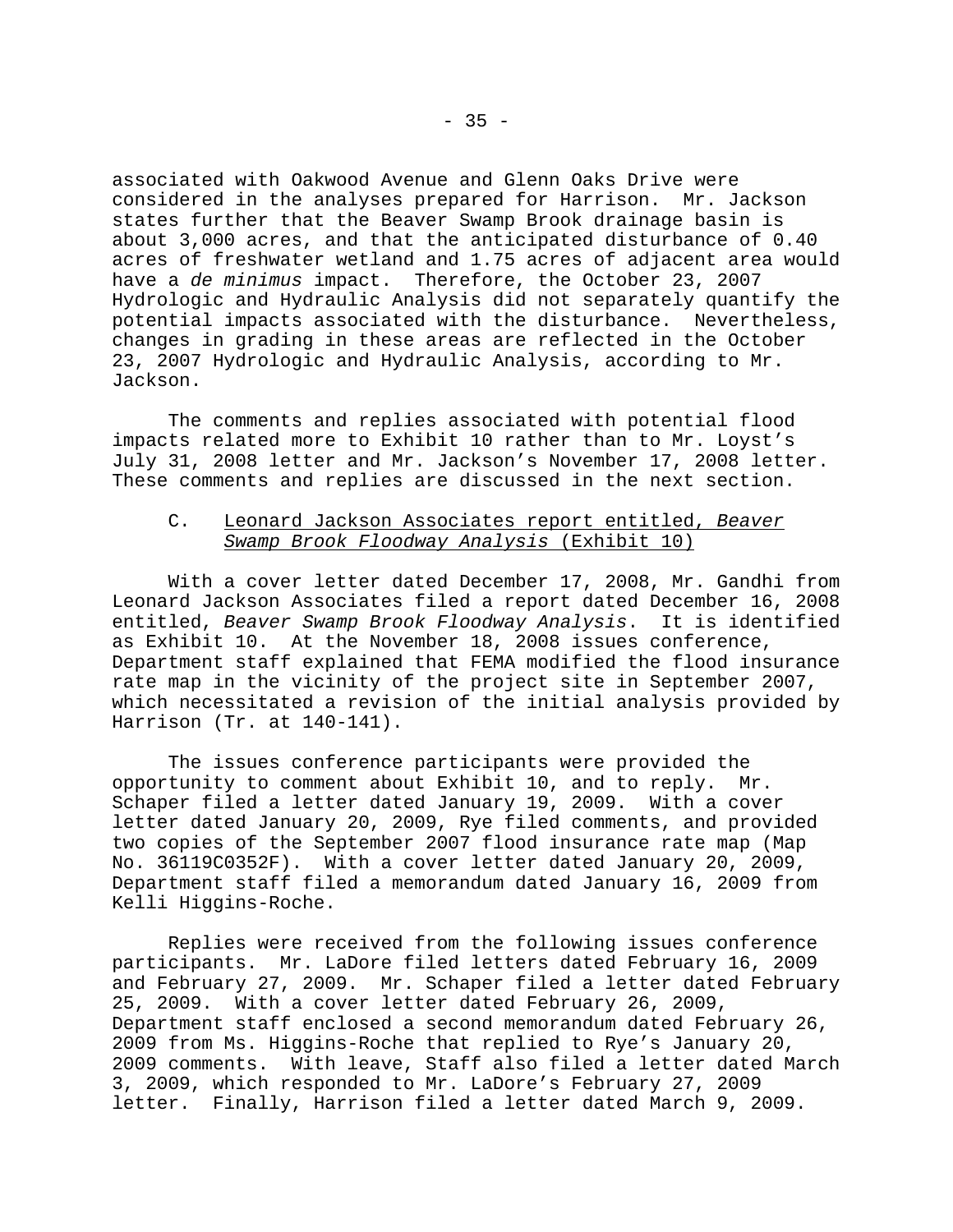associated with Oakwood Avenue and Glenn Oaks Drive were considered in the analyses prepared for Harrison. Mr. Jackson states further that the Beaver Swamp Brook drainage basin is about 3,000 acres, and that the anticipated disturbance of 0.40 acres of freshwater wetland and 1.75 acres of adjacent area would have a *de minimus* impact. Therefore, the October 23, 2007 Hydrologic and Hydraulic Analysis did not separately quantify the potential impacts associated with the disturbance. Nevertheless, changes in grading in these areas are reflected in the October 23, 2007 Hydrologic and Hydraulic Analysis, according to Mr. Jackson.

The comments and replies associated with potential flood impacts related more to Exhibit 10 rather than to Mr. Loyst's July 31, 2008 letter and Mr. Jackson's November 17, 2008 letter. These comments and replies are discussed in the next section.

# C. Leonard Jackson Associates report entitled, *Beaver Swamp Brook Floodway Analysis* (Exhibit 10)

With a cover letter dated December 17, 2008, Mr. Gandhi from Leonard Jackson Associates filed a report dated December 16, 2008 entitled, *Beaver Swamp Brook Floodway Analysis*. It is identified as Exhibit 10. At the November 18, 2008 issues conference, Department staff explained that FEMA modified the flood insurance rate map in the vicinity of the project site in September 2007, which necessitated a revision of the initial analysis provided by Harrison (Tr. at 140-141).

The issues conference participants were provided the opportunity to comment about Exhibit 10, and to reply. Mr. Schaper filed a letter dated January 19, 2009. With a cover letter dated January 20, 2009, Rye filed comments, and provided two copies of the September 2007 flood insurance rate map (Map No. 36119C0352F). With a cover letter dated January 20, 2009, Department staff filed a memorandum dated January 16, 2009 from Kelli Higgins-Roche.

Replies were received from the following issues conference participants. Mr. LaDore filed letters dated February 16, 2009 and February 27, 2009. Mr. Schaper filed a letter dated February 25, 2009. With a cover letter dated February 26, 2009, Department staff enclosed a second memorandum dated February 26, 2009 from Ms. Higgins-Roche that replied to Rye's January 20, 2009 comments. With leave, Staff also filed a letter dated March 3, 2009, which responded to Mr. LaDore's February 27, 2009 letter. Finally, Harrison filed a letter dated March 9, 2009.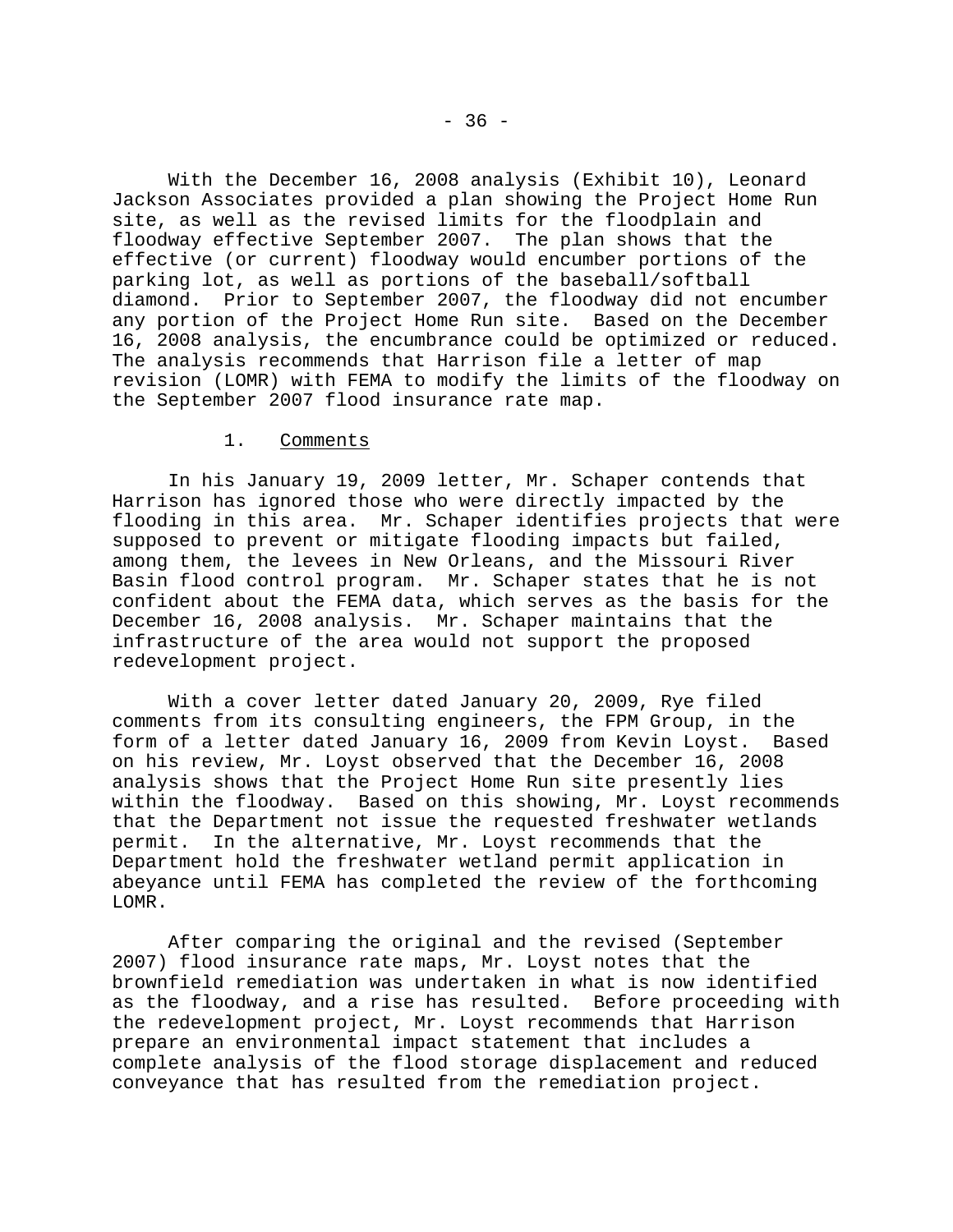With the December 16, 2008 analysis (Exhibit 10), Leonard Jackson Associates provided a plan showing the Project Home Run site, as well as the revised limits for the floodplain and floodway effective September 2007. The plan shows that the effective (or current) floodway would encumber portions of the parking lot, as well as portions of the baseball/softball diamond. Prior to September 2007, the floodway did not encumber any portion of the Project Home Run site. Based on the December 16, 2008 analysis, the encumbrance could be optimized or reduced. The analysis recommends that Harrison file a letter of map revision (LOMR) with FEMA to modify the limits of the floodway on the September 2007 flood insurance rate map.

## 1. Comments

In his January 19, 2009 letter, Mr. Schaper contends that Harrison has ignored those who were directly impacted by the flooding in this area. Mr. Schaper identifies projects that were supposed to prevent or mitigate flooding impacts but failed, among them, the levees in New Orleans, and the Missouri River Basin flood control program. Mr. Schaper states that he is not confident about the FEMA data, which serves as the basis for the December 16, 2008 analysis. Mr. Schaper maintains that the infrastructure of the area would not support the proposed redevelopment project.

With a cover letter dated January 20, 2009, Rye filed comments from its consulting engineers, the FPM Group, in the form of a letter dated January 16, 2009 from Kevin Loyst. Based on his review, Mr. Loyst observed that the December 16, 2008 analysis shows that the Project Home Run site presently lies within the floodway. Based on this showing, Mr. Loyst recommends that the Department not issue the requested freshwater wetlands permit. In the alternative, Mr. Loyst recommends that the Department hold the freshwater wetland permit application in abeyance until FEMA has completed the review of the forthcoming LOMR.

After comparing the original and the revised (September 2007) flood insurance rate maps, Mr. Loyst notes that the brownfield remediation was undertaken in what is now identified as the floodway, and a rise has resulted. Before proceeding with the redevelopment project, Mr. Loyst recommends that Harrison prepare an environmental impact statement that includes a complete analysis of the flood storage displacement and reduced conveyance that has resulted from the remediation project.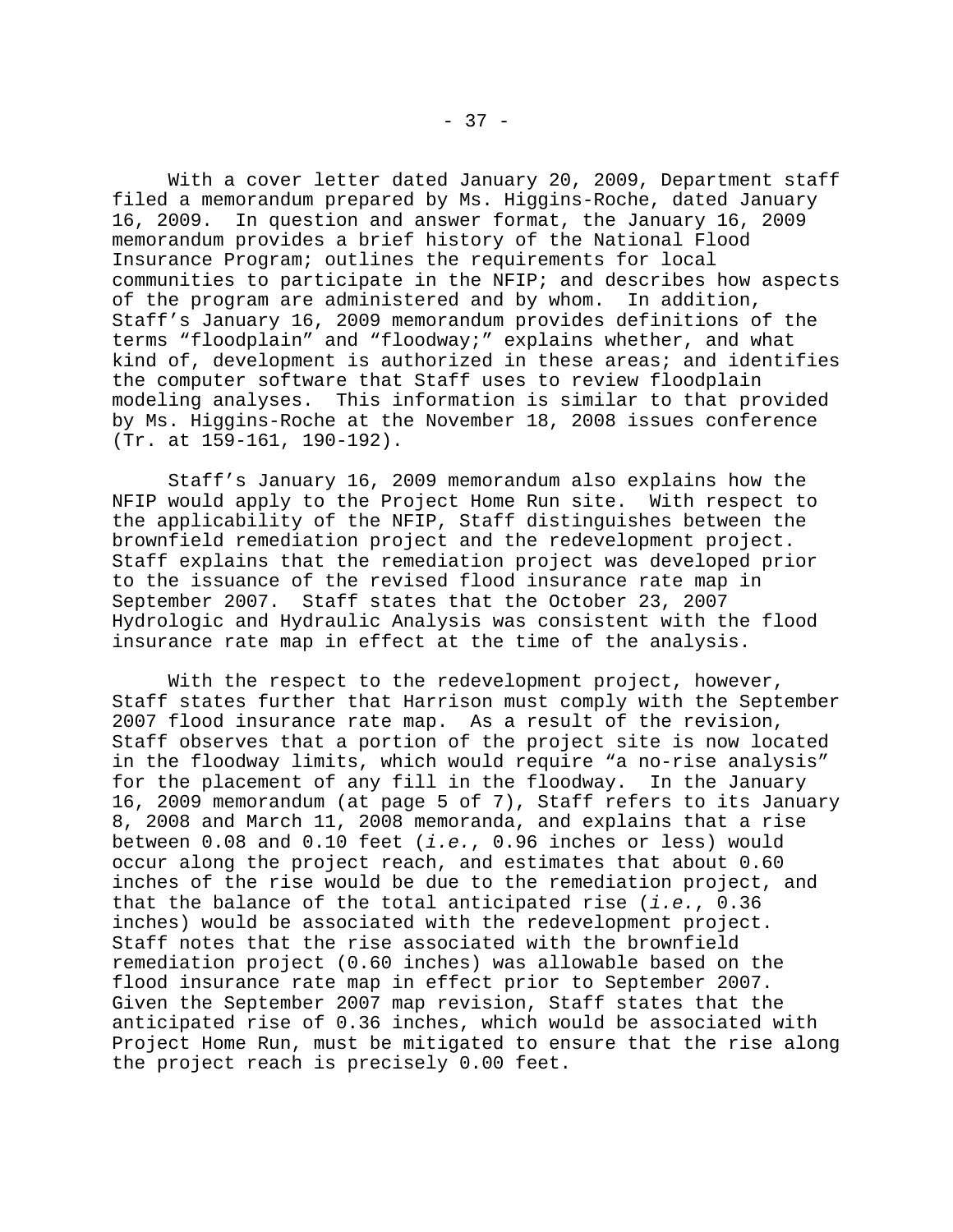With a cover letter dated January 20, 2009, Department staff filed a memorandum prepared by Ms. Higgins-Roche, dated January 16, 2009. In question and answer format, the January 16, 2009 memorandum provides a brief history of the National Flood Insurance Program; outlines the requirements for local communities to participate in the NFIP; and describes how aspects of the program are administered and by whom. In addition, Staff's January 16, 2009 memorandum provides definitions of the terms "floodplain" and "floodway;" explains whether, and what kind of, development is authorized in these areas; and identifies the computer software that Staff uses to review floodplain modeling analyses. This information is similar to that provided by Ms. Higgins-Roche at the November 18, 2008 issues conference (Tr. at 159-161, 190-192).

Staff's January 16, 2009 memorandum also explains how the NFIP would apply to the Project Home Run site. With respect to the applicability of the NFIP, Staff distinguishes between the brownfield remediation project and the redevelopment project. Staff explains that the remediation project was developed prior to the issuance of the revised flood insurance rate map in September 2007. Staff states that the October 23, 2007 Hydrologic and Hydraulic Analysis was consistent with the flood insurance rate map in effect at the time of the analysis.

With the respect to the redevelopment project, however, Staff states further that Harrison must comply with the September 2007 flood insurance rate map. As a result of the revision, Staff observes that a portion of the project site is now located in the floodway limits, which would require "a no-rise analysis" for the placement of any fill in the floodway. In the January 16, 2009 memorandum (at page 5 of 7), Staff refers to its January 8, 2008 and March 11, 2008 memoranda, and explains that a rise between 0.08 and 0.10 feet (*i.e.*, 0.96 inches or less) would occur along the project reach, and estimates that about 0.60 inches of the rise would be due to the remediation project, and that the balance of the total anticipated rise (*i.e.*, 0.36 inches) would be associated with the redevelopment project. Staff notes that the rise associated with the brownfield remediation project (0.60 inches) was allowable based on the flood insurance rate map in effect prior to September 2007. Given the September 2007 map revision, Staff states that the anticipated rise of 0.36 inches, which would be associated with Project Home Run, must be mitigated to ensure that the rise along the project reach is precisely 0.00 feet.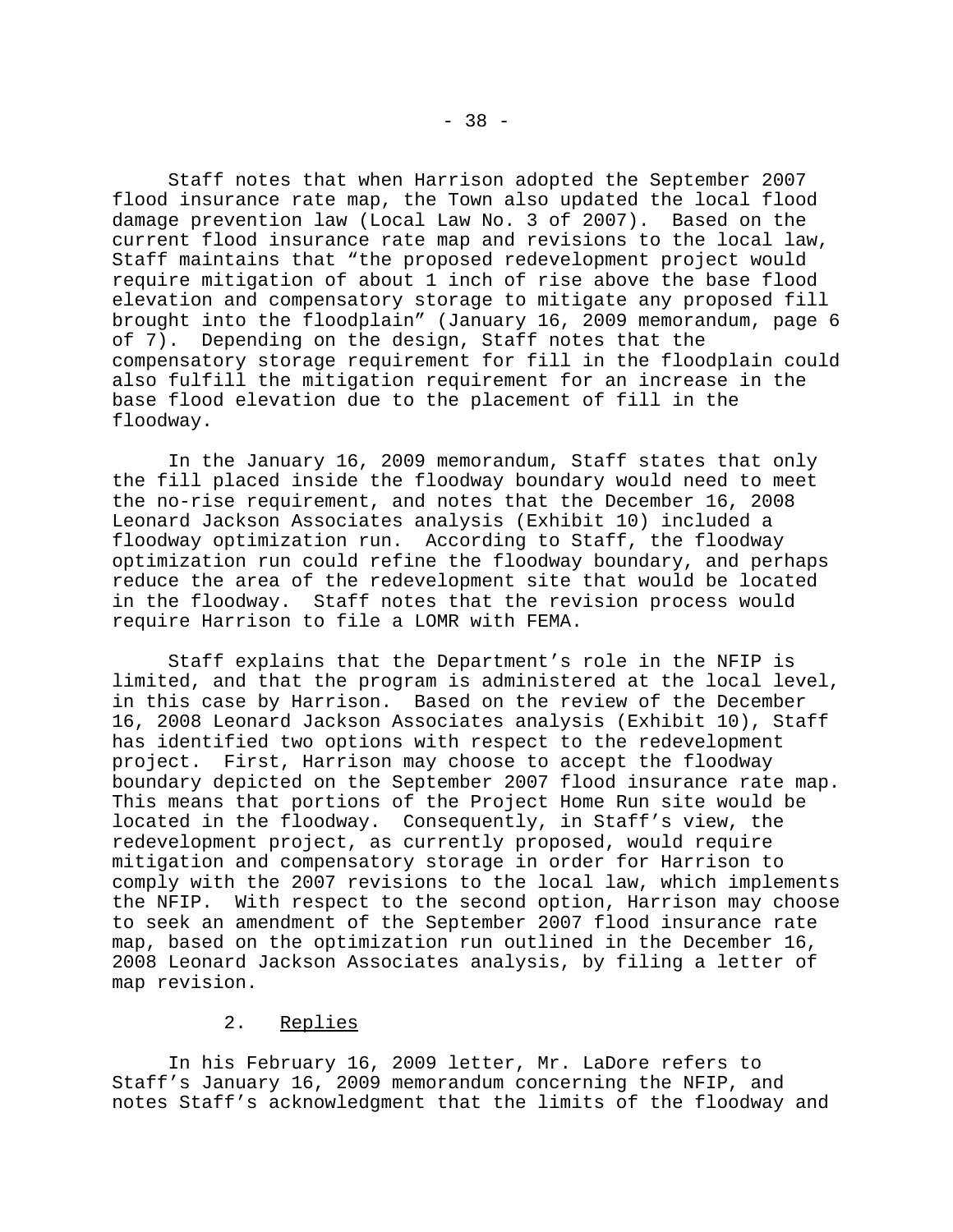Staff notes that when Harrison adopted the September 2007 flood insurance rate map, the Town also updated the local flood damage prevention law (Local Law No. 3 of 2007). Based on the current flood insurance rate map and revisions to the local law, Staff maintains that "the proposed redevelopment project would require mitigation of about 1 inch of rise above the base flood elevation and compensatory storage to mitigate any proposed fill brought into the floodplain" (January 16, 2009 memorandum, page 6 of 7). Depending on the design, Staff notes that the compensatory storage requirement for fill in the floodplain could also fulfill the mitigation requirement for an increase in the base flood elevation due to the placement of fill in the floodway.

In the January 16, 2009 memorandum, Staff states that only the fill placed inside the floodway boundary would need to meet the no-rise requirement, and notes that the December 16, 2008 Leonard Jackson Associates analysis (Exhibit 10) included a floodway optimization run. According to Staff, the floodway optimization run could refine the floodway boundary, and perhaps reduce the area of the redevelopment site that would be located in the floodway. Staff notes that the revision process would require Harrison to file a LOMR with FEMA.

Staff explains that the Department's role in the NFIP is limited, and that the program is administered at the local level, in this case by Harrison. Based on the review of the December 16, 2008 Leonard Jackson Associates analysis (Exhibit 10), Staff has identified two options with respect to the redevelopment project. First, Harrison may choose to accept the floodway boundary depicted on the September 2007 flood insurance rate map. This means that portions of the Project Home Run site would be located in the floodway. Consequently, in Staff's view, the redevelopment project, as currently proposed, would require mitigation and compensatory storage in order for Harrison to comply with the 2007 revisions to the local law, which implements the NFIP. With respect to the second option, Harrison may choose to seek an amendment of the September 2007 flood insurance rate map, based on the optimization run outlined in the December 16, 2008 Leonard Jackson Associates analysis, by filing a letter of map revision.

# 2. Replies

In his February 16, 2009 letter, Mr. LaDore refers to Staff's January 16, 2009 memorandum concerning the NFIP, and notes Staff's acknowledgment that the limits of the floodway and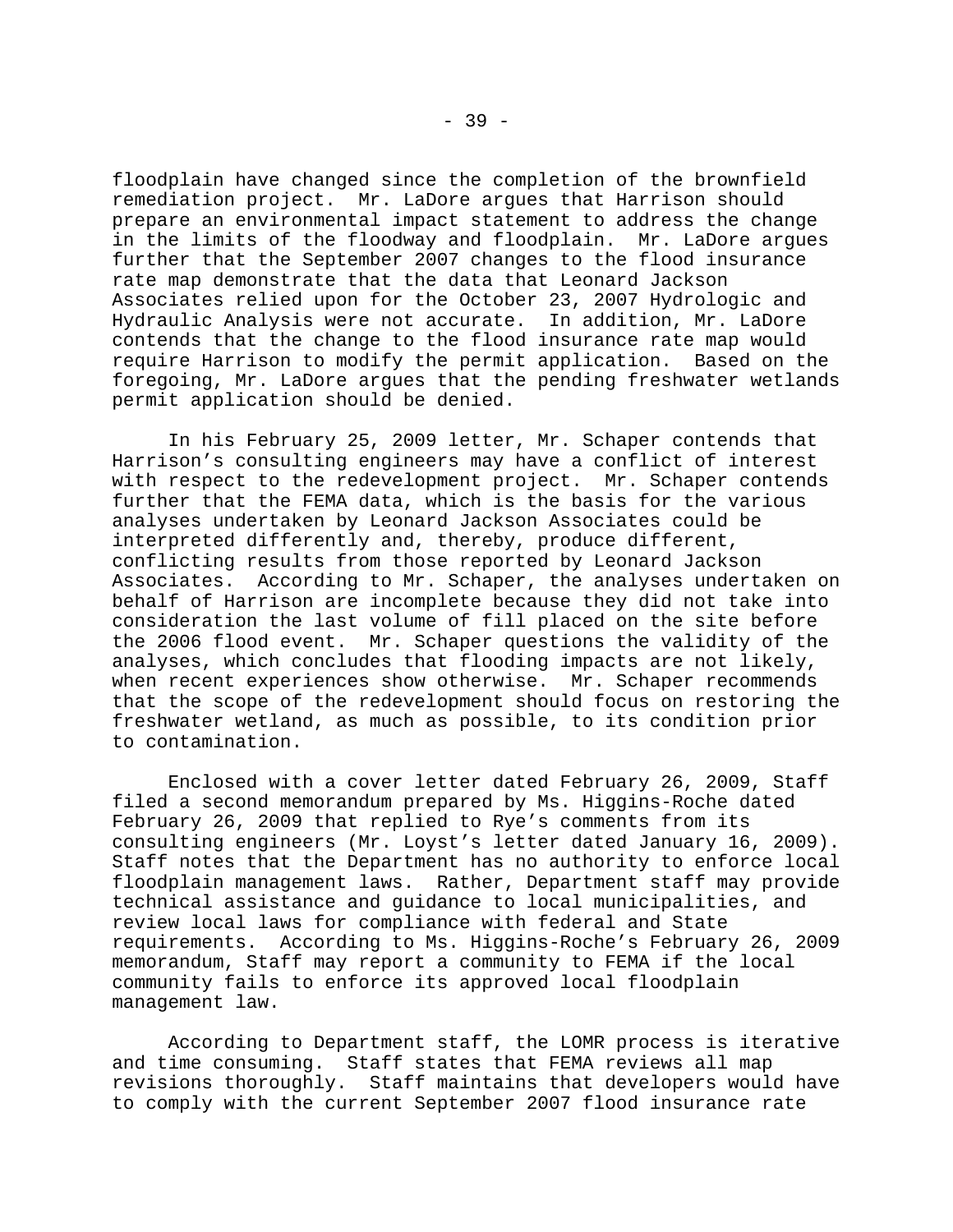floodplain have changed since the completion of the brownfield remediation project. Mr. LaDore argues that Harrison should prepare an environmental impact statement to address the change in the limits of the floodway and floodplain. Mr. LaDore argues further that the September 2007 changes to the flood insurance rate map demonstrate that the data that Leonard Jackson Associates relied upon for the October 23, 2007 Hydrologic and Hydraulic Analysis were not accurate. In addition, Mr. LaDore contends that the change to the flood insurance rate map would require Harrison to modify the permit application. Based on the foregoing, Mr. LaDore argues that the pending freshwater wetlands permit application should be denied.

In his February 25, 2009 letter, Mr. Schaper contends that Harrison's consulting engineers may have a conflict of interest with respect to the redevelopment project. Mr. Schaper contends further that the FEMA data, which is the basis for the various analyses undertaken by Leonard Jackson Associates could be interpreted differently and, thereby, produce different, conflicting results from those reported by Leonard Jackson Associates. According to Mr. Schaper, the analyses undertaken on behalf of Harrison are incomplete because they did not take into consideration the last volume of fill placed on the site before the 2006 flood event. Mr. Schaper questions the validity of the analyses, which concludes that flooding impacts are not likely, when recent experiences show otherwise. Mr. Schaper recommends that the scope of the redevelopment should focus on restoring the freshwater wetland, as much as possible, to its condition prior to contamination.

Enclosed with a cover letter dated February 26, 2009, Staff filed a second memorandum prepared by Ms. Higgins-Roche dated February 26, 2009 that replied to Rye's comments from its consulting engineers (Mr. Loyst's letter dated January 16, 2009). Staff notes that the Department has no authority to enforce local floodplain management laws. Rather, Department staff may provide technical assistance and guidance to local municipalities, and review local laws for compliance with federal and State requirements. According to Ms. Higgins-Roche's February 26, 2009 memorandum, Staff may report a community to FEMA if the local community fails to enforce its approved local floodplain management law.

According to Department staff, the LOMR process is iterative and time consuming. Staff states that FEMA reviews all map revisions thoroughly. Staff maintains that developers would have to comply with the current September 2007 flood insurance rate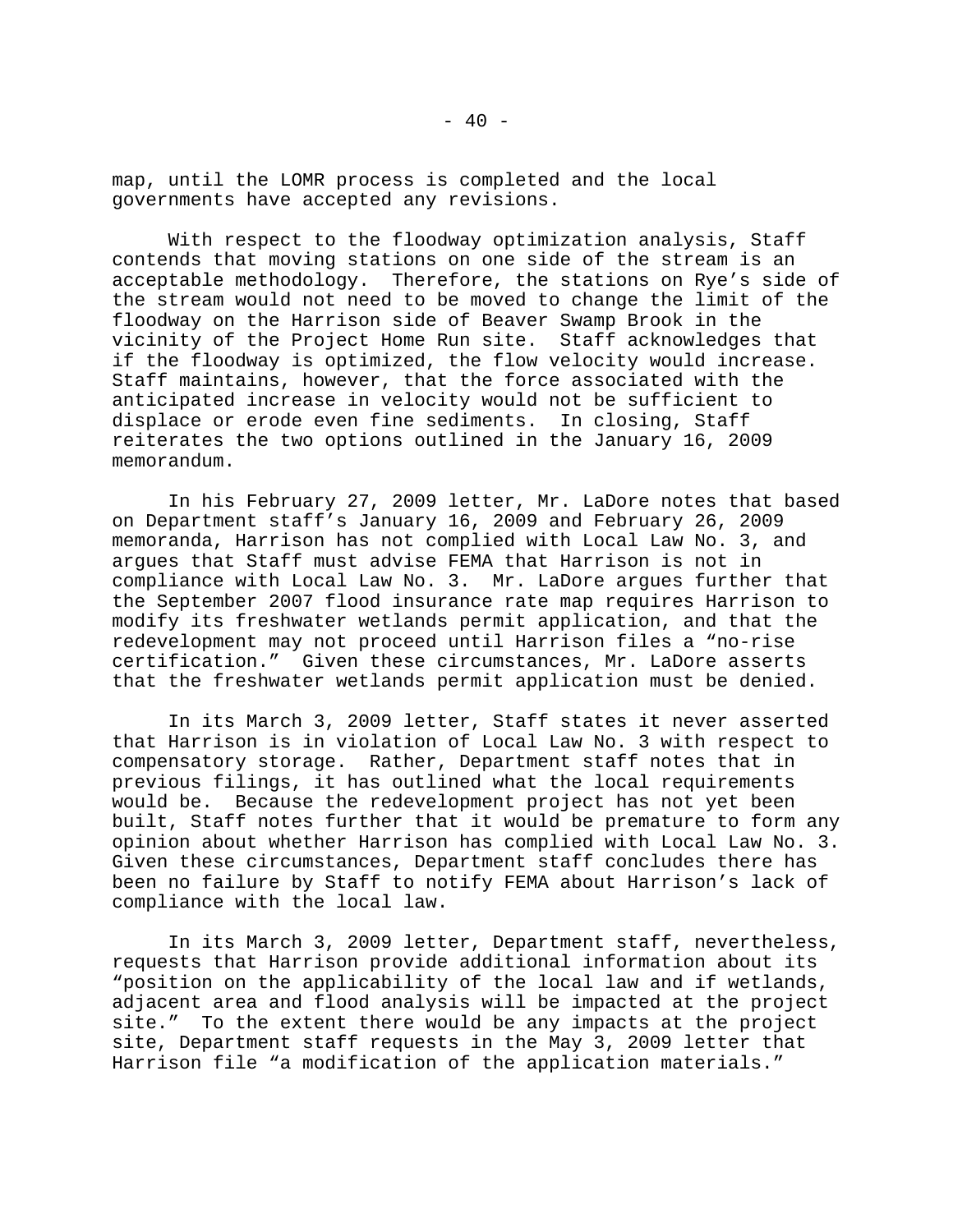map, until the LOMR process is completed and the local governments have accepted any revisions.

With respect to the floodway optimization analysis, Staff contends that moving stations on one side of the stream is an<br>acceptable methodology. Therefore, the stations on Rye's side Therefore, the stations on Rye's side of the stream would not need to be moved to change the limit of the floodway on the Harrison side of Beaver Swamp Brook in the vicinity of the Project Home Run site. Staff acknowledges that if the floodway is optimized, the flow velocity would increase. Staff maintains, however, that the force associated with the anticipated increase in velocity would not be sufficient to displace or erode even fine sediments. In closing, Staff reiterates the two options outlined in the January 16, 2009 memorandum.

In his February 27, 2009 letter, Mr. LaDore notes that based on Department staff's January 16, 2009 and February 26, 2009 memoranda, Harrison has not complied with Local Law No. 3, and argues that Staff must advise FEMA that Harrison is not in compliance with Local Law No. 3. Mr. LaDore argues further that the September 2007 flood insurance rate map requires Harrison to modify its freshwater wetlands permit application, and that the redevelopment may not proceed until Harrison files a "no-rise certification." Given these circumstances, Mr. LaDore asserts that the freshwater wetlands permit application must be denied.

In its March 3, 2009 letter, Staff states it never asserted that Harrison is in violation of Local Law No. 3 with respect to compensatory storage. Rather, Department staff notes that in previous filings, it has outlined what the local requirements would be. Because the redevelopment project has not yet been built, Staff notes further that it would be premature to form any opinion about whether Harrison has complied with Local Law No. 3. Given these circumstances, Department staff concludes there has been no failure by Staff to notify FEMA about Harrison's lack of compliance with the local law.

In its March 3, 2009 letter, Department staff, nevertheless, requests that Harrison provide additional information about its "position on the applicability of the local law and if wetlands, adjacent area and flood analysis will be impacted at the project site." To the extent there would be any impacts at the project site, Department staff requests in the May 3, 2009 letter that Harrison file "a modification of the application materials."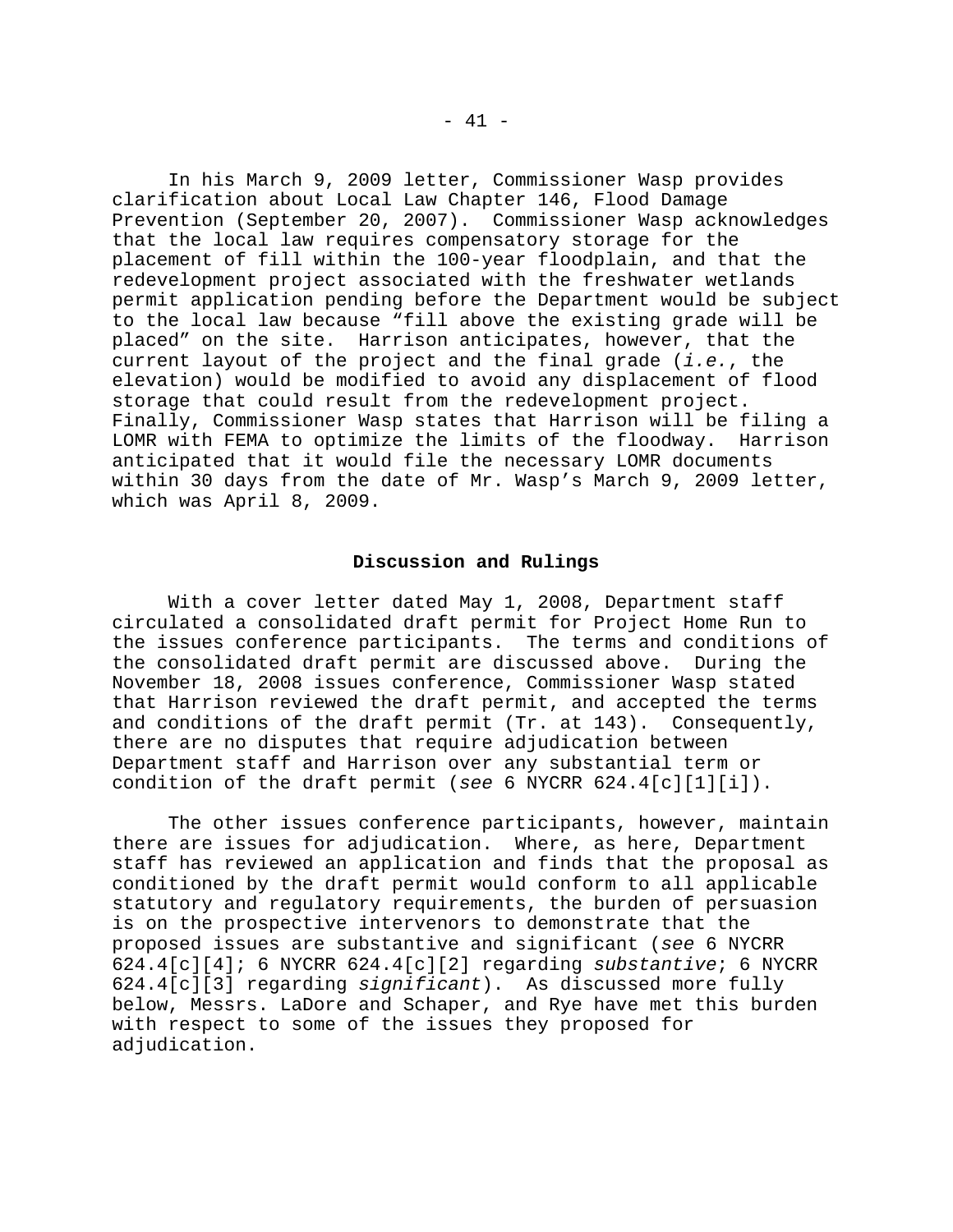In his March 9, 2009 letter, Commissioner Wasp provides clarification about Local Law Chapter 146, Flood Damage Prevention (September 20, 2007). Commissioner Wasp acknowledges that the local law requires compensatory storage for the placement of fill within the 100-year floodplain, and that the redevelopment project associated with the freshwater wetlands permit application pending before the Department would be subject to the local law because "fill above the existing grade will be placed" on the site. Harrison anticipates, however, that the current layout of the project and the final grade (*i.e.*, the elevation) would be modified to avoid any displacement of flood storage that could result from the redevelopment project. Finally, Commissioner Wasp states that Harrison will be filing a LOMR with FEMA to optimize the limits of the floodway. Harrison anticipated that it would file the necessary LOMR documents within 30 days from the date of Mr. Wasp's March 9, 2009 letter, which was April 8, 2009.

### **Discussion and Rulings**

With a cover letter dated May 1, 2008, Department staff circulated a consolidated draft permit for Project Home Run to the issues conference participants. The terms and conditions of the consolidated draft permit are discussed above. During the November 18, 2008 issues conference, Commissioner Wasp stated that Harrison reviewed the draft permit, and accepted the terms and conditions of the draft permit (Tr. at 143). Consequently, there are no disputes that require adjudication between Department staff and Harrison over any substantial term or condition of the draft permit (*see* 6 NYCRR 624.4[c][1][i]).

The other issues conference participants, however, maintain there are issues for adjudication. Where, as here, Department staff has reviewed an application and finds that the proposal as conditioned by the draft permit would conform to all applicable statutory and regulatory requirements, the burden of persuasion is on the prospective intervenors to demonstrate that the proposed issues are substantive and significant (*see* 6 NYCRR 624.4[c][4]; 6 NYCRR 624.4[c][2] regarding *substantive*; 6 NYCRR 624.4[c][3] regarding *significant*). As discussed more fully below, Messrs. LaDore and Schaper, and Rye have met this burden with respect to some of the issues they proposed for adjudication.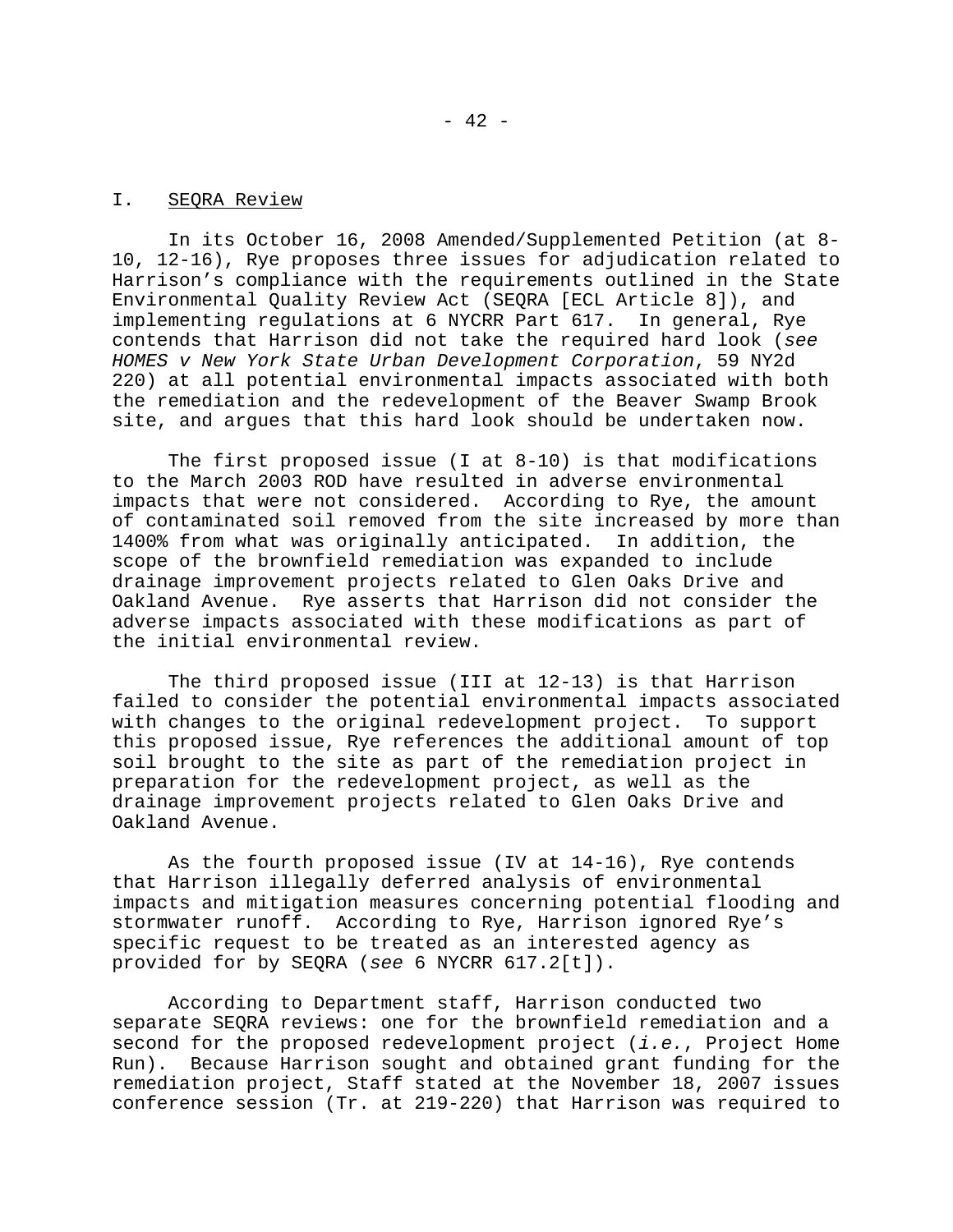#### I. SEQRA Review

In its October 16, 2008 Amended/Supplemented Petition (at 8- 10, 12-16), Rye proposes three issues for adjudication related to Harrison's compliance with the requirements outlined in the State Environmental Quality Review Act (SEQRA [ECL Article 8]), and implementing regulations at 6 NYCRR Part 617. In general, Rye contends that Harrison did not take the required hard look (*see HOMES v New York State Urban Development Corporation*, 59 NY2d 220) at all potential environmental impacts associated with both the remediation and the redevelopment of the Beaver Swamp Brook site, and argues that this hard look should be undertaken now.

The first proposed issue (I at 8-10) is that modifications to the March 2003 ROD have resulted in adverse environmental impacts that were not considered. According to Rye, the amount of contaminated soil removed from the site increased by more than 1400% from what was originally anticipated. In addition, the scope of the brownfield remediation was expanded to include drainage improvement projects related to Glen Oaks Drive and Oakland Avenue. Rye asserts that Harrison did not consider the adverse impacts associated with these modifications as part of the initial environmental review.

The third proposed issue (III at 12-13) is that Harrison failed to consider the potential environmental impacts associated with changes to the original redevelopment project. To support this proposed issue, Rye references the additional amount of top soil brought to the site as part of the remediation project in preparation for the redevelopment project, as well as the drainage improvement projects related to Glen Oaks Drive and Oakland Avenue.

As the fourth proposed issue (IV at 14-16), Rye contends that Harrison illegally deferred analysis of environmental impacts and mitigation measures concerning potential flooding and stormwater runoff. According to Rye, Harrison ignored Rye's specific request to be treated as an interested agency as provided for by SEQRA (*see* 6 NYCRR 617.2[t]).

According to Department staff, Harrison conducted two separate SEQRA reviews: one for the brownfield remediation and a second for the proposed redevelopment project (*i.e.*, Project Home Run). Because Harrison sought and obtained grant funding for the remediation project, Staff stated at the November 18, 2007 issues conference session (Tr. at 219-220) that Harrison was required to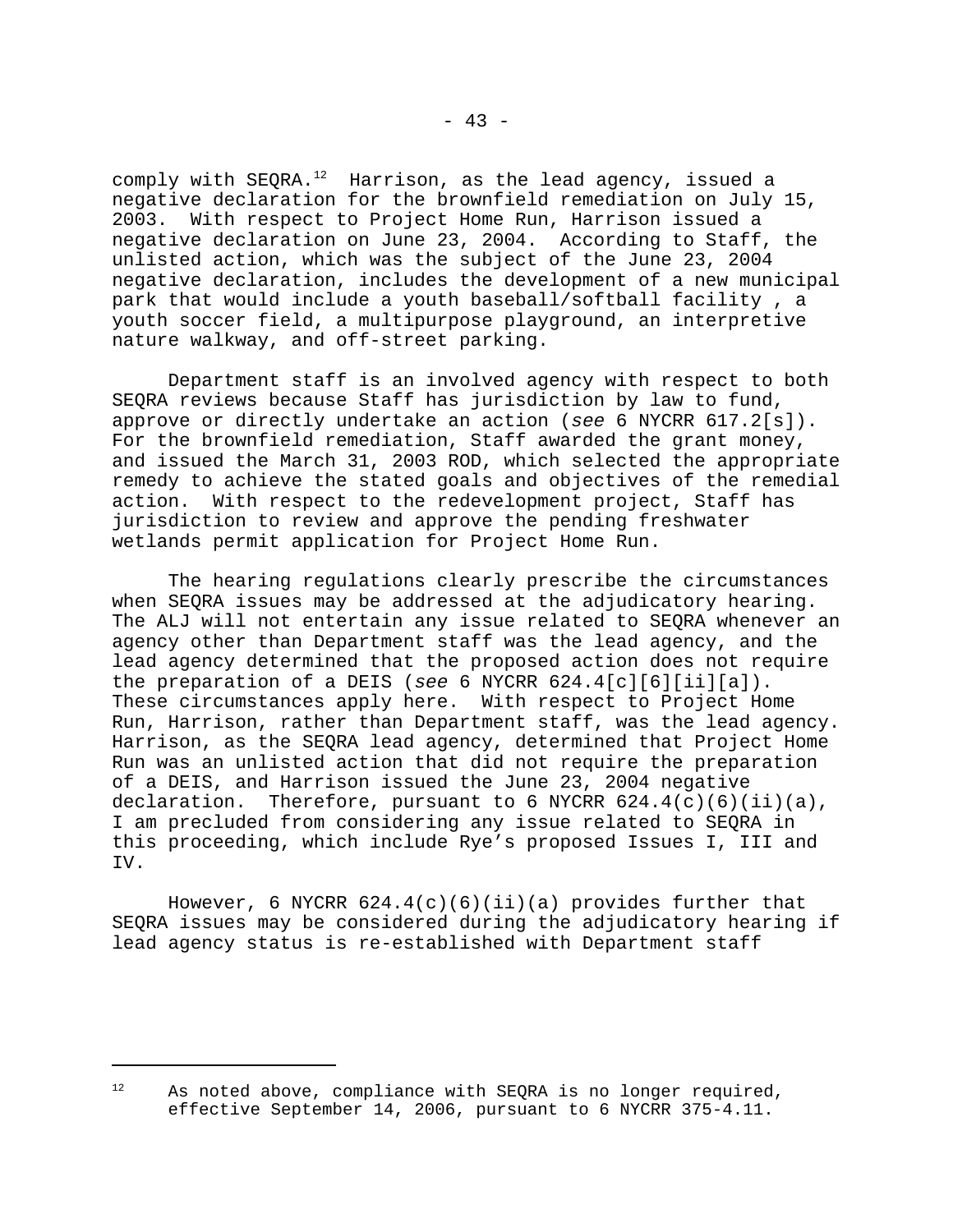comply with SEQRA.<sup>12</sup> Harrison, as the lead agency, issued a negative declaration for the brownfield remediation on July 15, 2003. With respect to Project Home Run, Harrison issued a negative declaration on June 23, 2004. According to Staff, the unlisted action, which was the subject of the June 23, 2004 negative declaration, includes the development of a new municipal park that would include a youth baseball/softball facility , a youth soccer field, a multipurpose playground, an interpretive nature walkway, and off-street parking.

Department staff is an involved agency with respect to both SEQRA reviews because Staff has jurisdiction by law to fund, approve or directly undertake an action (*see* 6 NYCRR 617.2[s]). For the brownfield remediation, Staff awarded the grant money, and issued the March 31, 2003 ROD, which selected the appropriate remedy to achieve the stated goals and objectives of the remedial action. With respect to the redevelopment project, Staff has jurisdiction to review and approve the pending freshwater wetlands permit application for Project Home Run.

The hearing regulations clearly prescribe the circumstances when SEQRA issues may be addressed at the adjudicatory hearing. The ALJ will not entertain any issue related to SEQRA whenever an agency other than Department staff was the lead agency, and the lead agency determined that the proposed action does not require the preparation of a DEIS (*see* 6 NYCRR 624.4[c][6][ii][a]). These circumstances apply here. With respect to Project Home Run, Harrison, rather than Department staff, was the lead agency. Harrison, as the SEQRA lead agency, determined that Project Home Run was an unlisted action that did not require the preparation of a DEIS, and Harrison issued the June 23, 2004 negative declaration. Therefore, pursuant to 6 NYCRR  $624.4(c)(6)(ii)(a)$ , I am precluded from considering any issue related to SEQRA in this proceeding, which include Rye's proposed Issues I, III and IV.

However, 6 NYCRR  $624.4(c)(6)(ii)(a)$  provides further that SEQRA issues may be considered during the adjudicatory hearing if lead agency status is re-established with Department staff

 $12$  As noted above, compliance with SEORA is no longer required, effective September 14, 2006, pursuant to 6 NYCRR 375-4.11.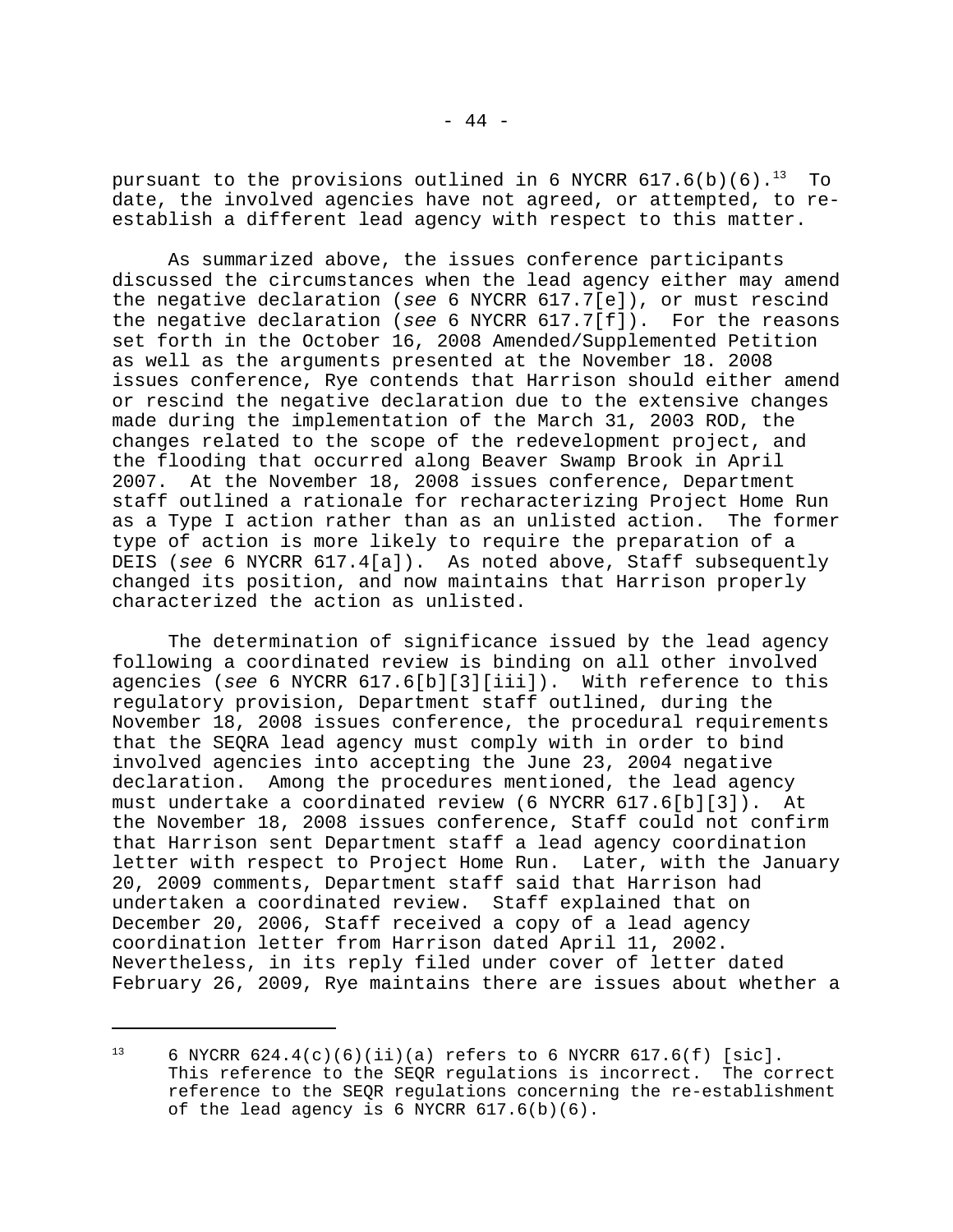pursuant to the provisions outlined in 6 NYCRR  $617.6(b)(6).$ <sup>13</sup> To date, the involved agencies have not agreed, or attempted, to reestablish a different lead agency with respect to this matter.

As summarized above, the issues conference participants discussed the circumstances when the lead agency either may amend the negative declaration (*see* 6 NYCRR 617.7[e]), or must rescind the negative declaration (*see* 6 NYCRR 617.7[f]). For the reasons set forth in the October 16, 2008 Amended/Supplemented Petition as well as the arguments presented at the November 18. 2008 issues conference, Rye contends that Harrison should either amend or rescind the negative declaration due to the extensive changes made during the implementation of the March 31, 2003 ROD, the changes related to the scope of the redevelopment project, and the flooding that occurred along Beaver Swamp Brook in April 2007. At the November 18, 2008 issues conference, Department staff outlined a rationale for recharacterizing Project Home Run as a Type I action rather than as an unlisted action. The former type of action is more likely to require the preparation of a DEIS (*see* 6 NYCRR 617.4[a]). As noted above, Staff subsequently changed its position, and now maintains that Harrison properly characterized the action as unlisted.

The determination of significance issued by the lead agency following a coordinated review is binding on all other involved agencies (*see* 6 NYCRR 617.6[b][3][iii]). With reference to this regulatory provision, Department staff outlined, during the November 18, 2008 issues conference, the procedural requirements that the SEQRA lead agency must comply with in order to bind involved agencies into accepting the June 23, 2004 negative declaration. Among the procedures mentioned, the lead agency must undertake a coordinated review (6 NYCRR 617.6[b][3]). At the November 18, 2008 issues conference, Staff could not confirm that Harrison sent Department staff a lead agency coordination letter with respect to Project Home Run. Later, with the January 20, 2009 comments, Department staff said that Harrison had undertaken a coordinated review. Staff explained that on December 20, 2006, Staff received a copy of a lead agency coordination letter from Harrison dated April 11, 2002. Nevertheless, in its reply filed under cover of letter dated February 26, 2009, Rye maintains there are issues about whether a

<sup>&</sup>lt;sup>13</sup> 6 NYCRR 624.4(c)(6)(ii)(a) refers to 6 NYCRR 617.6(f) [sic]. This reference to the SEQR regulations is incorrect. The correct reference to the SEQR regulations concerning the re-establishment of the lead agency is 6 NYCRR 617.6(b)(6).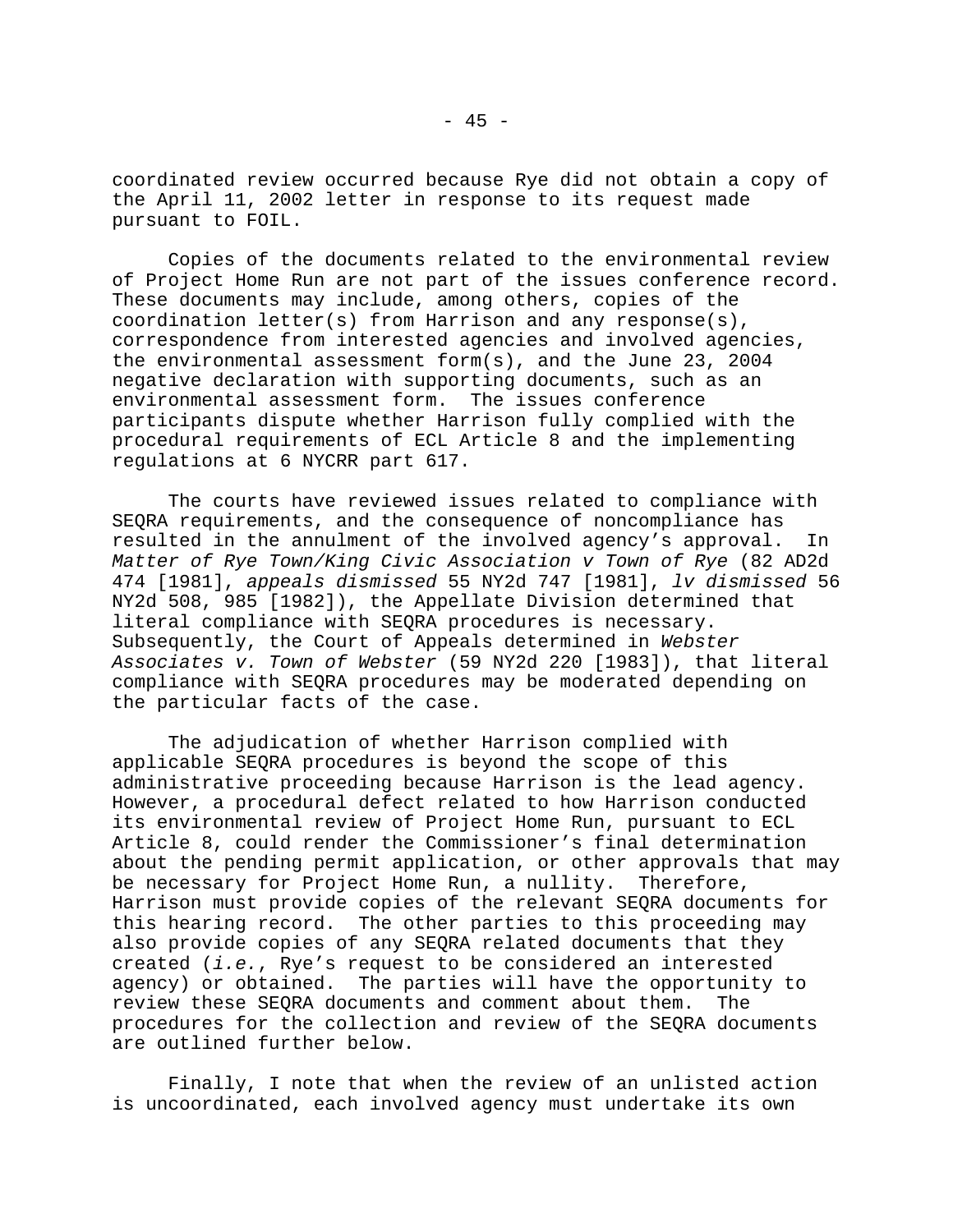coordinated review occurred because Rye did not obtain a copy of the April 11, 2002 letter in response to its request made pursuant to FOIL.

Copies of the documents related to the environmental review of Project Home Run are not part of the issues conference record. These documents may include, among others, copies of the coordination letter(s) from Harrison and any response(s), correspondence from interested agencies and involved agencies, the environmental assessment form(s), and the June 23, 2004 negative declaration with supporting documents, such as an environmental assessment form. The issues conference participants dispute whether Harrison fully complied with the procedural requirements of ECL Article 8 and the implementing regulations at 6 NYCRR part 617.

The courts have reviewed issues related to compliance with SEQRA requirements, and the consequence of noncompliance has resulted in the annulment of the involved agency's approval. In *Matter of Rye Town/King Civic Association v Town of Rye* (82 AD2d 474 [1981], *appeals dismissed* 55 NY2d 747 [1981], *lv dismissed* 56 NY2d 508, 985 [1982]), the Appellate Division determined that literal compliance with SEQRA procedures is necessary. Subsequently, the Court of Appeals determined in *Webster Associates v. Town of Webster* (59 NY2d 220 [1983]), that literal compliance with SEQRA procedures may be moderated depending on the particular facts of the case.

The adjudication of whether Harrison complied with applicable SEQRA procedures is beyond the scope of this administrative proceeding because Harrison is the lead agency. However, a procedural defect related to how Harrison conducted its environmental review of Project Home Run, pursuant to ECL Article 8, could render the Commissioner's final determination about the pending permit application, or other approvals that may be necessary for Project Home Run, a nullity. Therefore, Harrison must provide copies of the relevant SEQRA documents for this hearing record. The other parties to this proceeding may also provide copies of any SEQRA related documents that they created (*i.e.*, Rye's request to be considered an interested agency) or obtained. The parties will have the opportunity to review these SEQRA documents and comment about them. The procedures for the collection and review of the SEQRA documents are outlined further below.

Finally, I note that when the review of an unlisted action is uncoordinated, each involved agency must undertake its own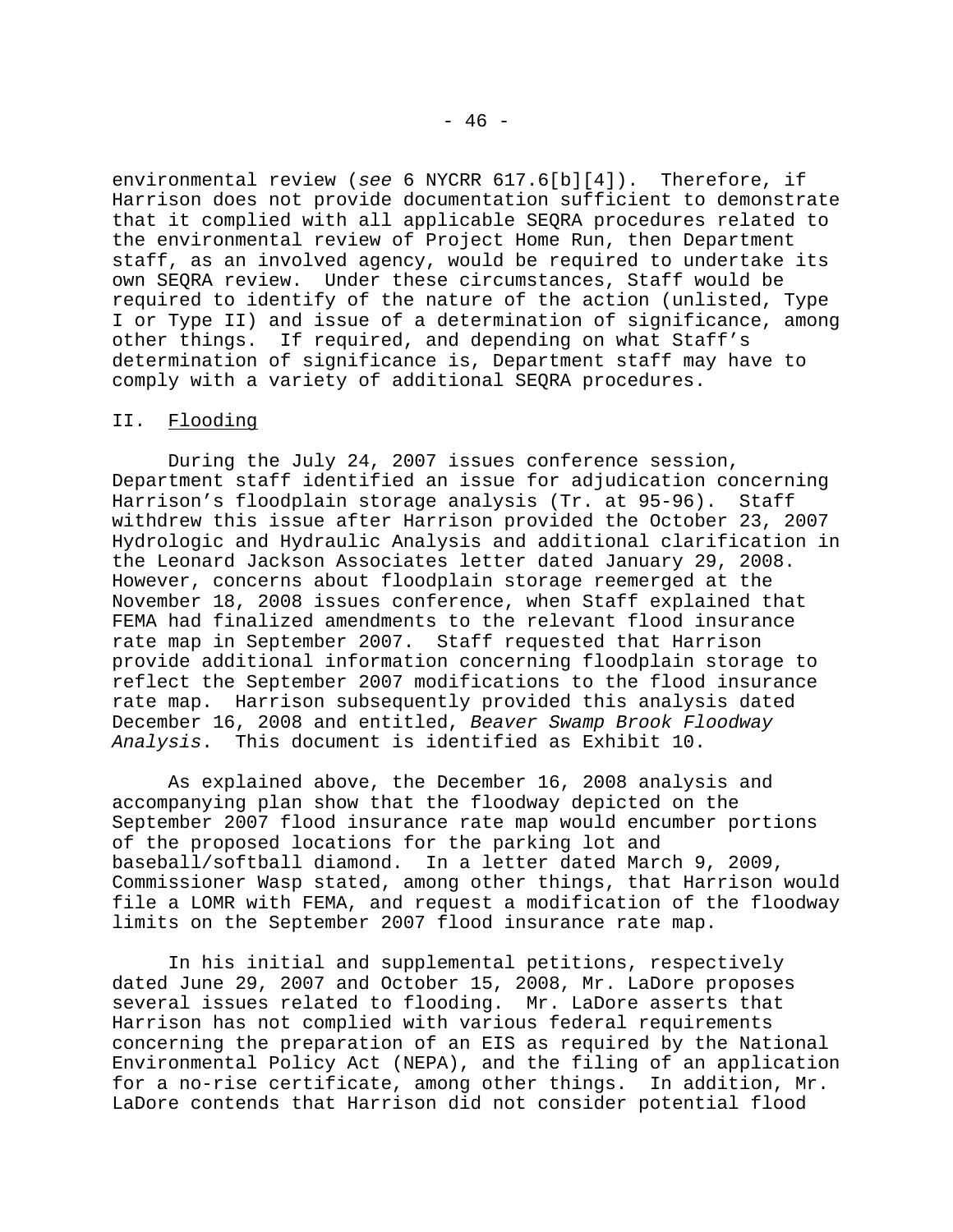environmental review (*see* 6 NYCRR 617.6[b][4]). Therefore, if Harrison does not provide documentation sufficient to demonstrate that it complied with all applicable SEQRA procedures related to the environmental review of Project Home Run, then Department staff, as an involved agency, would be required to undertake its own SEQRA review. Under these circumstances, Staff would be required to identify of the nature of the action (unlisted, Type I or Type II) and issue of a determination of significance, among other things. If required, and depending on what Staff's determination of significance is, Department staff may have to comply with a variety of additional SEQRA procedures.

## II. Flooding

During the July 24, 2007 issues conference session, Department staff identified an issue for adjudication concerning Harrison's floodplain storage analysis (Tr. at 95-96). Staff withdrew this issue after Harrison provided the October 23, 2007 Hydrologic and Hydraulic Analysis and additional clarification in the Leonard Jackson Associates letter dated January 29, 2008. However, concerns about floodplain storage reemerged at the November 18, 2008 issues conference, when Staff explained that FEMA had finalized amendments to the relevant flood insurance rate map in September 2007. Staff requested that Harrison provide additional information concerning floodplain storage to reflect the September 2007 modifications to the flood insurance rate map. Harrison subsequently provided this analysis dated December 16, 2008 and entitled, *Beaver Swamp Brook Floodway Analysis*. This document is identified as Exhibit 10.

As explained above, the December 16, 2008 analysis and accompanying plan show that the floodway depicted on the September 2007 flood insurance rate map would encumber portions of the proposed locations for the parking lot and baseball/softball diamond. In a letter dated March 9, 2009, Commissioner Wasp stated, among other things, that Harrison would file a LOMR with FEMA, and request a modification of the floodway limits on the September 2007 flood insurance rate map.

In his initial and supplemental petitions, respectively dated June 29, 2007 and October 15, 2008, Mr. LaDore proposes several issues related to flooding. Mr. LaDore asserts that Harrison has not complied with various federal requirements concerning the preparation of an EIS as required by the National Environmental Policy Act (NEPA), and the filing of an application for a no-rise certificate, among other things. In addition, Mr. LaDore contends that Harrison did not consider potential flood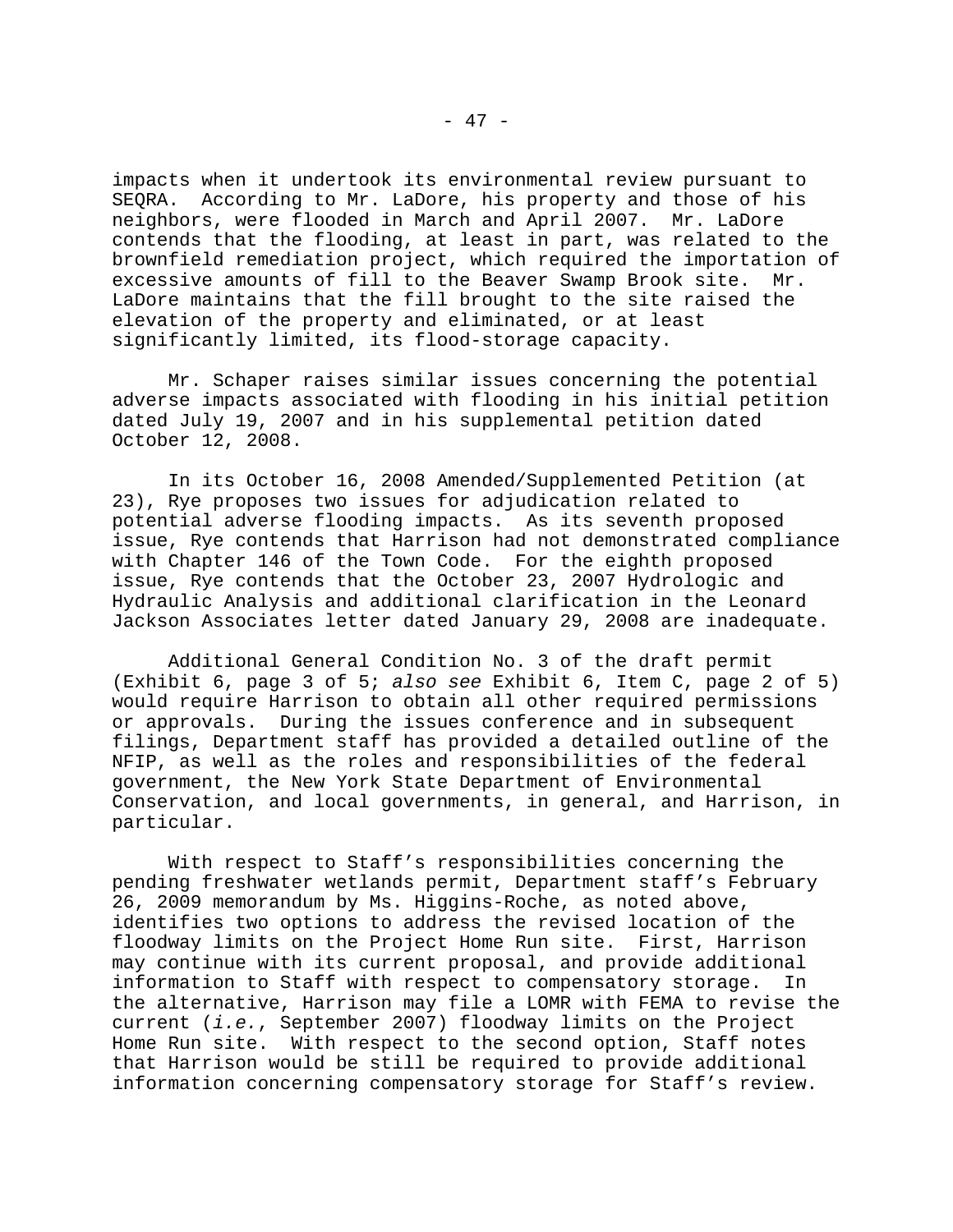impacts when it undertook its environmental review pursuant to SEQRA. According to Mr. LaDore, his property and those of his neighbors, were flooded in March and April 2007. Mr. LaDore contends that the flooding, at least in part, was related to the brownfield remediation project, which required the importation of excessive amounts of fill to the Beaver Swamp Brook site. Mr. LaDore maintains that the fill brought to the site raised the elevation of the property and eliminated, or at least significantly limited, its flood-storage capacity.

Mr. Schaper raises similar issues concerning the potential adverse impacts associated with flooding in his initial petition dated July 19, 2007 and in his supplemental petition dated October 12, 2008.

In its October 16, 2008 Amended/Supplemented Petition (at 23), Rye proposes two issues for adjudication related to potential adverse flooding impacts. As its seventh proposed issue, Rye contends that Harrison had not demonstrated compliance with Chapter 146 of the Town Code. For the eighth proposed issue, Rye contends that the October 23, 2007 Hydrologic and Hydraulic Analysis and additional clarification in the Leonard Jackson Associates letter dated January 29, 2008 are inadequate.

Additional General Condition No. 3 of the draft permit (Exhibit 6, page 3 of 5; *also see* Exhibit 6, Item C, page 2 of 5) would require Harrison to obtain all other required permissions or approvals. During the issues conference and in subsequent filings, Department staff has provided a detailed outline of the NFIP, as well as the roles and responsibilities of the federal government, the New York State Department of Environmental Conservation, and local governments, in general, and Harrison, in particular.

With respect to Staff's responsibilities concerning the pending freshwater wetlands permit, Department staff's February 26, 2009 memorandum by Ms. Higgins-Roche, as noted above, identifies two options to address the revised location of the floodway limits on the Project Home Run site. First, Harrison may continue with its current proposal, and provide additional information to Staff with respect to compensatory storage. In the alternative, Harrison may file a LOMR with FEMA to revise the current (*i.e.*, September 2007) floodway limits on the Project Home Run site. With respect to the second option, Staff notes that Harrison would be still be required to provide additional information concerning compensatory storage for Staff's review.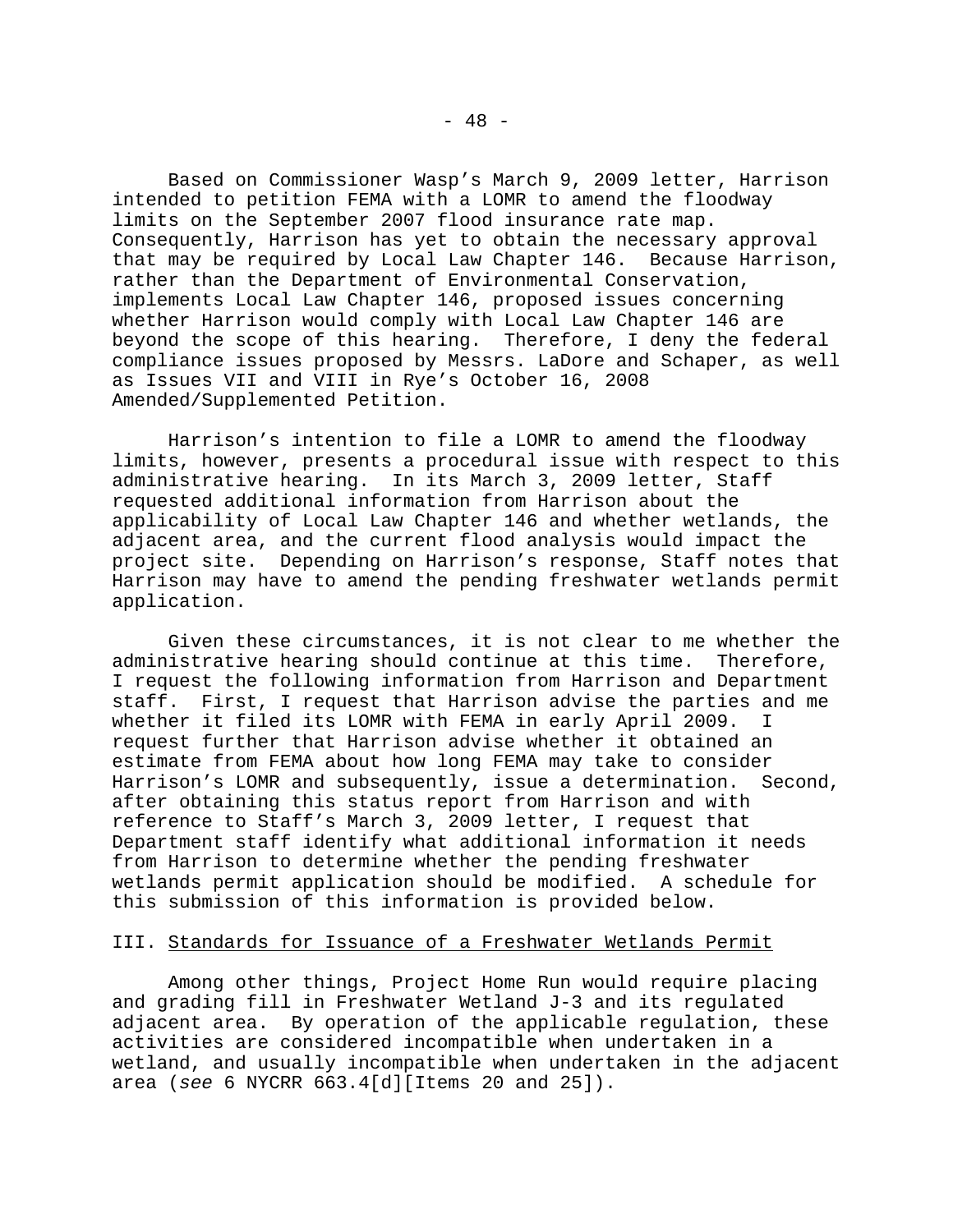Based on Commissioner Wasp's March 9, 2009 letter, Harrison intended to petition FEMA with a LOMR to amend the floodway limits on the September 2007 flood insurance rate map. Consequently, Harrison has yet to obtain the necessary approval that may be required by Local Law Chapter 146. Because Harrison, rather than the Department of Environmental Conservation, implements Local Law Chapter 146, proposed issues concerning whether Harrison would comply with Local Law Chapter 146 are beyond the scope of this hearing. Therefore, I deny the federal compliance issues proposed by Messrs. LaDore and Schaper, as well as Issues VII and VIII in Rye's October 16, 2008 Amended/Supplemented Petition.

Harrison's intention to file a LOMR to amend the floodway limits, however, presents a procedural issue with respect to this administrative hearing. In its March 3, 2009 letter, Staff requested additional information from Harrison about the applicability of Local Law Chapter 146 and whether wetlands, the adjacent area, and the current flood analysis would impact the project site. Depending on Harrison's response, Staff notes that Harrison may have to amend the pending freshwater wetlands permit application.

Given these circumstances, it is not clear to me whether the administrative hearing should continue at this time. Therefore, I request the following information from Harrison and Department staff. First, I request that Harrison advise the parties and me whether it filed its LOMR with FEMA in early April 2009. I request further that Harrison advise whether it obtained an estimate from FEMA about how long FEMA may take to consider Harrison's LOMR and subsequently, issue a determination. Second, after obtaining this status report from Harrison and with reference to Staff's March 3, 2009 letter, I request that Department staff identify what additional information it needs from Harrison to determine whether the pending freshwater wetlands permit application should be modified. A schedule for this submission of this information is provided below.

# III. Standards for Issuance of a Freshwater Wetlands Permit

Among other things, Project Home Run would require placing and grading fill in Freshwater Wetland J-3 and its regulated adjacent area. By operation of the applicable regulation, these activities are considered incompatible when undertaken in a wetland, and usually incompatible when undertaken in the adjacent area (*see* 6 NYCRR 663.4[d][Items 20 and 25]).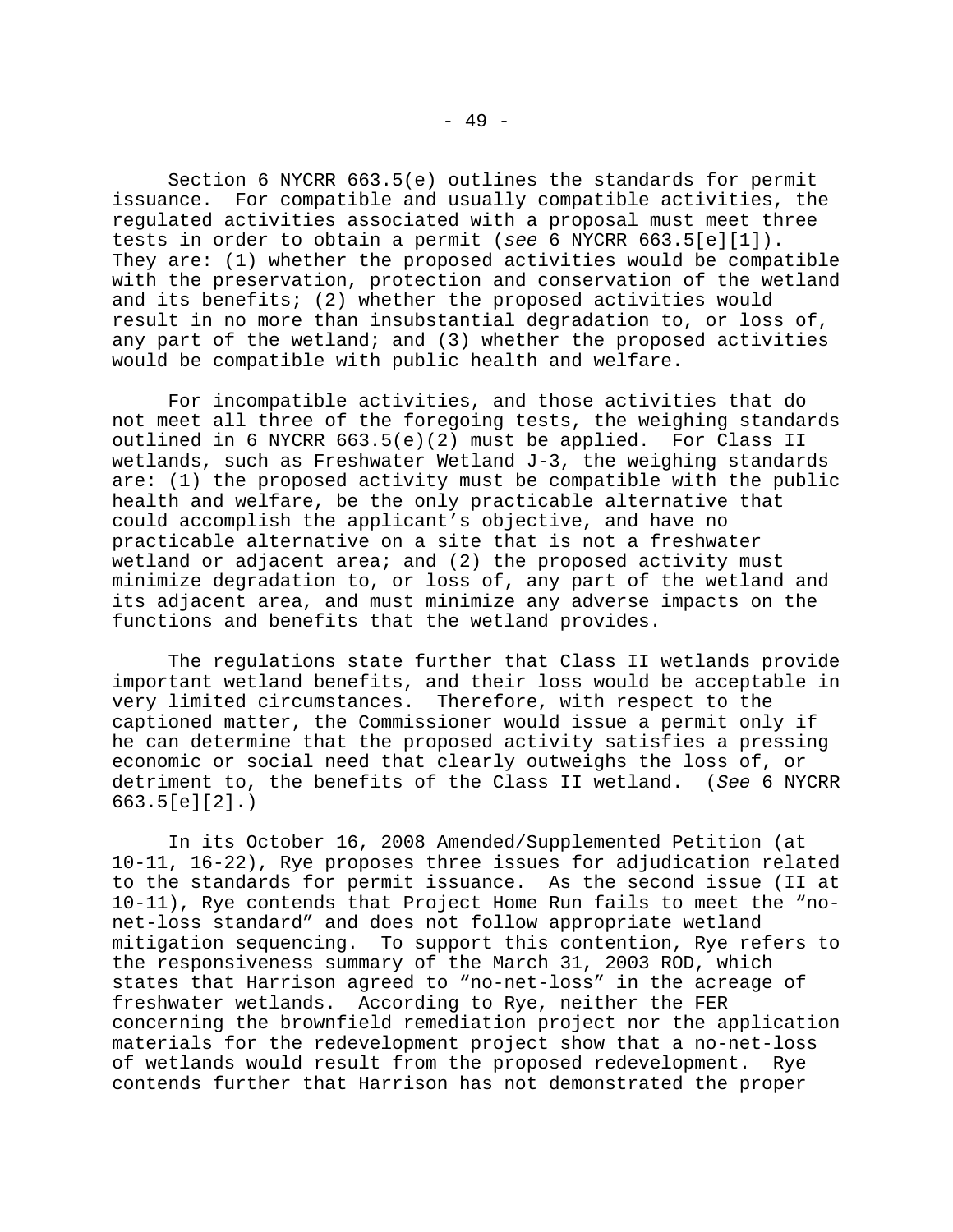Section 6 NYCRR 663.5(e) outlines the standards for permit issuance. For compatible and usually compatible activities, the regulated activities associated with a proposal must meet three tests in order to obtain a permit (*see* 6 NYCRR 663.5[e][1]). They are: (1) whether the proposed activities would be compatible with the preservation, protection and conservation of the wetland and its benefits; (2) whether the proposed activities would result in no more than insubstantial degradation to, or loss of, any part of the wetland; and (3) whether the proposed activities would be compatible with public health and welfare.

For incompatible activities, and those activities that do not meet all three of the foregoing tests, the weighing standards outlined in 6 NYCRR 663.5(e)(2) must be applied. For Class II wetlands, such as Freshwater Wetland J-3, the weighing standards are: (1) the proposed activity must be compatible with the public health and welfare, be the only practicable alternative that could accomplish the applicant's objective, and have no practicable alternative on a site that is not a freshwater wetland or adjacent area; and (2) the proposed activity must minimize degradation to, or loss of, any part of the wetland and its adjacent area, and must minimize any adverse impacts on the functions and benefits that the wetland provides.

The regulations state further that Class II wetlands provide important wetland benefits, and their loss would be acceptable in very limited circumstances. Therefore, with respect to the captioned matter, the Commissioner would issue a permit only if he can determine that the proposed activity satisfies a pressing economic or social need that clearly outweighs the loss of, or detriment to, the benefits of the Class II wetland. (*See* 6 NYCRR 663.5[e][2].)

In its October 16, 2008 Amended/Supplemented Petition (at 10-11, 16-22), Rye proposes three issues for adjudication related to the standards for permit issuance. As the second issue (II at 10-11), Rye contends that Project Home Run fails to meet the "nonet-loss standard" and does not follow appropriate wetland mitigation sequencing. To support this contention, Rye refers to the responsiveness summary of the March 31, 2003 ROD, which states that Harrison agreed to "no-net-loss" in the acreage of freshwater wetlands. According to Rye, neither the FER concerning the brownfield remediation project nor the application materials for the redevelopment project show that a no-net-loss of wetlands would result from the proposed redevelopment. Rye contends further that Harrison has not demonstrated the proper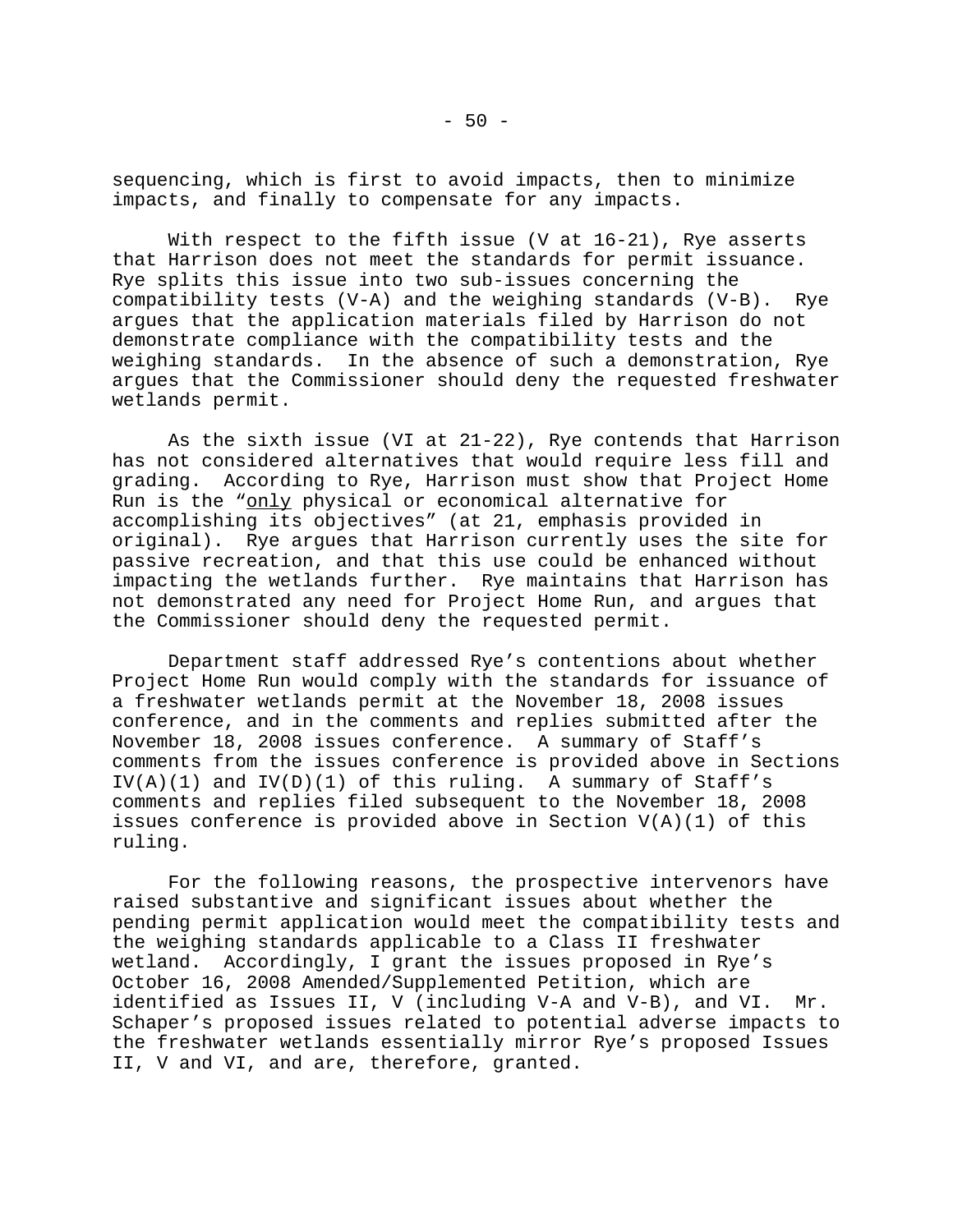sequencing, which is first to avoid impacts, then to minimize impacts, and finally to compensate for any impacts.

With respect to the fifth issue (V at 16-21), Rye asserts that Harrison does not meet the standards for permit issuance. Rye splits this issue into two sub-issues concerning the compatibility tests (V-A) and the weighing standards (V-B). Rye argues that the application materials filed by Harrison do not demonstrate compliance with the compatibility tests and the weighing standards. In the absence of such a demonstration, Rye argues that the Commissioner should deny the requested freshwater wetlands permit.

As the sixth issue (VI at  $21-22$ ), Rye contends that Harrison has not considered alternatives that would require less fill and grading. According to Rye, Harrison must show that Project Home Run is the "only physical or economical alternative for accomplishing its objectives" (at 21, emphasis provided in original). Rye argues that Harrison currently uses the site for passive recreation, and that this use could be enhanced without impacting the wetlands further. Rye maintains that Harrison has not demonstrated any need for Project Home Run, and argues that the Commissioner should deny the requested permit.

Department staff addressed Rye's contentions about whether Project Home Run would comply with the standards for issuance of a freshwater wetlands permit at the November 18, 2008 issues conference, and in the comments and replies submitted after the November 18, 2008 issues conference. A summary of Staff's comments from the issues conference is provided above in Sections  $IV(A)(1)$  and  $IV(D)(1)$  of this ruling. A summary of Staff's comments and replies filed subsequent to the November 18, 2008 issues conference is provided above in Section V(A)(1) of this ruling.

For the following reasons, the prospective intervenors have raised substantive and significant issues about whether the pending permit application would meet the compatibility tests and the weighing standards applicable to a Class II freshwater wetland. Accordingly, I grant the issues proposed in Rye's October 16, 2008 Amended/Supplemented Petition, which are identified as Issues II, V (including V-A and V-B), and VI. Mr. Schaper's proposed issues related to potential adverse impacts to the freshwater wetlands essentially mirror Rye's proposed Issues II, V and VI, and are, therefore, granted.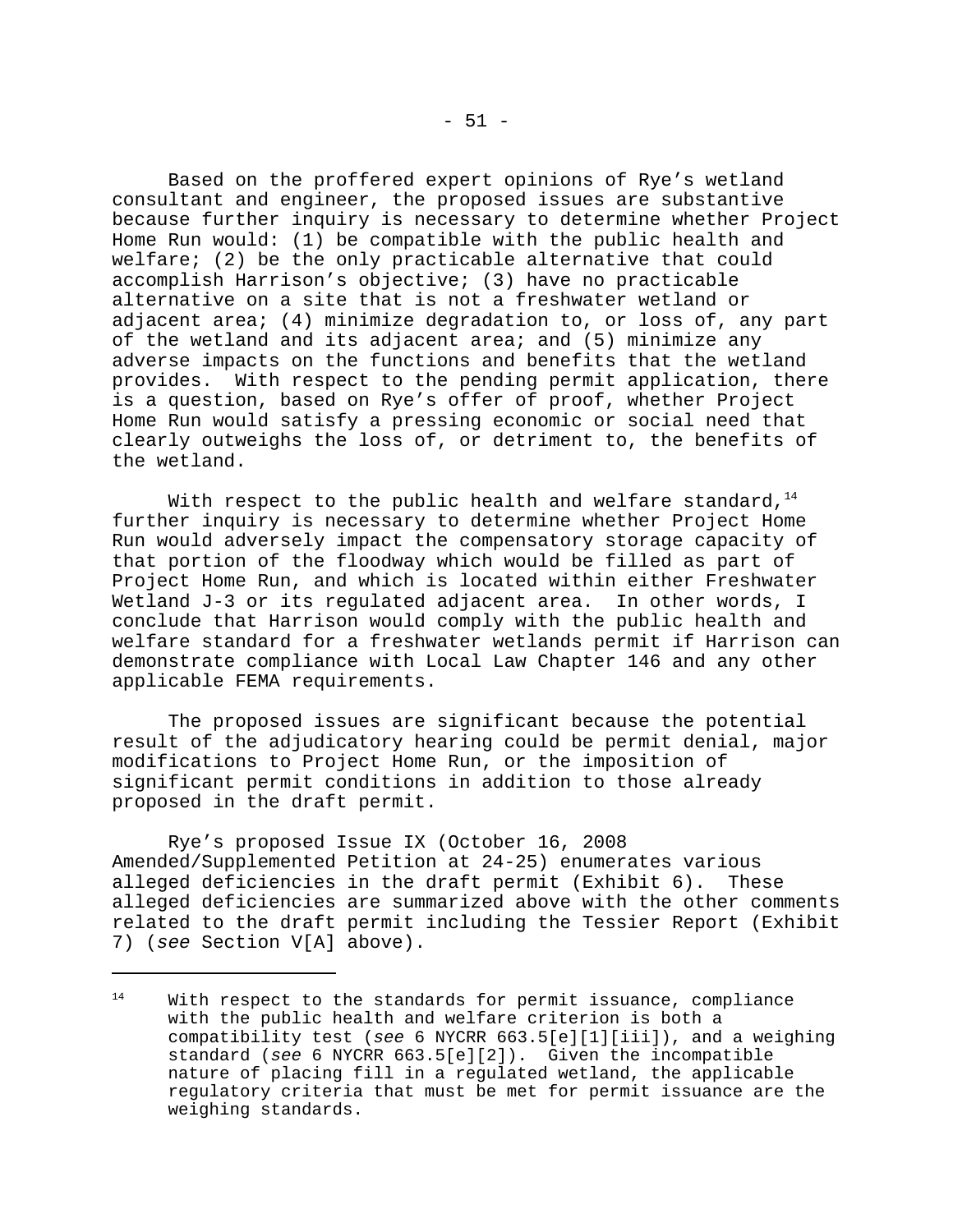Based on the proffered expert opinions of Rye's wetland consultant and engineer, the proposed issues are substantive because further inquiry is necessary to determine whether Project Home Run would: (1) be compatible with the public health and welfare; (2) be the only practicable alternative that could accomplish Harrison's objective; (3) have no practicable alternative on a site that is not a freshwater wetland or adjacent area; (4) minimize degradation to, or loss of, any part of the wetland and its adjacent area; and (5) minimize any adverse impacts on the functions and benefits that the wetland provides. With respect to the pending permit application, there is a question, based on Rye's offer of proof, whether Project Home Run would satisfy a pressing economic or social need that clearly outweighs the loss of, or detriment to, the benefits of the wetland.

With respect to the public health and welfare standard,  $14$ further inquiry is necessary to determine whether Project Home Run would adversely impact the compensatory storage capacity of that portion of the floodway which would be filled as part of Project Home Run, and which is located within either Freshwater Wetland J-3 or its regulated adjacent area. In other words, I conclude that Harrison would comply with the public health and welfare standard for a freshwater wetlands permit if Harrison can demonstrate compliance with Local Law Chapter 146 and any other applicable FEMA requirements.

The proposed issues are significant because the potential result of the adjudicatory hearing could be permit denial, major modifications to Project Home Run, or the imposition of significant permit conditions in addition to those already proposed in the draft permit.

Rye's proposed Issue IX (October 16, 2008 Amended/Supplemented Petition at 24-25) enumerates various alleged deficiencies in the draft permit (Exhibit 6). These alleged deficiencies are summarized above with the other comments related to the draft permit including the Tessier Report (Exhibit 7) (*see* Section V[A] above).

<sup>&</sup>lt;sup>14</sup> With respect to the standards for permit issuance, compliance with the public health and welfare criterion is both a compatibility test (*see* 6 NYCRR 663.5[e][1][iii]), and a weighing standard (*see* 6 NYCRR 663.5[e][2]). Given the incompatible nature of placing fill in a regulated wetland, the applicable regulatory criteria that must be met for permit issuance are the weighing standards.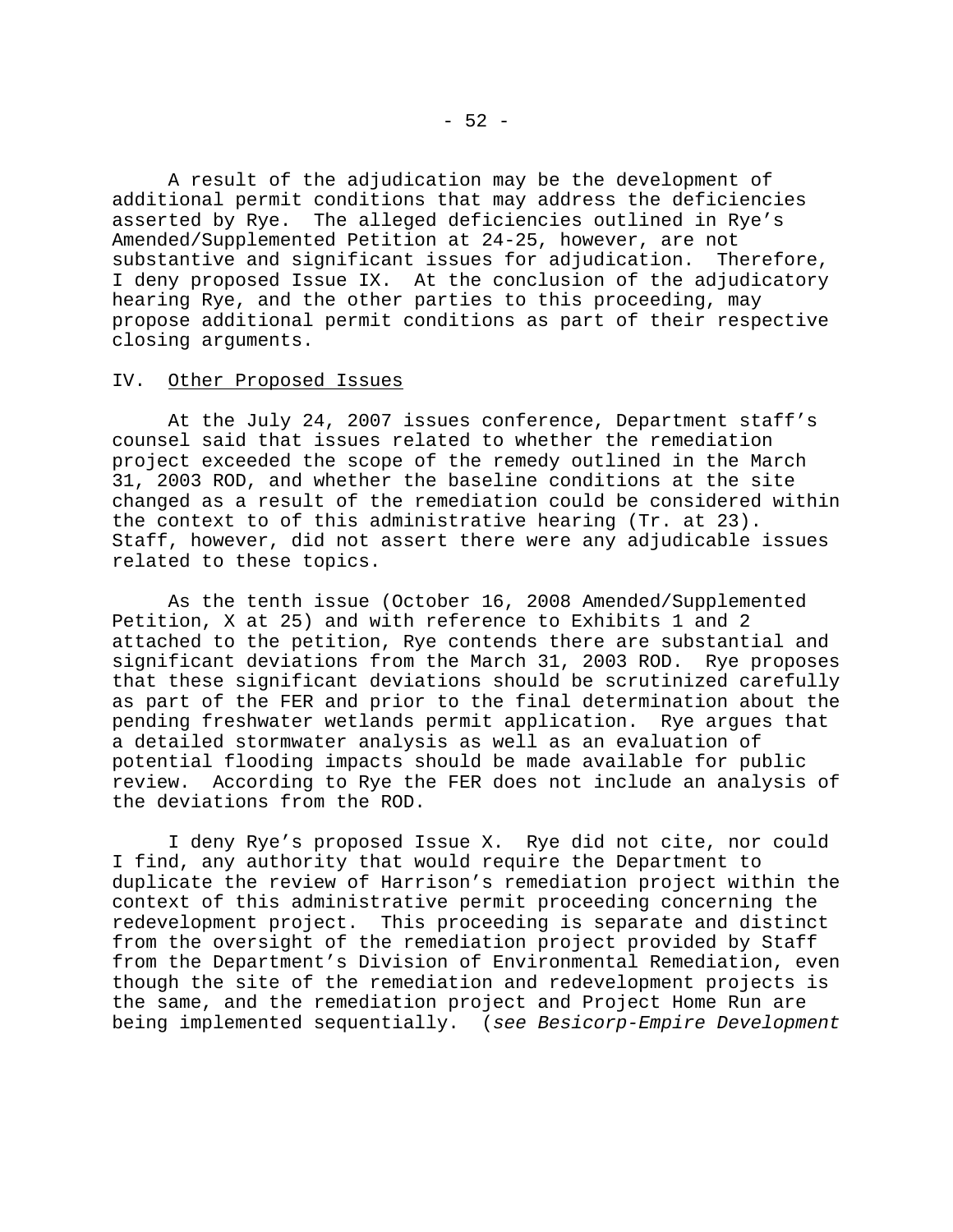A result of the adjudication may be the development of additional permit conditions that may address the deficiencies asserted by Rye. The alleged deficiencies outlined in Rye's Amended/Supplemented Petition at 24-25, however, are not substantive and significant issues for adjudication. Therefore, I deny proposed Issue IX. At the conclusion of the adjudicatory hearing Rye, and the other parties to this proceeding, may propose additional permit conditions as part of their respective closing arguments.

#### IV. Other Proposed Issues

At the July 24, 2007 issues conference, Department staff's counsel said that issues related to whether the remediation project exceeded the scope of the remedy outlined in the March 31, 2003 ROD, and whether the baseline conditions at the site changed as a result of the remediation could be considered within the context to of this administrative hearing (Tr. at 23). Staff, however, did not assert there were any adjudicable issues related to these topics.

As the tenth issue (October 16, 2008 Amended/Supplemented Petition, X at 25) and with reference to Exhibits 1 and 2 attached to the petition, Rye contends there are substantial and significant deviations from the March 31, 2003 ROD. Rye proposes that these significant deviations should be scrutinized carefully as part of the FER and prior to the final determination about the pending freshwater wetlands permit application. Rye argues that a detailed stormwater analysis as well as an evaluation of potential flooding impacts should be made available for public review. According to Rye the FER does not include an analysis of the deviations from the ROD.

I deny Rye's proposed Issue X. Rye did not cite, nor could I find, any authority that would require the Department to duplicate the review of Harrison's remediation project within the context of this administrative permit proceeding concerning the redevelopment project. This proceeding is separate and distinct from the oversight of the remediation project provided by Staff from the Department's Division of Environmental Remediation, even though the site of the remediation and redevelopment projects is the same, and the remediation project and Project Home Run are being implemented sequentially. (*see Besicorp-Empire Development*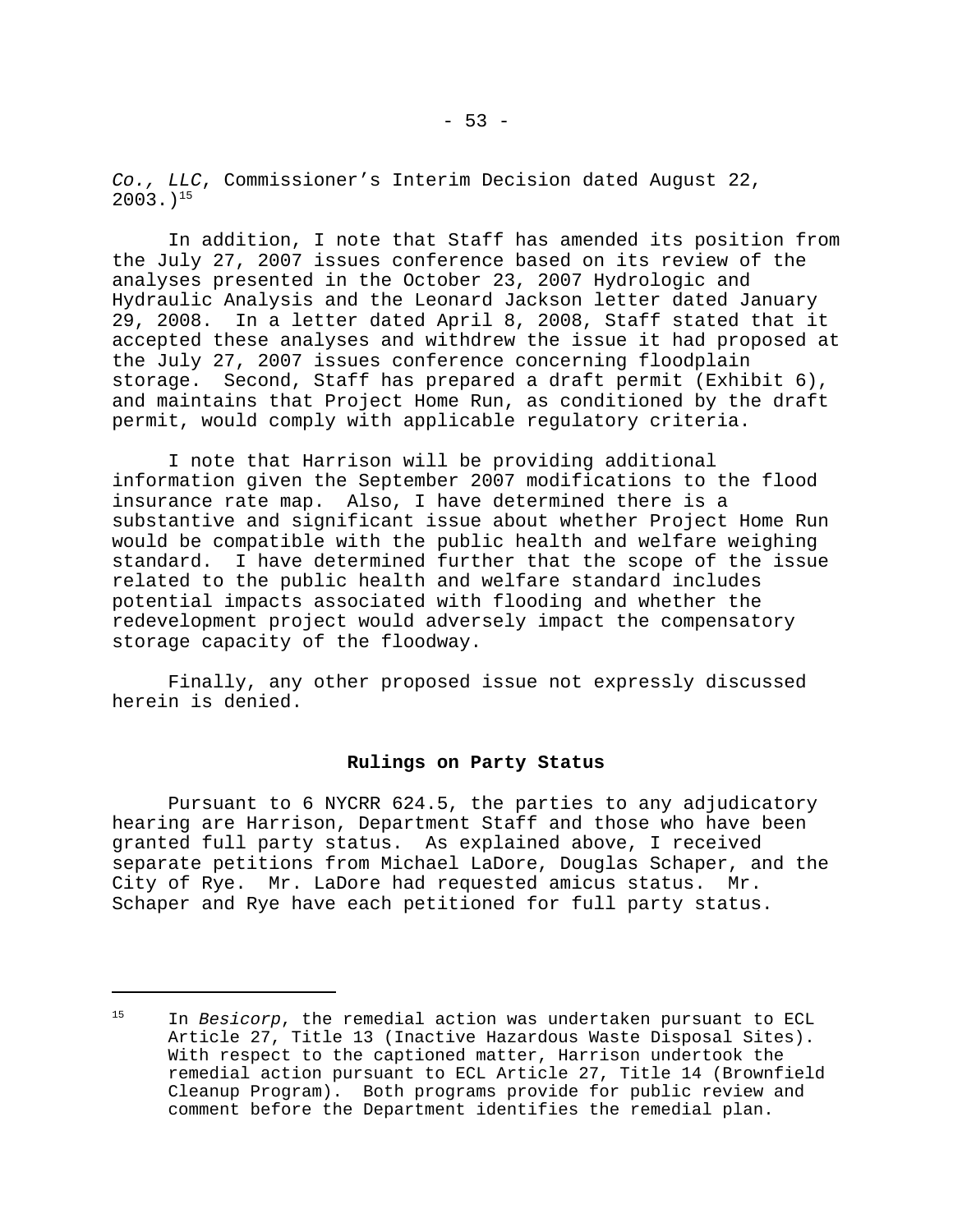*Co., LLC*, Commissioner's Interim Decision dated August 22,  $2003.$ <sup>15</sup>

In addition, I note that Staff has amended its position from the July 27, 2007 issues conference based on its review of the analyses presented in the October 23, 2007 Hydrologic and Hydraulic Analysis and the Leonard Jackson letter dated January 29, 2008. In a letter dated April 8, 2008, Staff stated that it accepted these analyses and withdrew the issue it had proposed at the July 27, 2007 issues conference concerning floodplain storage. Second, Staff has prepared a draft permit (Exhibit 6), and maintains that Project Home Run, as conditioned by the draft permit, would comply with applicable regulatory criteria.

I note that Harrison will be providing additional information given the September 2007 modifications to the flood insurance rate map. Also, I have determined there is a substantive and significant issue about whether Project Home Run would be compatible with the public health and welfare weighing standard. I have determined further that the scope of the issue related to the public health and welfare standard includes potential impacts associated with flooding and whether the redevelopment project would adversely impact the compensatory storage capacity of the floodway.

Finally, any other proposed issue not expressly discussed herein is denied.

## **Rulings on Party Status**

Pursuant to 6 NYCRR 624.5, the parties to any adjudicatory hearing are Harrison, Department Staff and those who have been granted full party status. As explained above, I received separate petitions from Michael LaDore, Douglas Schaper, and the City of Rye. Mr. LaDore had requested amicus status. Mr. Schaper and Rye have each petitioned for full party status.

<sup>15</sup> In *Besicorp*, the remedial action was undertaken pursuant to ECL Article 27, Title 13 (Inactive Hazardous Waste Disposal Sites). With respect to the captioned matter, Harrison undertook the remedial action pursuant to ECL Article 27, Title 14 (Brownfield Cleanup Program). Both programs provide for public review and comment before the Department identifies the remedial plan.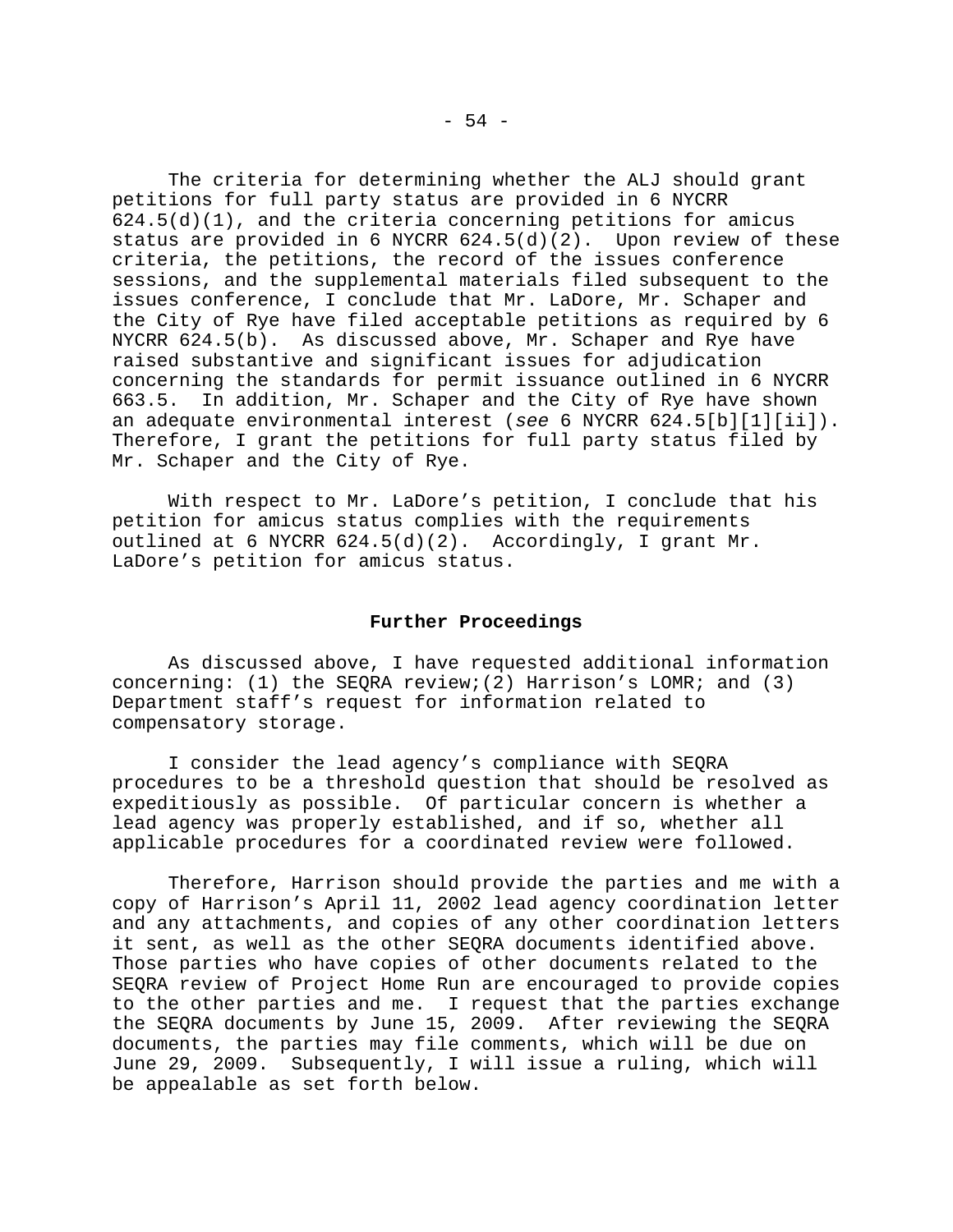The criteria for determining whether the ALJ should grant petitions for full party status are provided in 6 NYCRR  $624.5(d)(1)$ , and the criteria concerning petitions for amicus status are provided in 6 NYCRR  $624.5(d)(2)$ . Upon review of these criteria, the petitions, the record of the issues conference sessions, and the supplemental materials filed subsequent to the issues conference, I conclude that Mr. LaDore, Mr. Schaper and the City of Rye have filed acceptable petitions as required by 6 NYCRR 624.5(b). As discussed above, Mr. Schaper and Rye have raised substantive and significant issues for adjudication concerning the standards for permit issuance outlined in 6 NYCRR 663.5. In addition, Mr. Schaper and the City of Rye have shown an adequate environmental interest (*see* 6 NYCRR 624.5[b][1][ii]). Therefore, I grant the petitions for full party status filed by Mr. Schaper and the City of Rye.

With respect to Mr. LaDore's petition, I conclude that his petition for amicus status complies with the requirements outlined at 6 NYCRR 624.5(d)(2). Accordingly, I grant Mr. LaDore's petition for amicus status.

## **Further Proceedings**

As discussed above, I have requested additional information concerning: (1) the SEQRA review;(2) Harrison's LOMR; and (3) Department staff's request for information related to compensatory storage.

I consider the lead agency's compliance with SEQRA procedures to be a threshold question that should be resolved as expeditiously as possible. Of particular concern is whether a lead agency was properly established, and if so, whether all applicable procedures for a coordinated review were followed.

Therefore, Harrison should provide the parties and me with a copy of Harrison's April 11, 2002 lead agency coordination letter and any attachments, and copies of any other coordination letters it sent, as well as the other SEQRA documents identified above. Those parties who have copies of other documents related to the SEQRA review of Project Home Run are encouraged to provide copies to the other parties and me. I request that the parties exchange the SEQRA documents by June 15, 2009. After reviewing the SEQRA documents, the parties may file comments, which will be due on June 29, 2009. Subsequently, I will issue a ruling, which will be appealable as set forth below.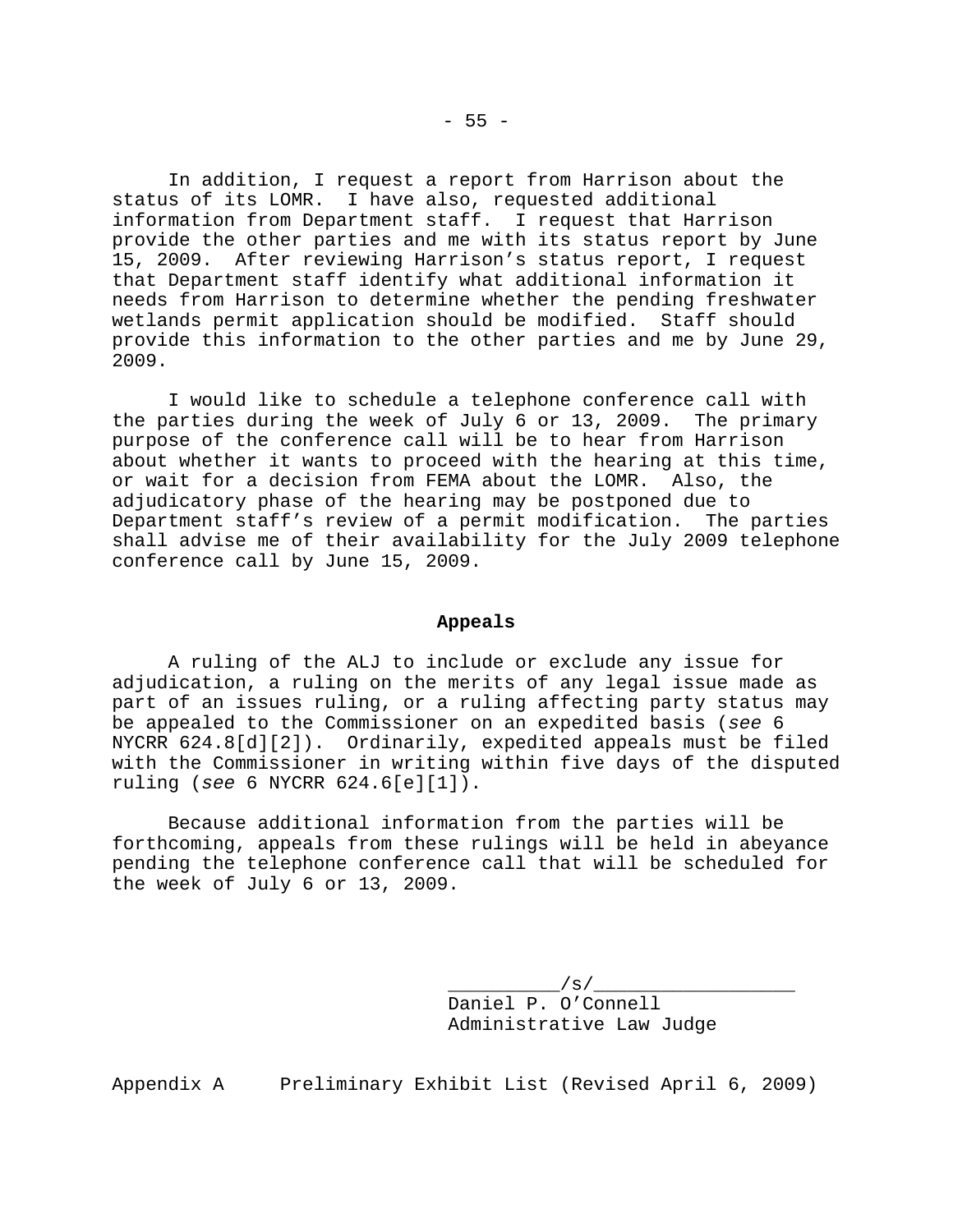In addition, I request a report from Harrison about the status of its LOMR. I have also, requested additional information from Department staff. I request that Harrison provide the other parties and me with its status report by June 15, 2009. After reviewing Harrison's status report, I request that Department staff identify what additional information it needs from Harrison to determine whether the pending freshwater wetlands permit application should be modified. Staff should provide this information to the other parties and me by June 29, 2009.

I would like to schedule a telephone conference call with the parties during the week of July 6 or 13, 2009. The primary purpose of the conference call will be to hear from Harrison about whether it wants to proceed with the hearing at this time, or wait for a decision from FEMA about the LOMR. Also, the adjudicatory phase of the hearing may be postponed due to Department staff's review of a permit modification. The parties shall advise me of their availability for the July 2009 telephone conference call by June 15, 2009.

## **Appeals**

A ruling of the ALJ to include or exclude any issue for adjudication, a ruling on the merits of any legal issue made as part of an issues ruling, or a ruling affecting party status may be appealed to the Commissioner on an expedited basis (*see* 6 NYCRR 624.8[d][2]). Ordinarily, expedited appeals must be filed with the Commissioner in writing within five days of the disputed ruling (*see* 6 NYCRR 624.6[e][1]).

Because additional information from the parties will be forthcoming, appeals from these rulings will be held in abeyance pending the telephone conference call that will be scheduled for the week of July 6 or 13, 2009.

> $\sqrt{s}/\_$ Daniel P. O'Connell Administrative Law Judge

Appendix A Preliminary Exhibit List (Revised April 6, 2009)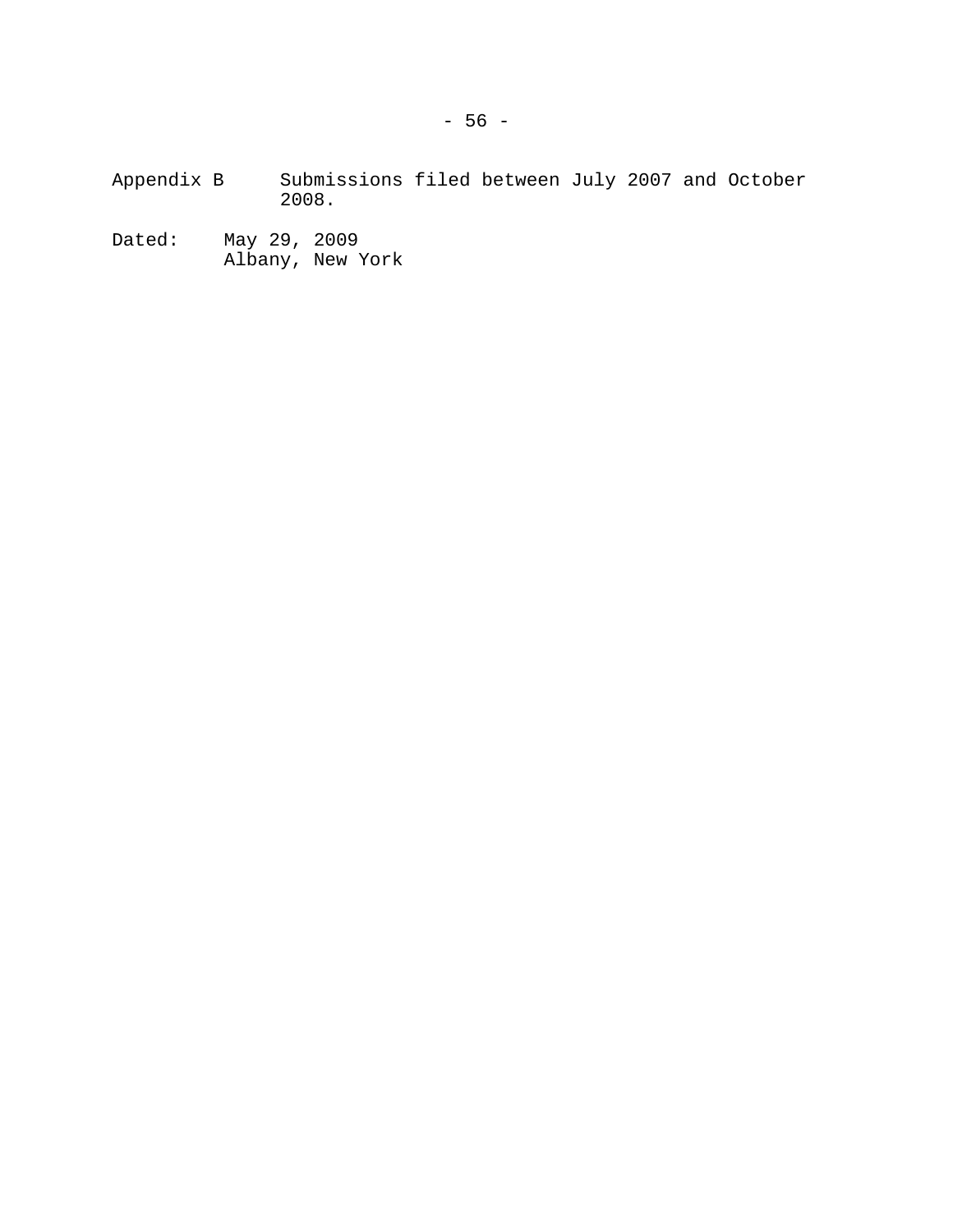Appendix B Submissions filed between July 2007 and October 2008.

Dated: May 29, 2009 Albany, New York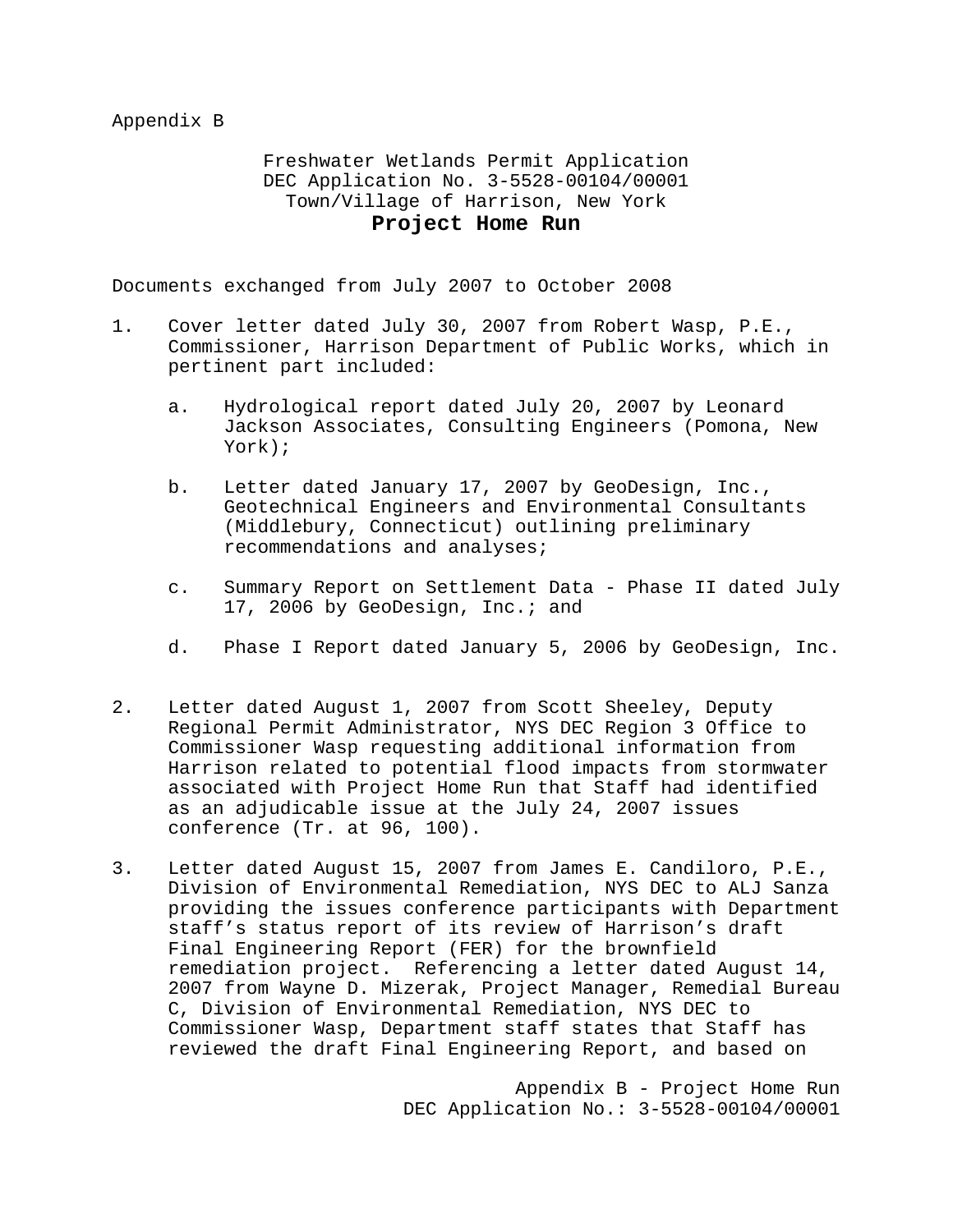Appendix B

Freshwater Wetlands Permit Application DEC Application No. 3-5528-00104/00001 Town/Village of Harrison, New York **Project Home Run**

Documents exchanged from July 2007 to October 2008

- 1. Cover letter dated July 30, 2007 from Robert Wasp, P.E., Commissioner, Harrison Department of Public Works, which in pertinent part included:
	- a. Hydrological report dated July 20, 2007 by Leonard Jackson Associates, Consulting Engineers (Pomona, New York);
	- b. Letter dated January 17, 2007 by GeoDesign, Inc., Geotechnical Engineers and Environmental Consultants (Middlebury, Connecticut) outlining preliminary recommendations and analyses;
	- c. Summary Report on Settlement Data Phase II dated July 17, 2006 by GeoDesign, Inc.; and
	- d. Phase I Report dated January 5, 2006 by GeoDesign, Inc.
- 2. Letter dated August 1, 2007 from Scott Sheeley, Deputy Regional Permit Administrator, NYS DEC Region 3 Office to Commissioner Wasp requesting additional information from Harrison related to potential flood impacts from stormwater associated with Project Home Run that Staff had identified as an adjudicable issue at the July 24, 2007 issues conference (Tr. at 96, 100).
- 3. Letter dated August 15, 2007 from James E. Candiloro, P.E., Division of Environmental Remediation, NYS DEC to ALJ Sanza providing the issues conference participants with Department staff's status report of its review of Harrison's draft Final Engineering Report (FER) for the brownfield remediation project. Referencing a letter dated August 14, 2007 from Wayne D. Mizerak, Project Manager, Remedial Bureau C, Division of Environmental Remediation, NYS DEC to Commissioner Wasp, Department staff states that Staff has reviewed the draft Final Engineering Report, and based on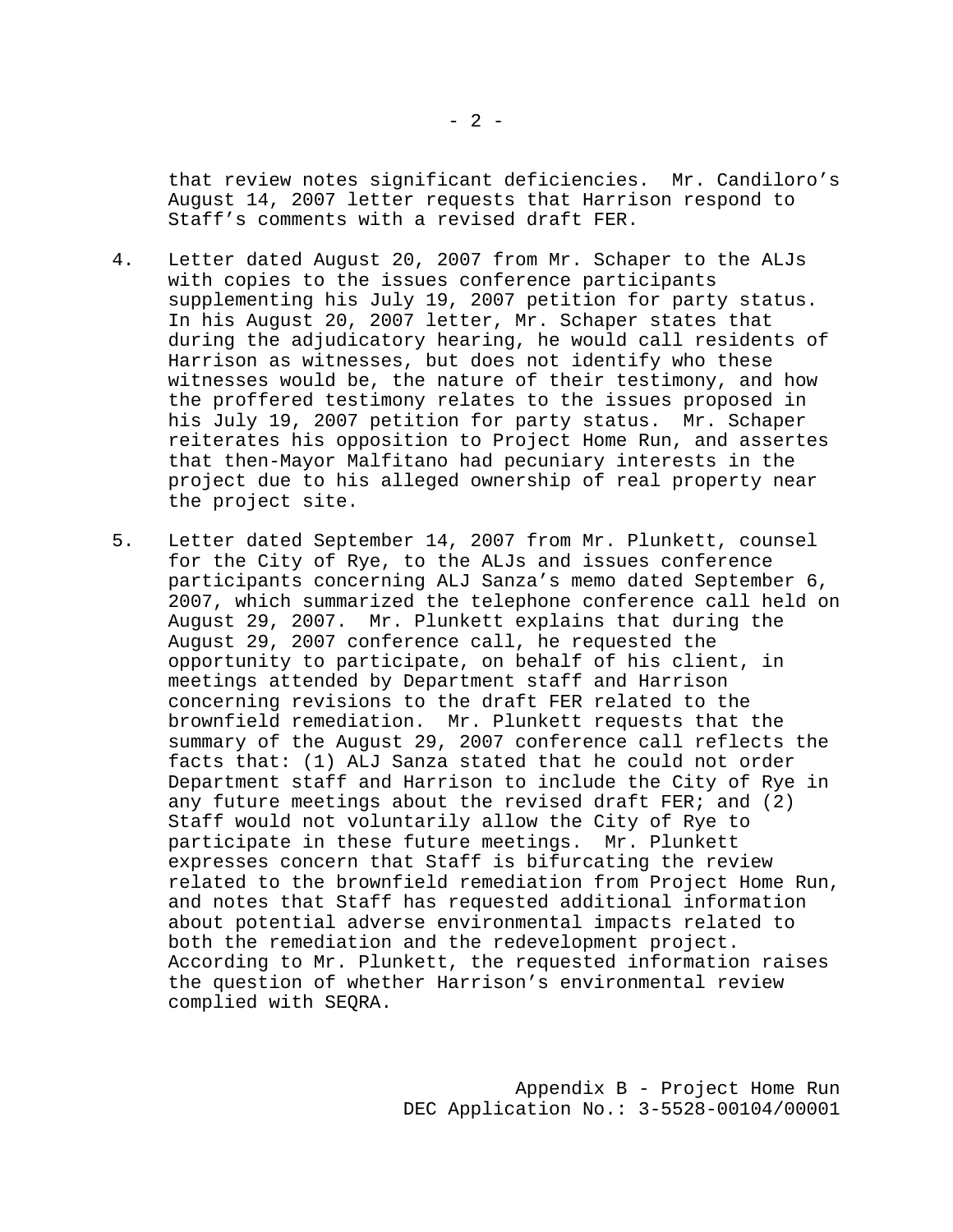that review notes significant deficiencies. Mr. Candiloro's August 14, 2007 letter requests that Harrison respond to Staff's comments with a revised draft FER.

- 4. Letter dated August 20, 2007 from Mr. Schaper to the ALJs with copies to the issues conference participants supplementing his July 19, 2007 petition for party status. In his August 20, 2007 letter, Mr. Schaper states that during the adjudicatory hearing, he would call residents of Harrison as witnesses, but does not identify who these witnesses would be, the nature of their testimony, and how the proffered testimony relates to the issues proposed in his July 19, 2007 petition for party status. Mr. Schaper reiterates his opposition to Project Home Run, and assertes that then-Mayor Malfitano had pecuniary interests in the project due to his alleged ownership of real property near the project site.
- 5. Letter dated September 14, 2007 from Mr. Plunkett, counsel for the City of Rye, to the ALJs and issues conference participants concerning ALJ Sanza's memo dated September 6, 2007, which summarized the telephone conference call held on August 29, 2007. Mr. Plunkett explains that during the August 29, 2007 conference call, he requested the opportunity to participate, on behalf of his client, in meetings attended by Department staff and Harrison concerning revisions to the draft FER related to the brownfield remediation. Mr. Plunkett requests that the summary of the August 29, 2007 conference call reflects the facts that: (1) ALJ Sanza stated that he could not order Department staff and Harrison to include the City of Rye in any future meetings about the revised draft FER; and  $(2)$ Staff would not voluntarily allow the City of Rye to participate in these future meetings. Mr. Plunkett expresses concern that Staff is bifurcating the review related to the brownfield remediation from Project Home Run, and notes that Staff has requested additional information about potential adverse environmental impacts related to both the remediation and the redevelopment project. According to Mr. Plunkett, the requested information raises the question of whether Harrison's environmental review complied with SEQRA.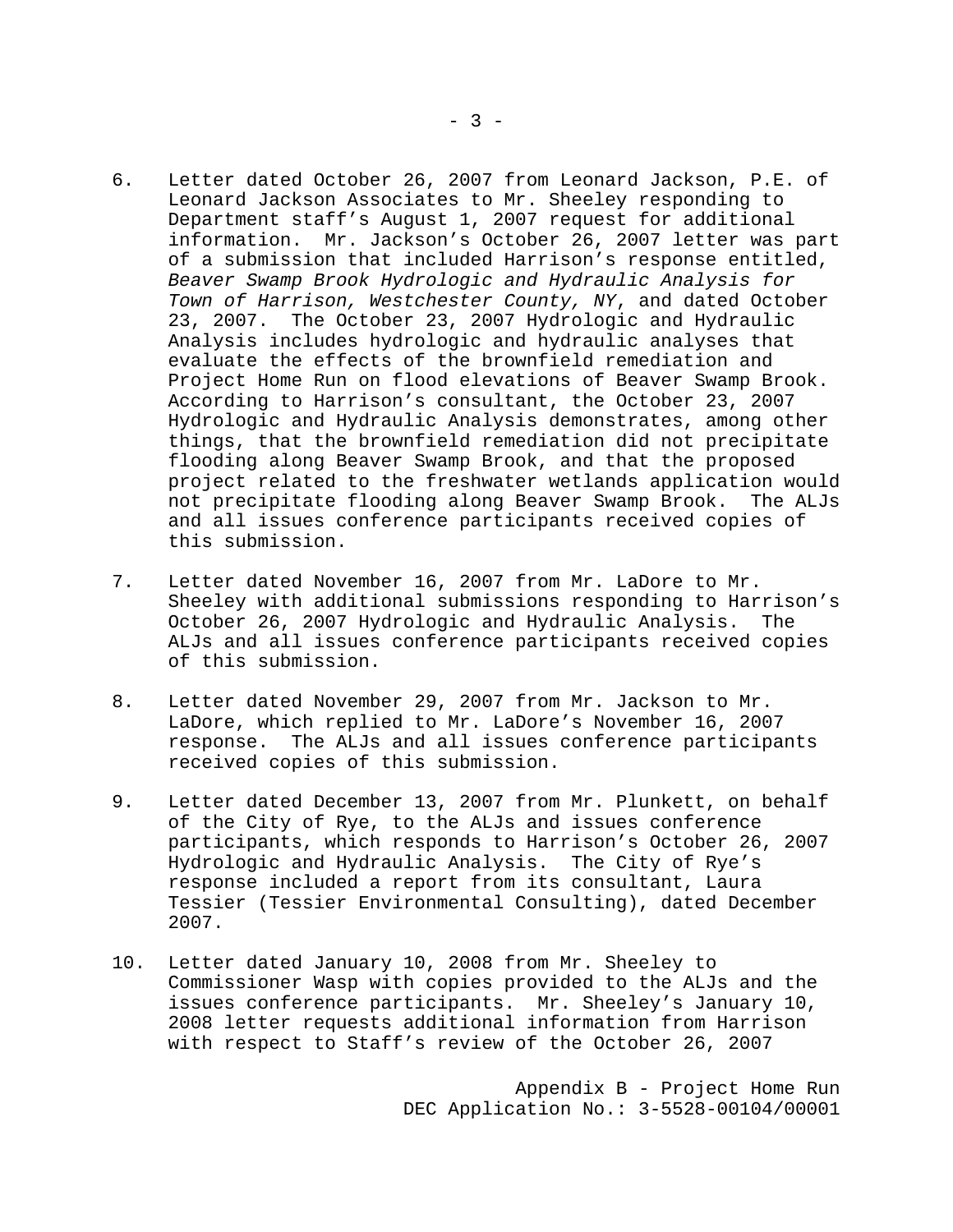- 6. Letter dated October 26, 2007 from Leonard Jackson, P.E. of Leonard Jackson Associates to Mr. Sheeley responding to Department staff's August 1, 2007 request for additional information. Mr. Jackson's October 26, 2007 letter was part of a submission that included Harrison's response entitled, *Beaver Swamp Brook Hydrologic and Hydraulic Analysis for Town of Harrison, Westchester County, NY*, and dated October 23, 2007. The October 23, 2007 Hydrologic and Hydraulic Analysis includes hydrologic and hydraulic analyses that evaluate the effects of the brownfield remediation and Project Home Run on flood elevations of Beaver Swamp Brook. According to Harrison's consultant, the October 23, 2007 Hydrologic and Hydraulic Analysis demonstrates, among other things, that the brownfield remediation did not precipitate flooding along Beaver Swamp Brook, and that the proposed project related to the freshwater wetlands application would not precipitate flooding along Beaver Swamp Brook. The ALJs and all issues conference participants received copies of this submission.
- 7. Letter dated November 16, 2007 from Mr. LaDore to Mr. Sheeley with additional submissions responding to Harrison's October 26, 2007 Hydrologic and Hydraulic Analysis. The ALJs and all issues conference participants received copies of this submission.
- 8. Letter dated November 29, 2007 from Mr. Jackson to Mr. LaDore, which replied to Mr. LaDore's November 16, 2007 response. The ALJs and all issues conference participants received copies of this submission.
- 9. Letter dated December 13, 2007 from Mr. Plunkett, on behalf of the City of Rye, to the ALJs and issues conference participants, which responds to Harrison's October 26, 2007 Hydrologic and Hydraulic Analysis. The City of Rye's response included a report from its consultant, Laura Tessier (Tessier Environmental Consulting), dated December 2007.
- 10. Letter dated January 10, 2008 from Mr. Sheeley to Commissioner Wasp with copies provided to the ALJs and the issues conference participants. Mr. Sheeley's January 10, 2008 letter requests additional information from Harrison with respect to Staff's review of the October 26, 2007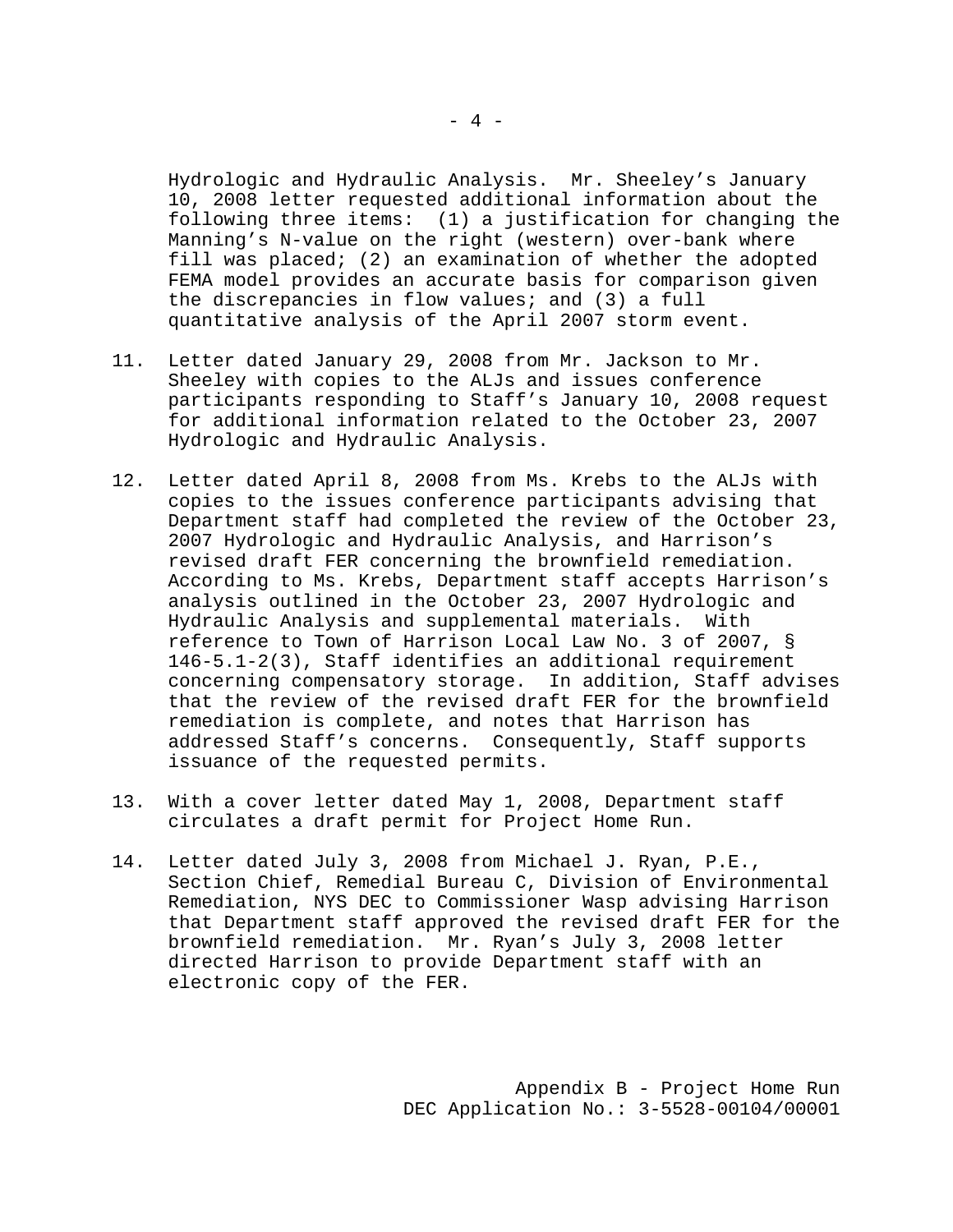Hydrologic and Hydraulic Analysis. Mr. Sheeley's January 10, 2008 letter requested additional information about the following three items: (1) a justification for changing the Manning's N-value on the right (western) over-bank where fill was placed; (2) an examination of whether the adopted FEMA model provides an accurate basis for comparison given the discrepancies in flow values; and (3) a full quantitative analysis of the April 2007 storm event.

- 11. Letter dated January 29, 2008 from Mr. Jackson to Mr. Sheeley with copies to the ALJs and issues conference participants responding to Staff's January 10, 2008 request for additional information related to the October 23, 2007 Hydrologic and Hydraulic Analysis.
- 12. Letter dated April 8, 2008 from Ms. Krebs to the ALJs with copies to the issues conference participants advising that Department staff had completed the review of the October 23, 2007 Hydrologic and Hydraulic Analysis, and Harrison's revised draft FER concerning the brownfield remediation. According to Ms. Krebs, Department staff accepts Harrison's analysis outlined in the October 23, 2007 Hydrologic and Hydraulic Analysis and supplemental materials. With reference to Town of Harrison Local Law No. 3 of 2007, § 146-5.1-2(3), Staff identifies an additional requirement concerning compensatory storage. In addition, Staff advises that the review of the revised draft FER for the brownfield remediation is complete, and notes that Harrison has addressed Staff's concerns. Consequently, Staff supports issuance of the requested permits.
- 13. With a cover letter dated May 1, 2008, Department staff circulates a draft permit for Project Home Run.
- 14. Letter dated July 3, 2008 from Michael J. Ryan, P.E., Section Chief, Remedial Bureau C, Division of Environmental Remediation, NYS DEC to Commissioner Wasp advising Harrison that Department staff approved the revised draft FER for the brownfield remediation. Mr. Ryan's July 3, 2008 letter directed Harrison to provide Department staff with an electronic copy of the FER.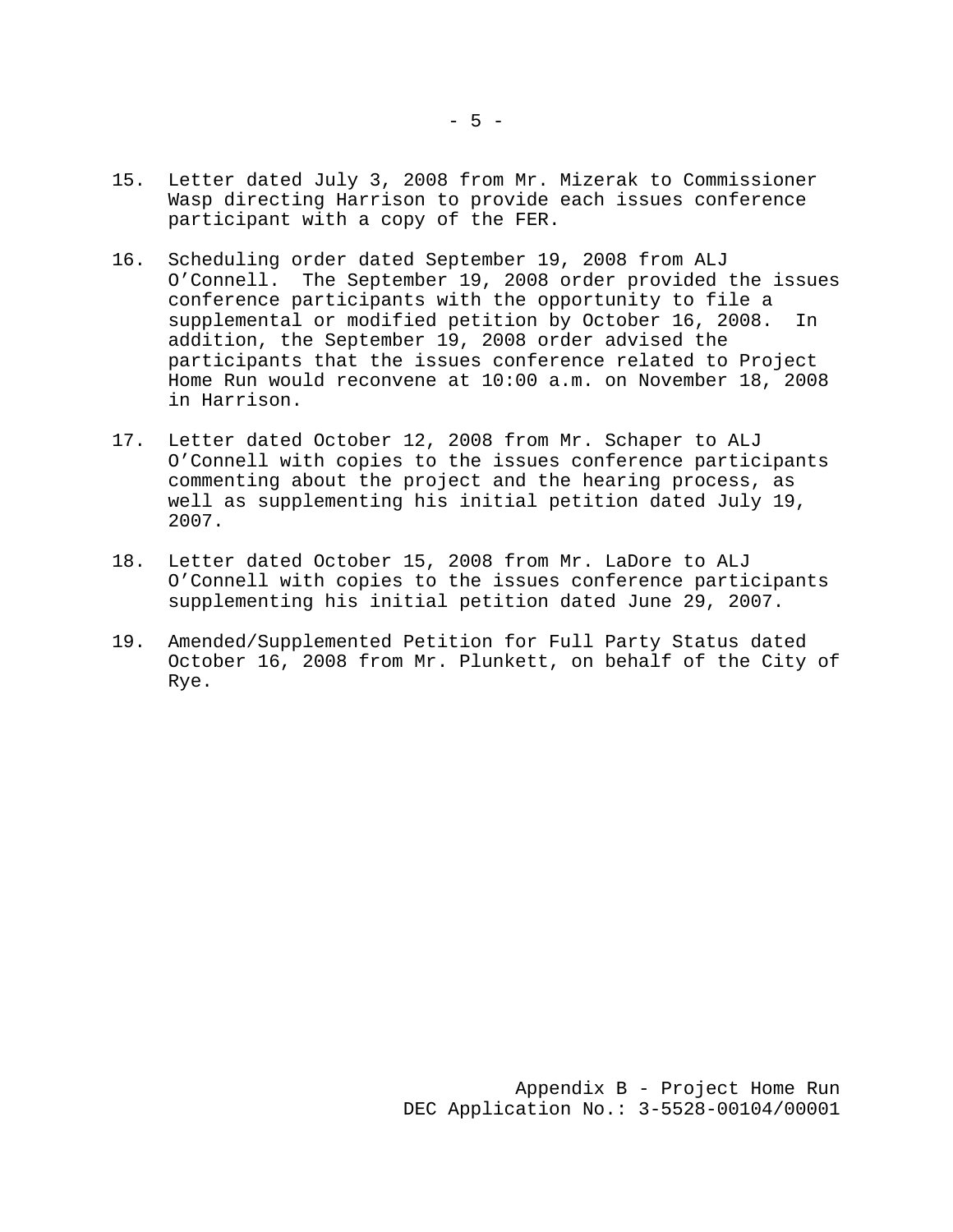- 15. Letter dated July 3, 2008 from Mr. Mizerak to Commissioner Wasp directing Harrison to provide each issues conference participant with a copy of the FER.
- 16. Scheduling order dated September 19, 2008 from ALJ O'Connell. The September 19, 2008 order provided the issues conference participants with the opportunity to file a supplemental or modified petition by October 16, 2008. In addition, the September 19, 2008 order advised the participants that the issues conference related to Project Home Run would reconvene at 10:00 a.m. on November 18, 2008 in Harrison.
- 17. Letter dated October 12, 2008 from Mr. Schaper to ALJ O'Connell with copies to the issues conference participants commenting about the project and the hearing process, as well as supplementing his initial petition dated July 19, 2007.
- 18. Letter dated October 15, 2008 from Mr. LaDore to ALJ O'Connell with copies to the issues conference participants supplementing his initial petition dated June 29, 2007.
- 19. Amended/Supplemented Petition for Full Party Status dated October 16, 2008 from Mr. Plunkett, on behalf of the City of Rye.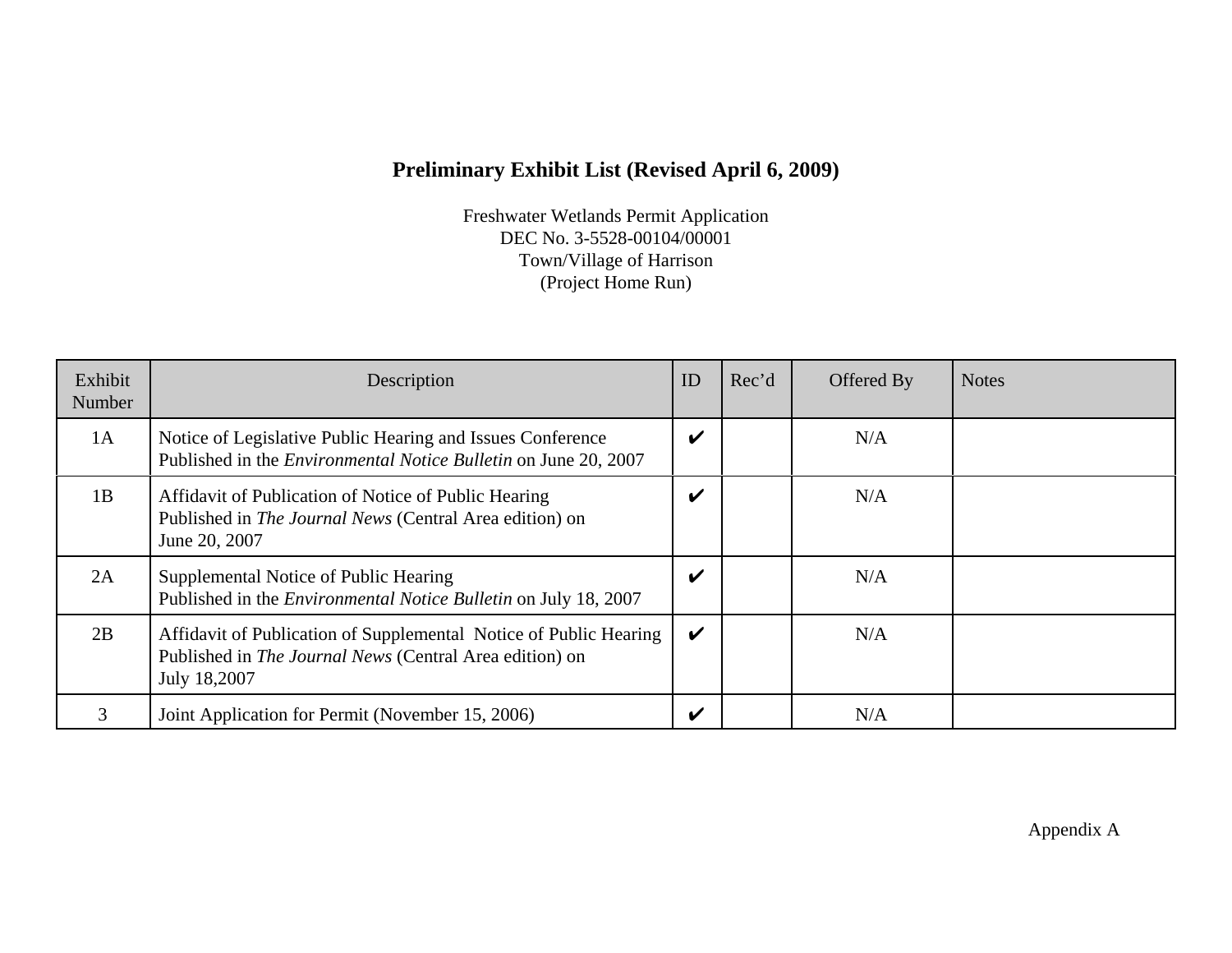# **Preliminary Exhibit List (Revised April 6, 2009)**

Freshwater Wetlands Permit Application DEC No. 3-5528-00104/00001 Town/Village of Harrison (Project Home Run)

| Exhibit<br>Number | Description                                                                                                                                  | ID                         | Rec'd | Offered By | <b>Notes</b> |
|-------------------|----------------------------------------------------------------------------------------------------------------------------------------------|----------------------------|-------|------------|--------------|
| 1A                | Notice of Legislative Public Hearing and Issues Conference<br>Published in the <i>Environmental Notice Bulletin</i> on June 20, 2007         | V                          |       | N/A        |              |
| 1B                | Affidavit of Publication of Notice of Public Hearing<br>Published in The Journal News (Central Area edition) on<br>June 20, 2007             | $\boldsymbol{\mathcal{U}}$ |       | N/A        |              |
| 2A                | Supplemental Notice of Public Hearing<br>Published in the <i>Environmental Notice Bulletin</i> on July 18, 2007                              | $\boldsymbol{\mathcal{U}}$ |       | N/A        |              |
| 2B                | Affidavit of Publication of Supplemental Notice of Public Hearing<br>Published in The Journal News (Central Area edition) on<br>July 18,2007 | $\boldsymbol{\nu}$         |       | N/A        |              |
|                   | Joint Application for Permit (November 15, 2006)                                                                                             | V                          |       | N/A        |              |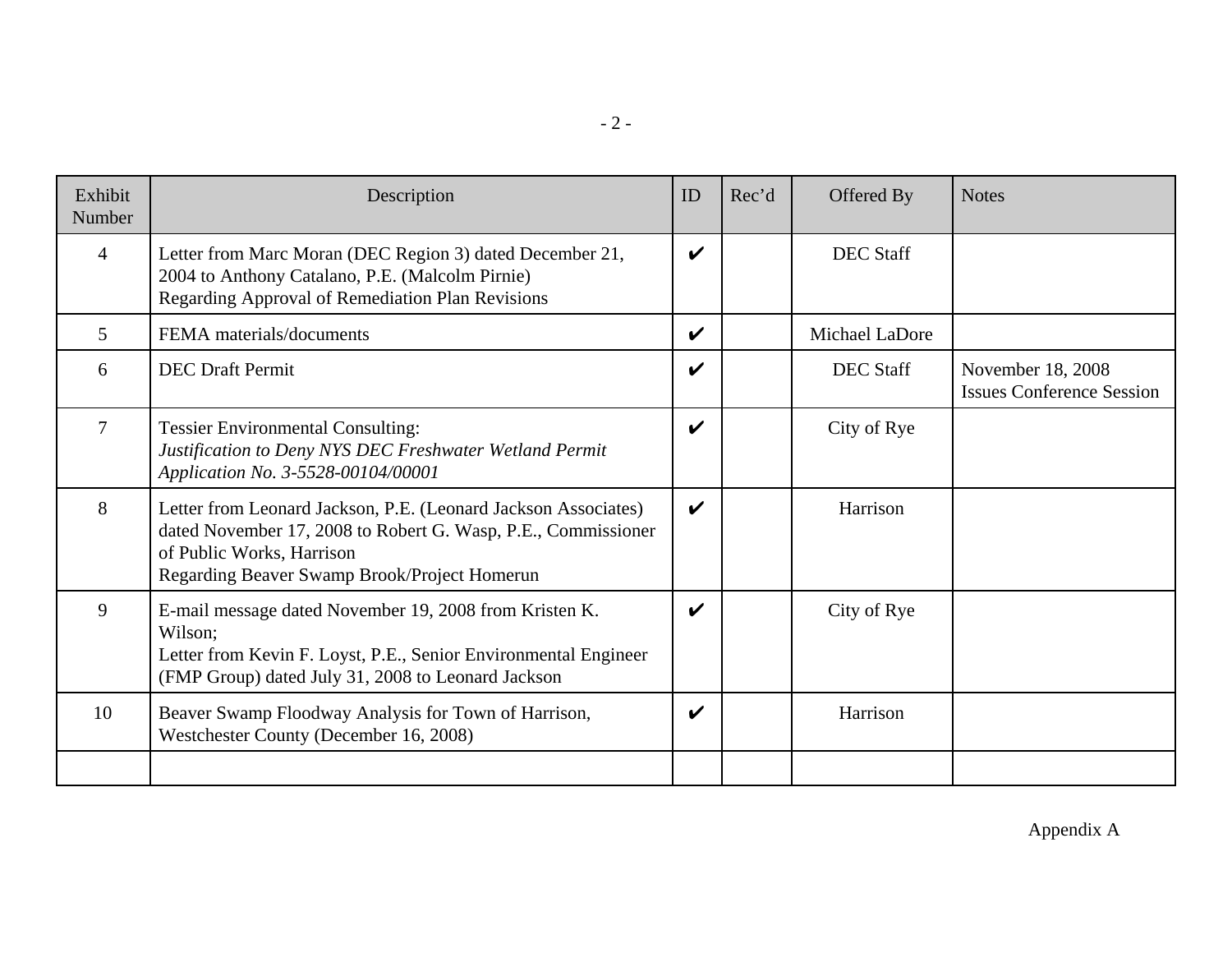|--|--|

| Exhibit<br>Number | Description                                                                                                                                                                                                  | ID                         | Rec'd | Offered By       | <b>Notes</b>                                          |
|-------------------|--------------------------------------------------------------------------------------------------------------------------------------------------------------------------------------------------------------|----------------------------|-------|------------------|-------------------------------------------------------|
| $\overline{4}$    | Letter from Marc Moran (DEC Region 3) dated December 21,<br>2004 to Anthony Catalano, P.E. (Malcolm Pirnie)<br>Regarding Approval of Remediation Plan Revisions                                              | $\boldsymbol{\mathcal{U}}$ |       | <b>DEC Staff</b> |                                                       |
| 5                 | FEMA materials/documents                                                                                                                                                                                     | $\boldsymbol{\mathcal{U}}$ |       | Michael LaDore   |                                                       |
| 6                 | <b>DEC</b> Draft Permit                                                                                                                                                                                      | $\boldsymbol{\nu}$         |       | <b>DEC</b> Staff | November 18, 2008<br><b>Issues Conference Session</b> |
| $\overline{7}$    | <b>Tessier Environmental Consulting:</b><br>Justification to Deny NYS DEC Freshwater Wetland Permit<br>Application No. 3-5528-00104/00001                                                                    | $\boldsymbol{\mathcal{U}}$ |       | City of Rye      |                                                       |
| 8                 | Letter from Leonard Jackson, P.E. (Leonard Jackson Associates)<br>dated November 17, 2008 to Robert G. Wasp, P.E., Commissioner<br>of Public Works, Harrison<br>Regarding Beaver Swamp Brook/Project Homerun | $\boldsymbol{\nu}$         |       | Harrison         |                                                       |
| 9                 | E-mail message dated November 19, 2008 from Kristen K.<br>Wilson:<br>Letter from Kevin F. Loyst, P.E., Senior Environmental Engineer<br>(FMP Group) dated July 31, 2008 to Leonard Jackson                   | $\boldsymbol{\mathcal{U}}$ |       | City of Rye      |                                                       |
| 10                | Beaver Swamp Floodway Analysis for Town of Harrison,<br>Westchester County (December 16, 2008)                                                                                                               | V                          |       | Harrison         |                                                       |
|                   |                                                                                                                                                                                                              |                            |       |                  |                                                       |

Appendix A